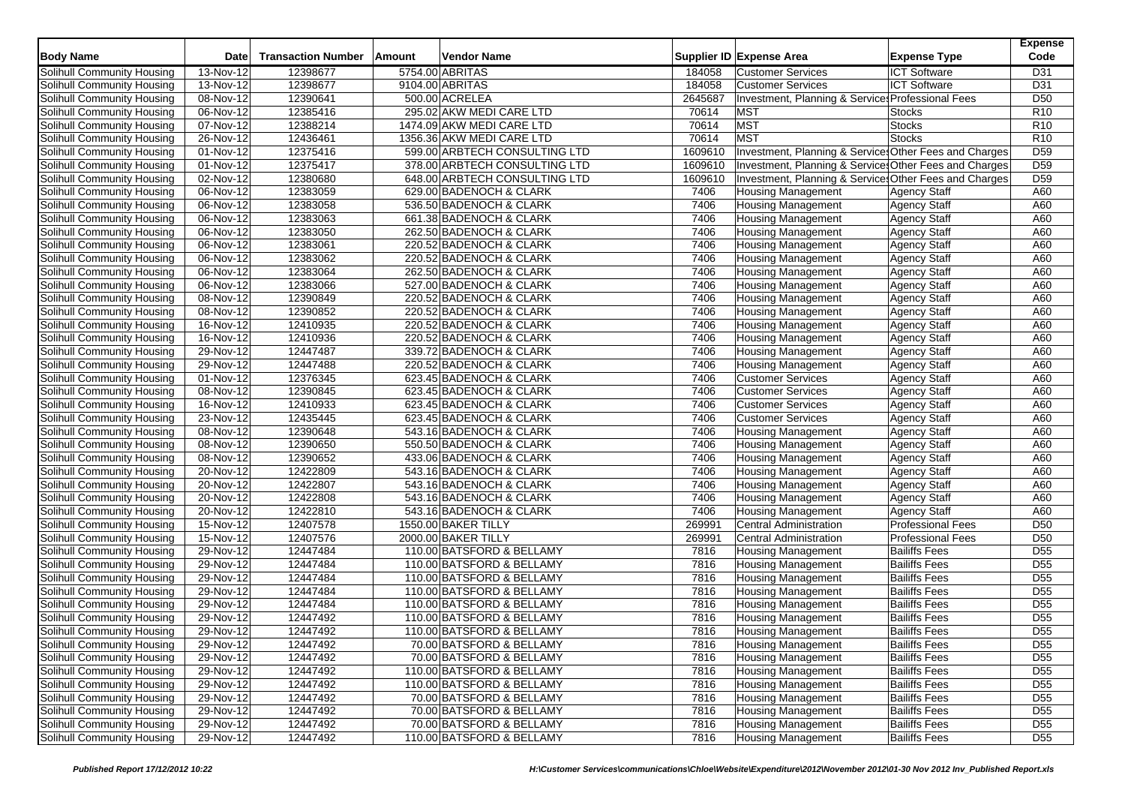| <b>Body Name</b>                                         | <b>Date</b>              | <b>Transaction Number</b> | Amount | <b>Vendor Name</b>            |              | Supplier ID Expense Area                               | <b>Expense Type</b>      | <b>Expense</b><br>Code |
|----------------------------------------------------------|--------------------------|---------------------------|--------|-------------------------------|--------------|--------------------------------------------------------|--------------------------|------------------------|
| Solihull Community Housing                               | 13-Nov-12                | 12398677                  |        | 5754.00 ABRITAS               | 184058       | <b>Customer Services</b>                               | <b>ICT Software</b>      | D31                    |
| Solihull Community Housing                               | 13-Nov-12                | 12398677                  |        | 9104.00 ABRITAS               | 184058       | <b>Customer Services</b>                               | <b>ICT Software</b>      | D31                    |
| Solihull Community Housing                               | $\overline{08-N}$ ov-12  | 12390641                  |        | 500.00 ACRELEA                | 2645687      | Investment, Planning & Service: Professional Fees      |                          | D <sub>50</sub>        |
| Solihull Community Housing                               | 06-Nov-12                | 12385416                  |        | 295.02 AKW MEDI CARE LTD      | 70614        | MST                                                    | Stocks                   | R <sub>10</sub>        |
| Solihull Community Housing                               | 07-Nov-12                | 12388214                  |        | 1474.09 AKW MEDI CARE LTD     | 70614        | <b>MST</b>                                             | <b>Stocks</b>            | R <sub>10</sub>        |
| Solihull Community Housing                               | 26-Nov-12                | 12436461                  |        | 1356.36 AKW MEDI CARE LTD     | 70614        | <b>MST</b>                                             | <b>Stocks</b>            | R <sub>10</sub>        |
| Solihull Community Housing                               | 01-Nov-12                | 12375416                  |        | 599.00 ARBTECH CONSULTING LTD | 1609610      | Investment, Planning & Services Other Fees and Charges |                          | D <sub>59</sub>        |
| Solihull Community Housing                               | 01-Nov-12                | 12375417                  |        | 378.00 ARBTECH CONSULTING LTD | 1609610      | Investment, Planning & Service Other Fees and Charges  |                          | D <sub>59</sub>        |
| Solihull Community Housing                               | 02-Nov-12                | 12380680                  |        | 648.00 ARBTECH CONSULTING LTD | 1609610      | Investment, Planning & Service Other Fees and Charges  |                          | D <sub>59</sub>        |
| Solihull Community Housing                               | 06-Nov-12                | 12383059                  |        | 629.00 BADENOCH & CLARK       | 7406         | <b>Housing Management</b>                              | <b>Agency Staff</b>      | A60                    |
| Solihull Community Housing                               | 06-Nov-12                | 12383058                  |        | 536.50 BADENOCH & CLARK       | 7406         | <b>Housing Management</b>                              | <b>Agency Staff</b>      | A60                    |
| Solihull Community Housing                               | 06-Nov-12                | 12383063                  |        | 661.38 BADENOCH & CLARK       | 7406         | <b>Housing Management</b>                              | <b>Agency Staff</b>      | A60                    |
| Solihull Community Housing                               | 06-Nov-12                | 12383050                  |        | 262.50 BADENOCH & CLARK       | 7406         |                                                        | <b>Agency Staff</b>      | A60                    |
|                                                          |                          |                           |        |                               | 7406         | <b>Housing Management</b>                              |                          |                        |
| Solihull Community Housing                               | 06-Nov-12<br>$06-Nov-12$ | 12383061                  |        | 220.52 BADENOCH & CLARK       | 7406         | <b>Housing Management</b>                              | <b>Agency Staff</b>      | A60                    |
| Solihull Community Housing                               |                          | 12383062                  |        | 220.52 BADENOCH & CLARK       | 7406         | <b>Housing Management</b>                              | <b>Agency Staff</b>      | A60<br>A60             |
| Solihull Community Housing                               | 06-Nov-12                | 12383064                  |        | 262.50 BADENOCH & CLARK       |              | <b>Housing Management</b>                              | <b>Agency Staff</b>      |                        |
| Solihull Community Housing<br>Solihull Community Housing | 06-Nov-12                | 12383066<br>12390849      |        | 527.00 BADENOCH & CLARK       | 7406<br>7406 | <b>Housing Management</b>                              | <b>Agency Staff</b>      | A60                    |
|                                                          | 08-Nov-12                |                           |        | 220.52 BADENOCH & CLARK       |              | <b>Housing Management</b>                              | <b>Agency Staff</b>      | A60                    |
| Solihull Community Housing                               | 08-Nov-12                | 12390852                  |        | 220.52 BADENOCH & CLARK       | 7406         | <b>Housing Management</b>                              | <b>Agency Staff</b>      | A60                    |
| Solihull Community Housing                               | 16-Nov-12                | 12410935                  |        | 220.52 BADENOCH & CLARK       | 7406         | <b>Housing Management</b>                              | <b>Agency Staff</b>      | A60                    |
| Solihull Community Housing                               | $16-Nov-12$              | 12410936                  |        | 220.52 BADENOCH & CLARK       | 7406         | <b>Housing Management</b>                              | <b>Agency Staff</b>      | A60                    |
| Solihull Community Housing                               | 29-Nov-12                | 12447487                  |        | 339.72 BADENOCH & CLARK       | 7406         | Housing Management                                     | <b>Agency Staff</b>      | A60                    |
| Solihull Community Housing                               | 29-Nov-12                | 12447488                  |        | 220.52 BADENOCH & CLARK       | 7406         | <b>Housing Management</b>                              | <b>Agency Staff</b>      | A60                    |
| Solihull Community Housing                               | $\overline{01-Nov-12}$   | 12376345                  |        | 623.45 BADENOCH & CLARK       | 7406         | <b>Customer Services</b>                               | <b>Agency Staff</b>      | A60                    |
| Solihull Community Housing                               | 08-Nov-12                | 12390845                  |        | 623.45 BADENOCH & CLARK       | 7406         | <b>Customer Services</b>                               | Agency Staff             | A60                    |
| Solihull Community Housing                               | 16-Nov-12                | 12410933                  |        | 623.45 BADENOCH & CLARK       | 7406         | <b>Customer Services</b>                               | <b>Agency Staff</b>      | A60                    |
| Solihull Community Housing                               | 23-Nov-12                | 12435445                  |        | 623.45 BADENOCH & CLARK       | 7406         | Customer Services                                      | <b>Agency Staff</b>      | A60                    |
| Solihull Community Housing                               | 08-Nov-12                | 12390648                  |        | 543.16 BADENOCH & CLARK       | 7406         | <b>Housing Management</b>                              | <b>Agency Staff</b>      | A60                    |
| Solihull Community Housing                               | 08-Nov-12                | 12390650                  |        | 550.50 BADENOCH & CLARK       | 7406         | <b>Housing Management</b>                              | <b>Agency Staff</b>      | A60                    |
| Solihull Community Housing                               | 08-Nov-12                | 12390652                  |        | 433.06 BADENOCH & CLARK       | 7406         | <b>Housing Management</b>                              | <b>Agency Staff</b>      | A60                    |
| Solihull Community Housing                               | 20-Nov-12                | 12422809                  |        | 543.16 BADENOCH & CLARK       | 7406         | <b>Housing Management</b>                              | <b>Agency Staff</b>      | A60                    |
| Solihull Community Housing                               | 20-Nov-12                | 12422807                  |        | 543.16 BADENOCH & CLARK       | 7406         | <b>Housing Management</b>                              | <b>Agency Staff</b>      | A60                    |
| Solihull Community Housing                               | $20-Nov-12$              | 12422808                  |        | 543.16 BADENOCH & CLARK       | 7406         | <b>Housing Management</b>                              | <b>Agency Staff</b>      | A60                    |
| Solihull Community Housing                               | 20-Nov-12                | 12422810                  |        | 543.16 BADENOCH & CLARK       | 7406         | <b>Housing Management</b>                              | <b>Agency Staff</b>      | A60                    |
| Solihull Community Housing                               | 15-Nov-12                | 12407578                  |        | 1550.00 BAKER TILLY           | 269991       | <b>Central Administration</b>                          | <b>Professional Fees</b> | D <sub>50</sub>        |
| <b>Solihull Community Housing</b>                        | 15-Nov-12                | 12407576                  |        | 2000.00 BAKER TILLY           | 269991       | <b>Central Administration</b>                          | <b>Professional Fees</b> | D <sub>50</sub>        |
| Solihull Community Housing                               | 29-Nov-12                | 12447484                  |        | 110.00 BATSFORD & BELLAMY     | 7816         | <b>Housing Management</b>                              | <b>Bailiffs Fees</b>     | D <sub>55</sub>        |
| Solihull Community Housing                               | 29-Nov-12                | 12447484                  |        | 110.00 BATSFORD & BELLAMY     | 7816         | <b>Housing Management</b>                              | <b>Bailiffs Fees</b>     | D <sub>55</sub>        |
| Solihull Community Housing                               | 29-Nov-12                | 12447484                  |        | 110.00 BATSFORD & BELLAMY     | 7816         | <b>Housing Management</b>                              | <b>Bailiffs Fees</b>     | D <sub>55</sub>        |
| Solihull Community Housing                               | 29-Nov-12                | 12447484                  |        | 110.00 BATSFORD & BELLAMY     | 7816         | <b>Housing Management</b>                              | <b>Bailiffs Fees</b>     | D <sub>55</sub>        |
| Solihull Community Housing                               | 29-Nov-12                | 12447484                  |        | 110.00 BATSFORD & BELLAMY     | 7816         | <b>Housing Management</b>                              | <b>Bailiffs Fees</b>     | D <sub>55</sub>        |
| Solihull Community Housing                               | 29-Nov-12                | 12447492                  |        | 110.00 BATSFORD & BELLAMY     | 7816         | <b>Housing Management</b>                              | <b>Bailiffs Fees</b>     | D <sub>55</sub>        |
| Solihull Community Housing                               | 29-Nov-12                | 12447492                  |        | 110.00 BATSFORD & BELLAMY     | 7816         | <b>Housing Management</b>                              | <b>Bailiffs Fees</b>     | D <sub>55</sub>        |
| Solihull Community Housing                               | 29-Nov-12                | 12447492                  |        | 70.00 BATSFORD & BELLAMY      | 7816         | <b>Housing Management</b>                              | <b>Bailiffs Fees</b>     | D <sub>55</sub>        |
| Solihull Community Housing                               | $29-Nov-12$              | 12447492                  |        | 70.00 BATSFORD & BELLAMY      | 7816         | <b>Housing Management</b>                              | <b>Bailiffs Fees</b>     | D <sub>55</sub>        |
| Solihull Community Housing                               | 29-Nov-12                | 12447492                  |        | 110.00 BATSFORD & BELLAMY     | 7816         | <b>Housing Management</b>                              | <b>Bailiffs Fees</b>     | D <sub>55</sub>        |
| Solihull Community Housing                               | 29-Nov-12                | 12447492                  |        | 110.00 BATSFORD & BELLAMY     | 7816         | <b>Housing Management</b>                              | <b>Bailiffs Fees</b>     | D <sub>55</sub>        |
| Solihull Community Housing                               | $29-Nov-12$              | 12447492                  |        | 70.00 BATSFORD & BELLAMY      | 7816         | <b>Housing Management</b>                              | <b>Bailiffs Fees</b>     | D <sub>55</sub>        |
| Solihull Community Housing                               | 29-Nov-12                | 12447492                  |        | 70.00 BATSFORD & BELLAMY      | 7816         | <b>Housing Management</b>                              | <b>Bailiffs Fees</b>     | D <sub>55</sub>        |
| <b>Solihull Community Housing</b>                        | 29-Nov-12                | 12447492                  |        | 70.00 BATSFORD & BELLAMY      | 7816         | <b>Housing Management</b>                              | <b>Bailiffs Fees</b>     | D <sub>55</sub>        |
| Solihull Community Housing                               | 29-Nov-12                | 12447492                  |        | 110.00 BATSFORD & BELLAMY     | 7816         | <b>Housing Management</b>                              | <b>Bailiffs Fees</b>     | D <sub>55</sub>        |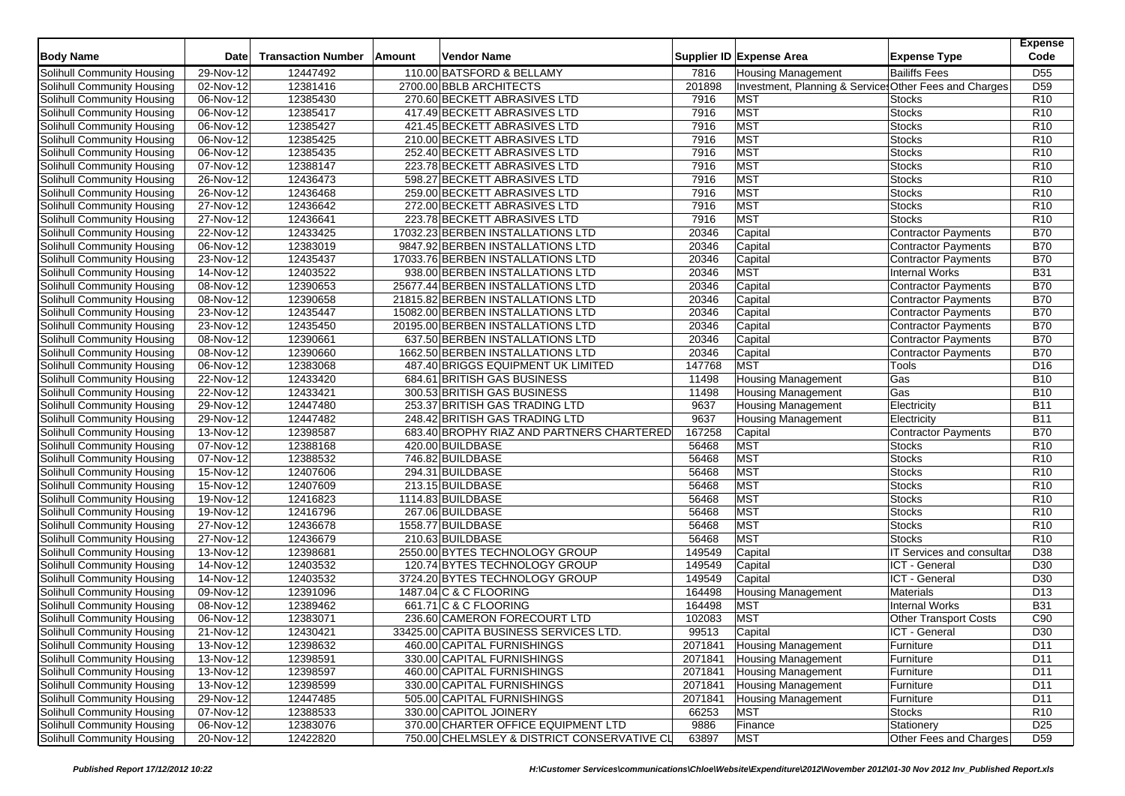| 110.00 BATSFORD & BELLAMY<br>29-Nov-12<br>12447492<br><b>Bailiffs Fees</b><br>D <sub>55</sub><br>7816<br><b>Housing Management</b><br>Investment, Planning & Services Other Fees and Charges<br>D <sub>59</sub><br>02-Nov-12<br>12381416<br>2700.00 BBLB ARCHITECTS<br>201898<br>12385430<br>270.60 BECKETT ABRASIVES LTD<br>7916<br><b>MST</b><br>R <sub>10</sub><br>06-Nov-12<br><b>Stocks</b><br>MST<br>$\overline{06-N}$ ov-12<br>12385417<br>417.49 BECKETT ABRASIVES LTD<br>7916<br><b>Stocks</b><br>R <sub>10</sub><br><b>MST</b><br>12385427<br>R <sub>10</sub><br>$\overline{06}$ -Nov-12<br>421.45 BECKETT ABRASIVES LTD<br>7916<br><b>Stocks</b><br><b>MST</b><br>12385425<br>R <sub>10</sub><br>Solihull Community Housing<br>$06-Nov-12$<br>210.00 BECKETT ABRASIVES LTD<br>7916<br>Stocks<br>MST<br>R <sub>10</sub><br>06-Nov-12<br>12385435<br>252.40 BECKETT ABRASIVES LTD<br>7916<br><b>Stocks</b><br>MST<br>07-Nov-12<br>12388147<br>223.78 BECKETT ABRASIVES LTD<br>7916<br>R <sub>10</sub><br><b>Stocks</b><br>12436473<br>MST<br>26-Nov-12<br>598.27 BECKETT ABRASIVES LTD<br>7916<br><b>Stocks</b><br>R <sub>10</sub><br>MST<br>R <sub>10</sub><br>26-Nov-12<br>12436468<br>259.00 BECKETT ABRASIVES LTD<br>7916<br><b>Stocks</b><br><b>MST</b><br>27-Nov-12<br>12436642<br>272.00 BECKETT ABRASIVES LTD<br>7916<br>R <sub>10</sub><br><b>Stocks</b><br><b>MST</b><br>12436641<br>R <sub>10</sub><br>27-Nov-12<br>223.78 BECKETT ABRASIVES LTD<br>7916<br><b>Stocks</b><br>12433425<br><b>B70</b><br>Solihull Community Housing<br>22-Nov-12<br>17032.23 BERBEN INSTALLATIONS LTD<br>20346<br>Capital<br>Contractor Payments<br><b>B70</b><br>$\overline{06-N}$ ov-12<br>12383019<br>9847.92 BERBEN INSTALLATIONS LTD<br>20346<br>Capital<br>Contractor Payments<br><b>B70</b><br><b>Solihull Community Housing</b><br>23-Nov-12<br>12435437<br>17033.76 BERBEN INSTALLATIONS LTD<br>20346<br>Capital<br>Contractor Payments<br>12403522<br><b>MST</b><br><b>B31</b><br>Solihull Community Housing<br>14-Nov-12<br>938.00 BERBEN INSTALLATIONS LTD<br>20346<br><b>Internal Works</b><br>12390653<br><b>B70</b><br>Solihull Community Housing<br>$08-Nov-12$<br>25677.44 BERBEN INSTALLATIONS LTD<br>20346<br>Contractor Payments<br>Capital<br>Solihull Community Housing<br>08-Nov-12<br>12390658<br>21815.82 BERBEN INSTALLATIONS LTD<br>Capital<br>Contractor Payments<br><b>B70</b><br>20346<br>12435447<br><b>B70</b><br>Solihull Community Housing<br>23-Nov-12<br>15082.00 BERBEN INSTALLATIONS LTD<br>20346<br>Capital<br>Contractor Payments<br>12435450<br><b>B70</b><br>Solihull Community Housing<br>23-Nov-12<br>20195.00 BERBEN INSTALLATIONS LTD<br>20346<br>Contractor Payments<br>Capital<br><b>B70</b><br>Solihull Community Housing<br>08-Nov-12<br>12390661<br>637.50 BERBEN INSTALLATIONS LTD<br>20346<br>Capital<br>Contractor Payments<br><b>B70</b><br>Solihull Community Housing<br>12390660<br>1662.50 BERBEN INSTALLATIONS LTD<br>20346<br>08-Nov-12<br>Capital<br><b>Contractor Payments</b><br><b>MST</b><br>12383068<br>D <sub>16</sub><br><b>Solihull Community Housing</b><br>06-Nov-12<br>487.40 BRIGGS EQUIPMENT UK LIMITED<br>147768<br>Tools<br>Gas<br>Solihull Community Housing<br>22-Nov-12<br>12433420<br>684.61 BRITISH GAS BUSINESS<br>11498<br><b>Housing Management</b><br><b>B10</b><br>12433421<br><b>B10</b><br>Solihull Community Housing<br>22-Nov-12<br>300.53 BRITISH GAS BUSINESS<br>11498<br>Gas<br><b>Housing Management</b><br>12447480<br>9637<br><b>B11</b><br>Solihull Community Housing<br>29-Nov-12<br>253.37 BRITISH GAS TRADING LTD<br><b>Housing Management</b><br>Electricity<br>12447482<br>9637<br>Solihull Community Housing<br>29-Nov-12<br>248.42 BRITISH GAS TRADING LTD<br>Electricity<br><b>B11</b><br><b>Housing Management</b><br>167258<br><b>B70</b><br>Solihull Community Housing<br>12398587<br>683.40 BROPHY RIAZ AND PARTNERS CHARTERED<br><b>Contractor Payments</b><br>13-Nov-12<br>Capital<br>12388168<br><b>MST</b><br>420.00 BUILDBASE<br>56468<br>R <sub>10</sub><br>Solihull Community Housing<br>07-Nov-12<br><b>Stocks</b><br>07-Nov-12<br>12388532<br>746.82 BUILDBASE<br>MST<br>R <sub>10</sub><br>Solihull Community Housing<br>56468<br><b>Stocks</b><br>12407606<br><b>MST</b><br>R10<br>Solihull Community Housing<br>$15-Nov-12$<br>294.31 BUILDBASE<br>56468<br>Stocks<br>MST<br>Solihull Community Housing<br>12407609<br>213.15 BUILDBASE<br>Stocks<br>R <sub>10</sub><br>15-Nov-12<br>56468<br>12416823<br>MST<br>R <sub>10</sub><br>Solihull Community Housing<br>$19-Nov-12$<br>1114.83 BUILDBASE<br>56468<br><b>Stocks</b><br><b>MST</b><br>R <sub>10</sub><br>Solihull Community Housing<br>$\overline{19}$ -Nov-12<br>12416796<br>267.06 BUILDBASE<br>56468<br>Stocks<br>1558.77 BUILDBASE<br>MST<br>Solihull Community Housing<br>12436678<br><b>Stocks</b><br>R <sub>10</sub><br>27-Nov-12<br>56468<br>MST<br>12436679<br>R <sub>10</sub><br>Solihull Community Housing<br>27-Nov-12<br>210.63 BUILDBASE<br>56468<br><b>Stocks</b><br>D38<br>Solihull Community Housing<br>12398681<br>2550.00 BYTES TECHNOLOGY GROUP<br>149549<br>13-Nov-12<br>Capital<br><b>IT Services and consultar</b><br>Solihull Community Housing<br>12403532<br>120.74 BYTES TECHNOLOGY GROUP<br>149549<br>Capital<br>ICT - General<br>D <sub>30</sub><br>14-Nov-12<br>149549<br>ICT - General<br>D <sub>30</sub><br>Solihull Community Housing<br>$14-Nov-12$<br>12403532<br>3724.20 BYTES TECHNOLOGY GROUP<br>Capital<br>Solihull Community Housing<br>12391096<br>164498<br><b>Housing Management</b><br><b>Materials</b><br>D <sub>13</sub><br>09-Nov-12<br>1487.04 C & C FLOORING<br>12389462<br>08-Nov-12<br>661.71 C & C FLOORING<br>164498<br><b>MST</b><br><b>Internal Works</b><br><b>B31</b><br>Solihull Community Housing<br>MST<br>12383071<br>102083<br>C90<br>Solihull Community Housing<br>06-Nov-12<br>236.60 CAMERON FORECOURT LTD<br><b>Other Transport Costs</b><br>D30<br><b>Solihull Community Housing</b><br>99513<br>ICT - General<br>21-Nov-12<br>12430421<br>33425.00 CAPITA BUSINESS SERVICES LTD<br>Capital<br>Solihull Community Housing<br>13-Nov-12<br>12398632<br>460.00 CAPITAL FURNISHINGS<br>2071841<br><b>Housing Management</b><br>Furniture<br>D11<br>Solihull Community Housing<br>13-Nov-12<br>12398591<br>330.00 CAPITAL FURNISHINGS<br>2071841<br><b>Housing Management</b><br>Furniture<br>D11<br>Solihull Community Housing<br>13-Nov-12<br>460.00 CAPITAL FURNISHINGS<br><b>Housing Management</b><br>12398597<br>2071841<br>Furniture<br>D <sub>11</sub><br>12398599<br>Solihull Community Housing<br>13-Nov-12<br>330.00 CAPITAL FURNISHINGS<br>2071841<br><b>Housing Management</b><br>D11<br>Furniture<br>Solihull Community Housing<br>29-Nov-12<br>12447485<br>505.00 CAPITAL FURNISHINGS<br>2071841<br><b>Housing Management</b><br>D11<br>Furniture<br>Solihull Community Housing<br>$\overline{07-N}$ ov-12<br>330.00 CAPITOL JOINERY<br><b>MST</b><br><b>Stocks</b><br>12388533<br>66253<br>R <sub>10</sub><br>Solihull Community Housing<br>06-Nov-12<br>12383076<br>370.00 CHARTER OFFICE EQUIPMENT LTD<br>9886<br>Finance<br>D <sub>25</sub><br>Stationery | <b>Body Name</b>           | <b>Date</b> | <b>Transaction Number</b> | Amount | Vendor Name | Supplier ID Expense Area | <b>Expense Type</b> | <b>Expense</b><br>Code |
|--------------------------------------------------------------------------------------------------------------------------------------------------------------------------------------------------------------------------------------------------------------------------------------------------------------------------------------------------------------------------------------------------------------------------------------------------------------------------------------------------------------------------------------------------------------------------------------------------------------------------------------------------------------------------------------------------------------------------------------------------------------------------------------------------------------------------------------------------------------------------------------------------------------------------------------------------------------------------------------------------------------------------------------------------------------------------------------------------------------------------------------------------------------------------------------------------------------------------------------------------------------------------------------------------------------------------------------------------------------------------------------------------------------------------------------------------------------------------------------------------------------------------------------------------------------------------------------------------------------------------------------------------------------------------------------------------------------------------------------------------------------------------------------------------------------------------------------------------------------------------------------------------------------------------------------------------------------------------------------------------------------------------------------------------------------------------------------------------------------------------------------------------------------------------------------------------------------------------------------------------------------------------------------------------------------------------------------------------------------------------------------------------------------------------------------------------------------------------------------------------------------------------------------------------------------------------------------------------------------------------------------------------------------------------------------------------------------------------------------------------------------------------------------------------------------------------------------------------------------------------------------------------------------------------------------------------------------------------------------------------------------------------------------------------------------------------------------------------------------------------------------------------------------------------------------------------------------------------------------------------------------------------------------------------------------------------------------------------------------------------------------------------------------------------------------------------------------------------------------------------------------------------------------------------------------------------------------------------------------------------------------------------------------------------------------------------------------------------------------------------------------------------------------------------------------------------------------------------------------------------------------------------------------------------------------------------------------------------------------------------------------------------------------------------------------------------------------------------------------------------------------------------------------------------------------------------------------------------------------------------------------------------------------------------------------------------------------------------------------------------------------------------------------------------------------------------------------------------------------------------------------------------------------------------------------------------------------------------------------------------------------------------------------------------------------------------------------------------------------------------------------------------------------------------------------------------------------------------------------------------------------------------------------------------------------------------------------------------------------------------------------------------------------------------------------------------------------------------------------------------------------------------------------------------------------------------------------------------------------------------------------------------------------------------------------------------------------------------------------------------------------------------------------------------------------------------------------------------------------------------------------------------------------------------------------------------------------------------------------------------------------------------------------------------------------------------------------------------------------------------------------------------------------------------------------------------------------------------------------------------------------------------------------------------------------------------------------------------------------------------------------------------------------------------------------------------------------------------------------------------------------------------------------------------------------------------------------------------------------------------------------------------------------------------------------------------------------------------------------------------------------------------------------------------------------------------------------------------------------------------------------------------------------------------------------------------------------------------------------------------------------------------------------------------------------------------------------------------------------------------------------------------------------------------------------------------------------------------------------------------------------------------------------------------------------------------------------------------------------------------------------------------------------------------------------------------------------------------------------------------------------------------------------------------------------------------------------------------------|----------------------------|-------------|---------------------------|--------|-------------|--------------------------|---------------------|------------------------|
|                                                                                                                                                                                                                                                                                                                                                                                                                                                                                                                                                                                                                                                                                                                                                                                                                                                                                                                                                                                                                                                                                                                                                                                                                                                                                                                                                                                                                                                                                                                                                                                                                                                                                                                                                                                                                                                                                                                                                                                                                                                                                                                                                                                                                                                                                                                                                                                                                                                                                                                                                                                                                                                                                                                                                                                                                                                                                                                                                                                                                                                                                                                                                                                                                                                                                                                                                                                                                                                                                                                                                                                                                                                                                                                                                                                                                                                                                                                                                                                                                                                                                                                                                                                                                                                                                                                                                                                                                                                                                                                                                                                                                                                                                                                                                                                                                                                                                                                                                                                                                                                                                                                                                                                                                                                                                                                                                                                                                                                                                                                                                                                                                                                                                                                                                                                                                                                                                                                                                                                                                                                                                                                                                                                                                                                                                                                                                                                                                                                                                                                                                                                                                                                                                                                                                                                                                                                                                                                                                                                                                                                                                                                                                                                                                                | Solihull Community Housing |             |                           |        |             |                          |                     |                        |
|                                                                                                                                                                                                                                                                                                                                                                                                                                                                                                                                                                                                                                                                                                                                                                                                                                                                                                                                                                                                                                                                                                                                                                                                                                                                                                                                                                                                                                                                                                                                                                                                                                                                                                                                                                                                                                                                                                                                                                                                                                                                                                                                                                                                                                                                                                                                                                                                                                                                                                                                                                                                                                                                                                                                                                                                                                                                                                                                                                                                                                                                                                                                                                                                                                                                                                                                                                                                                                                                                                                                                                                                                                                                                                                                                                                                                                                                                                                                                                                                                                                                                                                                                                                                                                                                                                                                                                                                                                                                                                                                                                                                                                                                                                                                                                                                                                                                                                                                                                                                                                                                                                                                                                                                                                                                                                                                                                                                                                                                                                                                                                                                                                                                                                                                                                                                                                                                                                                                                                                                                                                                                                                                                                                                                                                                                                                                                                                                                                                                                                                                                                                                                                                                                                                                                                                                                                                                                                                                                                                                                                                                                                                                                                                                                                | Solihull Community Housing |             |                           |        |             |                          |                     |                        |
|                                                                                                                                                                                                                                                                                                                                                                                                                                                                                                                                                                                                                                                                                                                                                                                                                                                                                                                                                                                                                                                                                                                                                                                                                                                                                                                                                                                                                                                                                                                                                                                                                                                                                                                                                                                                                                                                                                                                                                                                                                                                                                                                                                                                                                                                                                                                                                                                                                                                                                                                                                                                                                                                                                                                                                                                                                                                                                                                                                                                                                                                                                                                                                                                                                                                                                                                                                                                                                                                                                                                                                                                                                                                                                                                                                                                                                                                                                                                                                                                                                                                                                                                                                                                                                                                                                                                                                                                                                                                                                                                                                                                                                                                                                                                                                                                                                                                                                                                                                                                                                                                                                                                                                                                                                                                                                                                                                                                                                                                                                                                                                                                                                                                                                                                                                                                                                                                                                                                                                                                                                                                                                                                                                                                                                                                                                                                                                                                                                                                                                                                                                                                                                                                                                                                                                                                                                                                                                                                                                                                                                                                                                                                                                                                                                | Solihull Community Housing |             |                           |        |             |                          |                     |                        |
|                                                                                                                                                                                                                                                                                                                                                                                                                                                                                                                                                                                                                                                                                                                                                                                                                                                                                                                                                                                                                                                                                                                                                                                                                                                                                                                                                                                                                                                                                                                                                                                                                                                                                                                                                                                                                                                                                                                                                                                                                                                                                                                                                                                                                                                                                                                                                                                                                                                                                                                                                                                                                                                                                                                                                                                                                                                                                                                                                                                                                                                                                                                                                                                                                                                                                                                                                                                                                                                                                                                                                                                                                                                                                                                                                                                                                                                                                                                                                                                                                                                                                                                                                                                                                                                                                                                                                                                                                                                                                                                                                                                                                                                                                                                                                                                                                                                                                                                                                                                                                                                                                                                                                                                                                                                                                                                                                                                                                                                                                                                                                                                                                                                                                                                                                                                                                                                                                                                                                                                                                                                                                                                                                                                                                                                                                                                                                                                                                                                                                                                                                                                                                                                                                                                                                                                                                                                                                                                                                                                                                                                                                                                                                                                                                                | Solihull Community Housing |             |                           |        |             |                          |                     |                        |
|                                                                                                                                                                                                                                                                                                                                                                                                                                                                                                                                                                                                                                                                                                                                                                                                                                                                                                                                                                                                                                                                                                                                                                                                                                                                                                                                                                                                                                                                                                                                                                                                                                                                                                                                                                                                                                                                                                                                                                                                                                                                                                                                                                                                                                                                                                                                                                                                                                                                                                                                                                                                                                                                                                                                                                                                                                                                                                                                                                                                                                                                                                                                                                                                                                                                                                                                                                                                                                                                                                                                                                                                                                                                                                                                                                                                                                                                                                                                                                                                                                                                                                                                                                                                                                                                                                                                                                                                                                                                                                                                                                                                                                                                                                                                                                                                                                                                                                                                                                                                                                                                                                                                                                                                                                                                                                                                                                                                                                                                                                                                                                                                                                                                                                                                                                                                                                                                                                                                                                                                                                                                                                                                                                                                                                                                                                                                                                                                                                                                                                                                                                                                                                                                                                                                                                                                                                                                                                                                                                                                                                                                                                                                                                                                                                | Solihull Community Housing |             |                           |        |             |                          |                     |                        |
|                                                                                                                                                                                                                                                                                                                                                                                                                                                                                                                                                                                                                                                                                                                                                                                                                                                                                                                                                                                                                                                                                                                                                                                                                                                                                                                                                                                                                                                                                                                                                                                                                                                                                                                                                                                                                                                                                                                                                                                                                                                                                                                                                                                                                                                                                                                                                                                                                                                                                                                                                                                                                                                                                                                                                                                                                                                                                                                                                                                                                                                                                                                                                                                                                                                                                                                                                                                                                                                                                                                                                                                                                                                                                                                                                                                                                                                                                                                                                                                                                                                                                                                                                                                                                                                                                                                                                                                                                                                                                                                                                                                                                                                                                                                                                                                                                                                                                                                                                                                                                                                                                                                                                                                                                                                                                                                                                                                                                                                                                                                                                                                                                                                                                                                                                                                                                                                                                                                                                                                                                                                                                                                                                                                                                                                                                                                                                                                                                                                                                                                                                                                                                                                                                                                                                                                                                                                                                                                                                                                                                                                                                                                                                                                                                                |                            |             |                           |        |             |                          |                     |                        |
|                                                                                                                                                                                                                                                                                                                                                                                                                                                                                                                                                                                                                                                                                                                                                                                                                                                                                                                                                                                                                                                                                                                                                                                                                                                                                                                                                                                                                                                                                                                                                                                                                                                                                                                                                                                                                                                                                                                                                                                                                                                                                                                                                                                                                                                                                                                                                                                                                                                                                                                                                                                                                                                                                                                                                                                                                                                                                                                                                                                                                                                                                                                                                                                                                                                                                                                                                                                                                                                                                                                                                                                                                                                                                                                                                                                                                                                                                                                                                                                                                                                                                                                                                                                                                                                                                                                                                                                                                                                                                                                                                                                                                                                                                                                                                                                                                                                                                                                                                                                                                                                                                                                                                                                                                                                                                                                                                                                                                                                                                                                                                                                                                                                                                                                                                                                                                                                                                                                                                                                                                                                                                                                                                                                                                                                                                                                                                                                                                                                                                                                                                                                                                                                                                                                                                                                                                                                                                                                                                                                                                                                                                                                                                                                                                                | Solihull Community Housing |             |                           |        |             |                          |                     |                        |
|                                                                                                                                                                                                                                                                                                                                                                                                                                                                                                                                                                                                                                                                                                                                                                                                                                                                                                                                                                                                                                                                                                                                                                                                                                                                                                                                                                                                                                                                                                                                                                                                                                                                                                                                                                                                                                                                                                                                                                                                                                                                                                                                                                                                                                                                                                                                                                                                                                                                                                                                                                                                                                                                                                                                                                                                                                                                                                                                                                                                                                                                                                                                                                                                                                                                                                                                                                                                                                                                                                                                                                                                                                                                                                                                                                                                                                                                                                                                                                                                                                                                                                                                                                                                                                                                                                                                                                                                                                                                                                                                                                                                                                                                                                                                                                                                                                                                                                                                                                                                                                                                                                                                                                                                                                                                                                                                                                                                                                                                                                                                                                                                                                                                                                                                                                                                                                                                                                                                                                                                                                                                                                                                                                                                                                                                                                                                                                                                                                                                                                                                                                                                                                                                                                                                                                                                                                                                                                                                                                                                                                                                                                                                                                                                                                | Solihull Community Housing |             |                           |        |             |                          |                     |                        |
|                                                                                                                                                                                                                                                                                                                                                                                                                                                                                                                                                                                                                                                                                                                                                                                                                                                                                                                                                                                                                                                                                                                                                                                                                                                                                                                                                                                                                                                                                                                                                                                                                                                                                                                                                                                                                                                                                                                                                                                                                                                                                                                                                                                                                                                                                                                                                                                                                                                                                                                                                                                                                                                                                                                                                                                                                                                                                                                                                                                                                                                                                                                                                                                                                                                                                                                                                                                                                                                                                                                                                                                                                                                                                                                                                                                                                                                                                                                                                                                                                                                                                                                                                                                                                                                                                                                                                                                                                                                                                                                                                                                                                                                                                                                                                                                                                                                                                                                                                                                                                                                                                                                                                                                                                                                                                                                                                                                                                                                                                                                                                                                                                                                                                                                                                                                                                                                                                                                                                                                                                                                                                                                                                                                                                                                                                                                                                                                                                                                                                                                                                                                                                                                                                                                                                                                                                                                                                                                                                                                                                                                                                                                                                                                                                                | Solihull Community Housing |             |                           |        |             |                          |                     |                        |
|                                                                                                                                                                                                                                                                                                                                                                                                                                                                                                                                                                                                                                                                                                                                                                                                                                                                                                                                                                                                                                                                                                                                                                                                                                                                                                                                                                                                                                                                                                                                                                                                                                                                                                                                                                                                                                                                                                                                                                                                                                                                                                                                                                                                                                                                                                                                                                                                                                                                                                                                                                                                                                                                                                                                                                                                                                                                                                                                                                                                                                                                                                                                                                                                                                                                                                                                                                                                                                                                                                                                                                                                                                                                                                                                                                                                                                                                                                                                                                                                                                                                                                                                                                                                                                                                                                                                                                                                                                                                                                                                                                                                                                                                                                                                                                                                                                                                                                                                                                                                                                                                                                                                                                                                                                                                                                                                                                                                                                                                                                                                                                                                                                                                                                                                                                                                                                                                                                                                                                                                                                                                                                                                                                                                                                                                                                                                                                                                                                                                                                                                                                                                                                                                                                                                                                                                                                                                                                                                                                                                                                                                                                                                                                                                                                | Solihull Community Housing |             |                           |        |             |                          |                     |                        |
|                                                                                                                                                                                                                                                                                                                                                                                                                                                                                                                                                                                                                                                                                                                                                                                                                                                                                                                                                                                                                                                                                                                                                                                                                                                                                                                                                                                                                                                                                                                                                                                                                                                                                                                                                                                                                                                                                                                                                                                                                                                                                                                                                                                                                                                                                                                                                                                                                                                                                                                                                                                                                                                                                                                                                                                                                                                                                                                                                                                                                                                                                                                                                                                                                                                                                                                                                                                                                                                                                                                                                                                                                                                                                                                                                                                                                                                                                                                                                                                                                                                                                                                                                                                                                                                                                                                                                                                                                                                                                                                                                                                                                                                                                                                                                                                                                                                                                                                                                                                                                                                                                                                                                                                                                                                                                                                                                                                                                                                                                                                                                                                                                                                                                                                                                                                                                                                                                                                                                                                                                                                                                                                                                                                                                                                                                                                                                                                                                                                                                                                                                                                                                                                                                                                                                                                                                                                                                                                                                                                                                                                                                                                                                                                                                                | Solihull Community Housing |             |                           |        |             |                          |                     |                        |
|                                                                                                                                                                                                                                                                                                                                                                                                                                                                                                                                                                                                                                                                                                                                                                                                                                                                                                                                                                                                                                                                                                                                                                                                                                                                                                                                                                                                                                                                                                                                                                                                                                                                                                                                                                                                                                                                                                                                                                                                                                                                                                                                                                                                                                                                                                                                                                                                                                                                                                                                                                                                                                                                                                                                                                                                                                                                                                                                                                                                                                                                                                                                                                                                                                                                                                                                                                                                                                                                                                                                                                                                                                                                                                                                                                                                                                                                                                                                                                                                                                                                                                                                                                                                                                                                                                                                                                                                                                                                                                                                                                                                                                                                                                                                                                                                                                                                                                                                                                                                                                                                                                                                                                                                                                                                                                                                                                                                                                                                                                                                                                                                                                                                                                                                                                                                                                                                                                                                                                                                                                                                                                                                                                                                                                                                                                                                                                                                                                                                                                                                                                                                                                                                                                                                                                                                                                                                                                                                                                                                                                                                                                                                                                                                                                | Solihull Community Housing |             |                           |        |             |                          |                     |                        |
|                                                                                                                                                                                                                                                                                                                                                                                                                                                                                                                                                                                                                                                                                                                                                                                                                                                                                                                                                                                                                                                                                                                                                                                                                                                                                                                                                                                                                                                                                                                                                                                                                                                                                                                                                                                                                                                                                                                                                                                                                                                                                                                                                                                                                                                                                                                                                                                                                                                                                                                                                                                                                                                                                                                                                                                                                                                                                                                                                                                                                                                                                                                                                                                                                                                                                                                                                                                                                                                                                                                                                                                                                                                                                                                                                                                                                                                                                                                                                                                                                                                                                                                                                                                                                                                                                                                                                                                                                                                                                                                                                                                                                                                                                                                                                                                                                                                                                                                                                                                                                                                                                                                                                                                                                                                                                                                                                                                                                                                                                                                                                                                                                                                                                                                                                                                                                                                                                                                                                                                                                                                                                                                                                                                                                                                                                                                                                                                                                                                                                                                                                                                                                                                                                                                                                                                                                                                                                                                                                                                                                                                                                                                                                                                                                                |                            |             |                           |        |             |                          |                     |                        |
|                                                                                                                                                                                                                                                                                                                                                                                                                                                                                                                                                                                                                                                                                                                                                                                                                                                                                                                                                                                                                                                                                                                                                                                                                                                                                                                                                                                                                                                                                                                                                                                                                                                                                                                                                                                                                                                                                                                                                                                                                                                                                                                                                                                                                                                                                                                                                                                                                                                                                                                                                                                                                                                                                                                                                                                                                                                                                                                                                                                                                                                                                                                                                                                                                                                                                                                                                                                                                                                                                                                                                                                                                                                                                                                                                                                                                                                                                                                                                                                                                                                                                                                                                                                                                                                                                                                                                                                                                                                                                                                                                                                                                                                                                                                                                                                                                                                                                                                                                                                                                                                                                                                                                                                                                                                                                                                                                                                                                                                                                                                                                                                                                                                                                                                                                                                                                                                                                                                                                                                                                                                                                                                                                                                                                                                                                                                                                                                                                                                                                                                                                                                                                                                                                                                                                                                                                                                                                                                                                                                                                                                                                                                                                                                                                                | Solihull Community Housing |             |                           |        |             |                          |                     |                        |
|                                                                                                                                                                                                                                                                                                                                                                                                                                                                                                                                                                                                                                                                                                                                                                                                                                                                                                                                                                                                                                                                                                                                                                                                                                                                                                                                                                                                                                                                                                                                                                                                                                                                                                                                                                                                                                                                                                                                                                                                                                                                                                                                                                                                                                                                                                                                                                                                                                                                                                                                                                                                                                                                                                                                                                                                                                                                                                                                                                                                                                                                                                                                                                                                                                                                                                                                                                                                                                                                                                                                                                                                                                                                                                                                                                                                                                                                                                                                                                                                                                                                                                                                                                                                                                                                                                                                                                                                                                                                                                                                                                                                                                                                                                                                                                                                                                                                                                                                                                                                                                                                                                                                                                                                                                                                                                                                                                                                                                                                                                                                                                                                                                                                                                                                                                                                                                                                                                                                                                                                                                                                                                                                                                                                                                                                                                                                                                                                                                                                                                                                                                                                                                                                                                                                                                                                                                                                                                                                                                                                                                                                                                                                                                                                                                |                            |             |                           |        |             |                          |                     |                        |
|                                                                                                                                                                                                                                                                                                                                                                                                                                                                                                                                                                                                                                                                                                                                                                                                                                                                                                                                                                                                                                                                                                                                                                                                                                                                                                                                                                                                                                                                                                                                                                                                                                                                                                                                                                                                                                                                                                                                                                                                                                                                                                                                                                                                                                                                                                                                                                                                                                                                                                                                                                                                                                                                                                                                                                                                                                                                                                                                                                                                                                                                                                                                                                                                                                                                                                                                                                                                                                                                                                                                                                                                                                                                                                                                                                                                                                                                                                                                                                                                                                                                                                                                                                                                                                                                                                                                                                                                                                                                                                                                                                                                                                                                                                                                                                                                                                                                                                                                                                                                                                                                                                                                                                                                                                                                                                                                                                                                                                                                                                                                                                                                                                                                                                                                                                                                                                                                                                                                                                                                                                                                                                                                                                                                                                                                                                                                                                                                                                                                                                                                                                                                                                                                                                                                                                                                                                                                                                                                                                                                                                                                                                                                                                                                                                |                            |             |                           |        |             |                          |                     |                        |
|                                                                                                                                                                                                                                                                                                                                                                                                                                                                                                                                                                                                                                                                                                                                                                                                                                                                                                                                                                                                                                                                                                                                                                                                                                                                                                                                                                                                                                                                                                                                                                                                                                                                                                                                                                                                                                                                                                                                                                                                                                                                                                                                                                                                                                                                                                                                                                                                                                                                                                                                                                                                                                                                                                                                                                                                                                                                                                                                                                                                                                                                                                                                                                                                                                                                                                                                                                                                                                                                                                                                                                                                                                                                                                                                                                                                                                                                                                                                                                                                                                                                                                                                                                                                                                                                                                                                                                                                                                                                                                                                                                                                                                                                                                                                                                                                                                                                                                                                                                                                                                                                                                                                                                                                                                                                                                                                                                                                                                                                                                                                                                                                                                                                                                                                                                                                                                                                                                                                                                                                                                                                                                                                                                                                                                                                                                                                                                                                                                                                                                                                                                                                                                                                                                                                                                                                                                                                                                                                                                                                                                                                                                                                                                                                                                |                            |             |                           |        |             |                          |                     |                        |
|                                                                                                                                                                                                                                                                                                                                                                                                                                                                                                                                                                                                                                                                                                                                                                                                                                                                                                                                                                                                                                                                                                                                                                                                                                                                                                                                                                                                                                                                                                                                                                                                                                                                                                                                                                                                                                                                                                                                                                                                                                                                                                                                                                                                                                                                                                                                                                                                                                                                                                                                                                                                                                                                                                                                                                                                                                                                                                                                                                                                                                                                                                                                                                                                                                                                                                                                                                                                                                                                                                                                                                                                                                                                                                                                                                                                                                                                                                                                                                                                                                                                                                                                                                                                                                                                                                                                                                                                                                                                                                                                                                                                                                                                                                                                                                                                                                                                                                                                                                                                                                                                                                                                                                                                                                                                                                                                                                                                                                                                                                                                                                                                                                                                                                                                                                                                                                                                                                                                                                                                                                                                                                                                                                                                                                                                                                                                                                                                                                                                                                                                                                                                                                                                                                                                                                                                                                                                                                                                                                                                                                                                                                                                                                                                                                |                            |             |                           |        |             |                          |                     |                        |
|                                                                                                                                                                                                                                                                                                                                                                                                                                                                                                                                                                                                                                                                                                                                                                                                                                                                                                                                                                                                                                                                                                                                                                                                                                                                                                                                                                                                                                                                                                                                                                                                                                                                                                                                                                                                                                                                                                                                                                                                                                                                                                                                                                                                                                                                                                                                                                                                                                                                                                                                                                                                                                                                                                                                                                                                                                                                                                                                                                                                                                                                                                                                                                                                                                                                                                                                                                                                                                                                                                                                                                                                                                                                                                                                                                                                                                                                                                                                                                                                                                                                                                                                                                                                                                                                                                                                                                                                                                                                                                                                                                                                                                                                                                                                                                                                                                                                                                                                                                                                                                                                                                                                                                                                                                                                                                                                                                                                                                                                                                                                                                                                                                                                                                                                                                                                                                                                                                                                                                                                                                                                                                                                                                                                                                                                                                                                                                                                                                                                                                                                                                                                                                                                                                                                                                                                                                                                                                                                                                                                                                                                                                                                                                                                                                |                            |             |                           |        |             |                          |                     |                        |
|                                                                                                                                                                                                                                                                                                                                                                                                                                                                                                                                                                                                                                                                                                                                                                                                                                                                                                                                                                                                                                                                                                                                                                                                                                                                                                                                                                                                                                                                                                                                                                                                                                                                                                                                                                                                                                                                                                                                                                                                                                                                                                                                                                                                                                                                                                                                                                                                                                                                                                                                                                                                                                                                                                                                                                                                                                                                                                                                                                                                                                                                                                                                                                                                                                                                                                                                                                                                                                                                                                                                                                                                                                                                                                                                                                                                                                                                                                                                                                                                                                                                                                                                                                                                                                                                                                                                                                                                                                                                                                                                                                                                                                                                                                                                                                                                                                                                                                                                                                                                                                                                                                                                                                                                                                                                                                                                                                                                                                                                                                                                                                                                                                                                                                                                                                                                                                                                                                                                                                                                                                                                                                                                                                                                                                                                                                                                                                                                                                                                                                                                                                                                                                                                                                                                                                                                                                                                                                                                                                                                                                                                                                                                                                                                                                |                            |             |                           |        |             |                          |                     |                        |
|                                                                                                                                                                                                                                                                                                                                                                                                                                                                                                                                                                                                                                                                                                                                                                                                                                                                                                                                                                                                                                                                                                                                                                                                                                                                                                                                                                                                                                                                                                                                                                                                                                                                                                                                                                                                                                                                                                                                                                                                                                                                                                                                                                                                                                                                                                                                                                                                                                                                                                                                                                                                                                                                                                                                                                                                                                                                                                                                                                                                                                                                                                                                                                                                                                                                                                                                                                                                                                                                                                                                                                                                                                                                                                                                                                                                                                                                                                                                                                                                                                                                                                                                                                                                                                                                                                                                                                                                                                                                                                                                                                                                                                                                                                                                                                                                                                                                                                                                                                                                                                                                                                                                                                                                                                                                                                                                                                                                                                                                                                                                                                                                                                                                                                                                                                                                                                                                                                                                                                                                                                                                                                                                                                                                                                                                                                                                                                                                                                                                                                                                                                                                                                                                                                                                                                                                                                                                                                                                                                                                                                                                                                                                                                                                                                |                            |             |                           |        |             |                          |                     |                        |
|                                                                                                                                                                                                                                                                                                                                                                                                                                                                                                                                                                                                                                                                                                                                                                                                                                                                                                                                                                                                                                                                                                                                                                                                                                                                                                                                                                                                                                                                                                                                                                                                                                                                                                                                                                                                                                                                                                                                                                                                                                                                                                                                                                                                                                                                                                                                                                                                                                                                                                                                                                                                                                                                                                                                                                                                                                                                                                                                                                                                                                                                                                                                                                                                                                                                                                                                                                                                                                                                                                                                                                                                                                                                                                                                                                                                                                                                                                                                                                                                                                                                                                                                                                                                                                                                                                                                                                                                                                                                                                                                                                                                                                                                                                                                                                                                                                                                                                                                                                                                                                                                                                                                                                                                                                                                                                                                                                                                                                                                                                                                                                                                                                                                                                                                                                                                                                                                                                                                                                                                                                                                                                                                                                                                                                                                                                                                                                                                                                                                                                                                                                                                                                                                                                                                                                                                                                                                                                                                                                                                                                                                                                                                                                                                                                |                            |             |                           |        |             |                          |                     |                        |
|                                                                                                                                                                                                                                                                                                                                                                                                                                                                                                                                                                                                                                                                                                                                                                                                                                                                                                                                                                                                                                                                                                                                                                                                                                                                                                                                                                                                                                                                                                                                                                                                                                                                                                                                                                                                                                                                                                                                                                                                                                                                                                                                                                                                                                                                                                                                                                                                                                                                                                                                                                                                                                                                                                                                                                                                                                                                                                                                                                                                                                                                                                                                                                                                                                                                                                                                                                                                                                                                                                                                                                                                                                                                                                                                                                                                                                                                                                                                                                                                                                                                                                                                                                                                                                                                                                                                                                                                                                                                                                                                                                                                                                                                                                                                                                                                                                                                                                                                                                                                                                                                                                                                                                                                                                                                                                                                                                                                                                                                                                                                                                                                                                                                                                                                                                                                                                                                                                                                                                                                                                                                                                                                                                                                                                                                                                                                                                                                                                                                                                                                                                                                                                                                                                                                                                                                                                                                                                                                                                                                                                                                                                                                                                                                                                |                            |             |                           |        |             |                          |                     |                        |
|                                                                                                                                                                                                                                                                                                                                                                                                                                                                                                                                                                                                                                                                                                                                                                                                                                                                                                                                                                                                                                                                                                                                                                                                                                                                                                                                                                                                                                                                                                                                                                                                                                                                                                                                                                                                                                                                                                                                                                                                                                                                                                                                                                                                                                                                                                                                                                                                                                                                                                                                                                                                                                                                                                                                                                                                                                                                                                                                                                                                                                                                                                                                                                                                                                                                                                                                                                                                                                                                                                                                                                                                                                                                                                                                                                                                                                                                                                                                                                                                                                                                                                                                                                                                                                                                                                                                                                                                                                                                                                                                                                                                                                                                                                                                                                                                                                                                                                                                                                                                                                                                                                                                                                                                                                                                                                                                                                                                                                                                                                                                                                                                                                                                                                                                                                                                                                                                                                                                                                                                                                                                                                                                                                                                                                                                                                                                                                                                                                                                                                                                                                                                                                                                                                                                                                                                                                                                                                                                                                                                                                                                                                                                                                                                                                |                            |             |                           |        |             |                          |                     |                        |
|                                                                                                                                                                                                                                                                                                                                                                                                                                                                                                                                                                                                                                                                                                                                                                                                                                                                                                                                                                                                                                                                                                                                                                                                                                                                                                                                                                                                                                                                                                                                                                                                                                                                                                                                                                                                                                                                                                                                                                                                                                                                                                                                                                                                                                                                                                                                                                                                                                                                                                                                                                                                                                                                                                                                                                                                                                                                                                                                                                                                                                                                                                                                                                                                                                                                                                                                                                                                                                                                                                                                                                                                                                                                                                                                                                                                                                                                                                                                                                                                                                                                                                                                                                                                                                                                                                                                                                                                                                                                                                                                                                                                                                                                                                                                                                                                                                                                                                                                                                                                                                                                                                                                                                                                                                                                                                                                                                                                                                                                                                                                                                                                                                                                                                                                                                                                                                                                                                                                                                                                                                                                                                                                                                                                                                                                                                                                                                                                                                                                                                                                                                                                                                                                                                                                                                                                                                                                                                                                                                                                                                                                                                                                                                                                                                |                            |             |                           |        |             |                          |                     |                        |
|                                                                                                                                                                                                                                                                                                                                                                                                                                                                                                                                                                                                                                                                                                                                                                                                                                                                                                                                                                                                                                                                                                                                                                                                                                                                                                                                                                                                                                                                                                                                                                                                                                                                                                                                                                                                                                                                                                                                                                                                                                                                                                                                                                                                                                                                                                                                                                                                                                                                                                                                                                                                                                                                                                                                                                                                                                                                                                                                                                                                                                                                                                                                                                                                                                                                                                                                                                                                                                                                                                                                                                                                                                                                                                                                                                                                                                                                                                                                                                                                                                                                                                                                                                                                                                                                                                                                                                                                                                                                                                                                                                                                                                                                                                                                                                                                                                                                                                                                                                                                                                                                                                                                                                                                                                                                                                                                                                                                                                                                                                                                                                                                                                                                                                                                                                                                                                                                                                                                                                                                                                                                                                                                                                                                                                                                                                                                                                                                                                                                                                                                                                                                                                                                                                                                                                                                                                                                                                                                                                                                                                                                                                                                                                                                                                |                            |             |                           |        |             |                          |                     |                        |
|                                                                                                                                                                                                                                                                                                                                                                                                                                                                                                                                                                                                                                                                                                                                                                                                                                                                                                                                                                                                                                                                                                                                                                                                                                                                                                                                                                                                                                                                                                                                                                                                                                                                                                                                                                                                                                                                                                                                                                                                                                                                                                                                                                                                                                                                                                                                                                                                                                                                                                                                                                                                                                                                                                                                                                                                                                                                                                                                                                                                                                                                                                                                                                                                                                                                                                                                                                                                                                                                                                                                                                                                                                                                                                                                                                                                                                                                                                                                                                                                                                                                                                                                                                                                                                                                                                                                                                                                                                                                                                                                                                                                                                                                                                                                                                                                                                                                                                                                                                                                                                                                                                                                                                                                                                                                                                                                                                                                                                                                                                                                                                                                                                                                                                                                                                                                                                                                                                                                                                                                                                                                                                                                                                                                                                                                                                                                                                                                                                                                                                                                                                                                                                                                                                                                                                                                                                                                                                                                                                                                                                                                                                                                                                                                                                |                            |             |                           |        |             |                          |                     |                        |
|                                                                                                                                                                                                                                                                                                                                                                                                                                                                                                                                                                                                                                                                                                                                                                                                                                                                                                                                                                                                                                                                                                                                                                                                                                                                                                                                                                                                                                                                                                                                                                                                                                                                                                                                                                                                                                                                                                                                                                                                                                                                                                                                                                                                                                                                                                                                                                                                                                                                                                                                                                                                                                                                                                                                                                                                                                                                                                                                                                                                                                                                                                                                                                                                                                                                                                                                                                                                                                                                                                                                                                                                                                                                                                                                                                                                                                                                                                                                                                                                                                                                                                                                                                                                                                                                                                                                                                                                                                                                                                                                                                                                                                                                                                                                                                                                                                                                                                                                                                                                                                                                                                                                                                                                                                                                                                                                                                                                                                                                                                                                                                                                                                                                                                                                                                                                                                                                                                                                                                                                                                                                                                                                                                                                                                                                                                                                                                                                                                                                                                                                                                                                                                                                                                                                                                                                                                                                                                                                                                                                                                                                                                                                                                                                                                |                            |             |                           |        |             |                          |                     |                        |
|                                                                                                                                                                                                                                                                                                                                                                                                                                                                                                                                                                                                                                                                                                                                                                                                                                                                                                                                                                                                                                                                                                                                                                                                                                                                                                                                                                                                                                                                                                                                                                                                                                                                                                                                                                                                                                                                                                                                                                                                                                                                                                                                                                                                                                                                                                                                                                                                                                                                                                                                                                                                                                                                                                                                                                                                                                                                                                                                                                                                                                                                                                                                                                                                                                                                                                                                                                                                                                                                                                                                                                                                                                                                                                                                                                                                                                                                                                                                                                                                                                                                                                                                                                                                                                                                                                                                                                                                                                                                                                                                                                                                                                                                                                                                                                                                                                                                                                                                                                                                                                                                                                                                                                                                                                                                                                                                                                                                                                                                                                                                                                                                                                                                                                                                                                                                                                                                                                                                                                                                                                                                                                                                                                                                                                                                                                                                                                                                                                                                                                                                                                                                                                                                                                                                                                                                                                                                                                                                                                                                                                                                                                                                                                                                                                |                            |             |                           |        |             |                          |                     |                        |
|                                                                                                                                                                                                                                                                                                                                                                                                                                                                                                                                                                                                                                                                                                                                                                                                                                                                                                                                                                                                                                                                                                                                                                                                                                                                                                                                                                                                                                                                                                                                                                                                                                                                                                                                                                                                                                                                                                                                                                                                                                                                                                                                                                                                                                                                                                                                                                                                                                                                                                                                                                                                                                                                                                                                                                                                                                                                                                                                                                                                                                                                                                                                                                                                                                                                                                                                                                                                                                                                                                                                                                                                                                                                                                                                                                                                                                                                                                                                                                                                                                                                                                                                                                                                                                                                                                                                                                                                                                                                                                                                                                                                                                                                                                                                                                                                                                                                                                                                                                                                                                                                                                                                                                                                                                                                                                                                                                                                                                                                                                                                                                                                                                                                                                                                                                                                                                                                                                                                                                                                                                                                                                                                                                                                                                                                                                                                                                                                                                                                                                                                                                                                                                                                                                                                                                                                                                                                                                                                                                                                                                                                                                                                                                                                                                |                            |             |                           |        |             |                          |                     |                        |
|                                                                                                                                                                                                                                                                                                                                                                                                                                                                                                                                                                                                                                                                                                                                                                                                                                                                                                                                                                                                                                                                                                                                                                                                                                                                                                                                                                                                                                                                                                                                                                                                                                                                                                                                                                                                                                                                                                                                                                                                                                                                                                                                                                                                                                                                                                                                                                                                                                                                                                                                                                                                                                                                                                                                                                                                                                                                                                                                                                                                                                                                                                                                                                                                                                                                                                                                                                                                                                                                                                                                                                                                                                                                                                                                                                                                                                                                                                                                                                                                                                                                                                                                                                                                                                                                                                                                                                                                                                                                                                                                                                                                                                                                                                                                                                                                                                                                                                                                                                                                                                                                                                                                                                                                                                                                                                                                                                                                                                                                                                                                                                                                                                                                                                                                                                                                                                                                                                                                                                                                                                                                                                                                                                                                                                                                                                                                                                                                                                                                                                                                                                                                                                                                                                                                                                                                                                                                                                                                                                                                                                                                                                                                                                                                                                |                            |             |                           |        |             |                          |                     |                        |
|                                                                                                                                                                                                                                                                                                                                                                                                                                                                                                                                                                                                                                                                                                                                                                                                                                                                                                                                                                                                                                                                                                                                                                                                                                                                                                                                                                                                                                                                                                                                                                                                                                                                                                                                                                                                                                                                                                                                                                                                                                                                                                                                                                                                                                                                                                                                                                                                                                                                                                                                                                                                                                                                                                                                                                                                                                                                                                                                                                                                                                                                                                                                                                                                                                                                                                                                                                                                                                                                                                                                                                                                                                                                                                                                                                                                                                                                                                                                                                                                                                                                                                                                                                                                                                                                                                                                                                                                                                                                                                                                                                                                                                                                                                                                                                                                                                                                                                                                                                                                                                                                                                                                                                                                                                                                                                                                                                                                                                                                                                                                                                                                                                                                                                                                                                                                                                                                                                                                                                                                                                                                                                                                                                                                                                                                                                                                                                                                                                                                                                                                                                                                                                                                                                                                                                                                                                                                                                                                                                                                                                                                                                                                                                                                                                |                            |             |                           |        |             |                          |                     |                        |
|                                                                                                                                                                                                                                                                                                                                                                                                                                                                                                                                                                                                                                                                                                                                                                                                                                                                                                                                                                                                                                                                                                                                                                                                                                                                                                                                                                                                                                                                                                                                                                                                                                                                                                                                                                                                                                                                                                                                                                                                                                                                                                                                                                                                                                                                                                                                                                                                                                                                                                                                                                                                                                                                                                                                                                                                                                                                                                                                                                                                                                                                                                                                                                                                                                                                                                                                                                                                                                                                                                                                                                                                                                                                                                                                                                                                                                                                                                                                                                                                                                                                                                                                                                                                                                                                                                                                                                                                                                                                                                                                                                                                                                                                                                                                                                                                                                                                                                                                                                                                                                                                                                                                                                                                                                                                                                                                                                                                                                                                                                                                                                                                                                                                                                                                                                                                                                                                                                                                                                                                                                                                                                                                                                                                                                                                                                                                                                                                                                                                                                                                                                                                                                                                                                                                                                                                                                                                                                                                                                                                                                                                                                                                                                                                                                |                            |             |                           |        |             |                          |                     |                        |
|                                                                                                                                                                                                                                                                                                                                                                                                                                                                                                                                                                                                                                                                                                                                                                                                                                                                                                                                                                                                                                                                                                                                                                                                                                                                                                                                                                                                                                                                                                                                                                                                                                                                                                                                                                                                                                                                                                                                                                                                                                                                                                                                                                                                                                                                                                                                                                                                                                                                                                                                                                                                                                                                                                                                                                                                                                                                                                                                                                                                                                                                                                                                                                                                                                                                                                                                                                                                                                                                                                                                                                                                                                                                                                                                                                                                                                                                                                                                                                                                                                                                                                                                                                                                                                                                                                                                                                                                                                                                                                                                                                                                                                                                                                                                                                                                                                                                                                                                                                                                                                                                                                                                                                                                                                                                                                                                                                                                                                                                                                                                                                                                                                                                                                                                                                                                                                                                                                                                                                                                                                                                                                                                                                                                                                                                                                                                                                                                                                                                                                                                                                                                                                                                                                                                                                                                                                                                                                                                                                                                                                                                                                                                                                                                                                |                            |             |                           |        |             |                          |                     |                        |
|                                                                                                                                                                                                                                                                                                                                                                                                                                                                                                                                                                                                                                                                                                                                                                                                                                                                                                                                                                                                                                                                                                                                                                                                                                                                                                                                                                                                                                                                                                                                                                                                                                                                                                                                                                                                                                                                                                                                                                                                                                                                                                                                                                                                                                                                                                                                                                                                                                                                                                                                                                                                                                                                                                                                                                                                                                                                                                                                                                                                                                                                                                                                                                                                                                                                                                                                                                                                                                                                                                                                                                                                                                                                                                                                                                                                                                                                                                                                                                                                                                                                                                                                                                                                                                                                                                                                                                                                                                                                                                                                                                                                                                                                                                                                                                                                                                                                                                                                                                                                                                                                                                                                                                                                                                                                                                                                                                                                                                                                                                                                                                                                                                                                                                                                                                                                                                                                                                                                                                                                                                                                                                                                                                                                                                                                                                                                                                                                                                                                                                                                                                                                                                                                                                                                                                                                                                                                                                                                                                                                                                                                                                                                                                                                                                |                            |             |                           |        |             |                          |                     |                        |
|                                                                                                                                                                                                                                                                                                                                                                                                                                                                                                                                                                                                                                                                                                                                                                                                                                                                                                                                                                                                                                                                                                                                                                                                                                                                                                                                                                                                                                                                                                                                                                                                                                                                                                                                                                                                                                                                                                                                                                                                                                                                                                                                                                                                                                                                                                                                                                                                                                                                                                                                                                                                                                                                                                                                                                                                                                                                                                                                                                                                                                                                                                                                                                                                                                                                                                                                                                                                                                                                                                                                                                                                                                                                                                                                                                                                                                                                                                                                                                                                                                                                                                                                                                                                                                                                                                                                                                                                                                                                                                                                                                                                                                                                                                                                                                                                                                                                                                                                                                                                                                                                                                                                                                                                                                                                                                                                                                                                                                                                                                                                                                                                                                                                                                                                                                                                                                                                                                                                                                                                                                                                                                                                                                                                                                                                                                                                                                                                                                                                                                                                                                                                                                                                                                                                                                                                                                                                                                                                                                                                                                                                                                                                                                                                                                |                            |             |                           |        |             |                          |                     |                        |
|                                                                                                                                                                                                                                                                                                                                                                                                                                                                                                                                                                                                                                                                                                                                                                                                                                                                                                                                                                                                                                                                                                                                                                                                                                                                                                                                                                                                                                                                                                                                                                                                                                                                                                                                                                                                                                                                                                                                                                                                                                                                                                                                                                                                                                                                                                                                                                                                                                                                                                                                                                                                                                                                                                                                                                                                                                                                                                                                                                                                                                                                                                                                                                                                                                                                                                                                                                                                                                                                                                                                                                                                                                                                                                                                                                                                                                                                                                                                                                                                                                                                                                                                                                                                                                                                                                                                                                                                                                                                                                                                                                                                                                                                                                                                                                                                                                                                                                                                                                                                                                                                                                                                                                                                                                                                                                                                                                                                                                                                                                                                                                                                                                                                                                                                                                                                                                                                                                                                                                                                                                                                                                                                                                                                                                                                                                                                                                                                                                                                                                                                                                                                                                                                                                                                                                                                                                                                                                                                                                                                                                                                                                                                                                                                                                |                            |             |                           |        |             |                          |                     |                        |
|                                                                                                                                                                                                                                                                                                                                                                                                                                                                                                                                                                                                                                                                                                                                                                                                                                                                                                                                                                                                                                                                                                                                                                                                                                                                                                                                                                                                                                                                                                                                                                                                                                                                                                                                                                                                                                                                                                                                                                                                                                                                                                                                                                                                                                                                                                                                                                                                                                                                                                                                                                                                                                                                                                                                                                                                                                                                                                                                                                                                                                                                                                                                                                                                                                                                                                                                                                                                                                                                                                                                                                                                                                                                                                                                                                                                                                                                                                                                                                                                                                                                                                                                                                                                                                                                                                                                                                                                                                                                                                                                                                                                                                                                                                                                                                                                                                                                                                                                                                                                                                                                                                                                                                                                                                                                                                                                                                                                                                                                                                                                                                                                                                                                                                                                                                                                                                                                                                                                                                                                                                                                                                                                                                                                                                                                                                                                                                                                                                                                                                                                                                                                                                                                                                                                                                                                                                                                                                                                                                                                                                                                                                                                                                                                                                |                            |             |                           |        |             |                          |                     |                        |
|                                                                                                                                                                                                                                                                                                                                                                                                                                                                                                                                                                                                                                                                                                                                                                                                                                                                                                                                                                                                                                                                                                                                                                                                                                                                                                                                                                                                                                                                                                                                                                                                                                                                                                                                                                                                                                                                                                                                                                                                                                                                                                                                                                                                                                                                                                                                                                                                                                                                                                                                                                                                                                                                                                                                                                                                                                                                                                                                                                                                                                                                                                                                                                                                                                                                                                                                                                                                                                                                                                                                                                                                                                                                                                                                                                                                                                                                                                                                                                                                                                                                                                                                                                                                                                                                                                                                                                                                                                                                                                                                                                                                                                                                                                                                                                                                                                                                                                                                                                                                                                                                                                                                                                                                                                                                                                                                                                                                                                                                                                                                                                                                                                                                                                                                                                                                                                                                                                                                                                                                                                                                                                                                                                                                                                                                                                                                                                                                                                                                                                                                                                                                                                                                                                                                                                                                                                                                                                                                                                                                                                                                                                                                                                                                                                |                            |             |                           |        |             |                          |                     |                        |
|                                                                                                                                                                                                                                                                                                                                                                                                                                                                                                                                                                                                                                                                                                                                                                                                                                                                                                                                                                                                                                                                                                                                                                                                                                                                                                                                                                                                                                                                                                                                                                                                                                                                                                                                                                                                                                                                                                                                                                                                                                                                                                                                                                                                                                                                                                                                                                                                                                                                                                                                                                                                                                                                                                                                                                                                                                                                                                                                                                                                                                                                                                                                                                                                                                                                                                                                                                                                                                                                                                                                                                                                                                                                                                                                                                                                                                                                                                                                                                                                                                                                                                                                                                                                                                                                                                                                                                                                                                                                                                                                                                                                                                                                                                                                                                                                                                                                                                                                                                                                                                                                                                                                                                                                                                                                                                                                                                                                                                                                                                                                                                                                                                                                                                                                                                                                                                                                                                                                                                                                                                                                                                                                                                                                                                                                                                                                                                                                                                                                                                                                                                                                                                                                                                                                                                                                                                                                                                                                                                                                                                                                                                                                                                                                                                |                            |             |                           |        |             |                          |                     |                        |
|                                                                                                                                                                                                                                                                                                                                                                                                                                                                                                                                                                                                                                                                                                                                                                                                                                                                                                                                                                                                                                                                                                                                                                                                                                                                                                                                                                                                                                                                                                                                                                                                                                                                                                                                                                                                                                                                                                                                                                                                                                                                                                                                                                                                                                                                                                                                                                                                                                                                                                                                                                                                                                                                                                                                                                                                                                                                                                                                                                                                                                                                                                                                                                                                                                                                                                                                                                                                                                                                                                                                                                                                                                                                                                                                                                                                                                                                                                                                                                                                                                                                                                                                                                                                                                                                                                                                                                                                                                                                                                                                                                                                                                                                                                                                                                                                                                                                                                                                                                                                                                                                                                                                                                                                                                                                                                                                                                                                                                                                                                                                                                                                                                                                                                                                                                                                                                                                                                                                                                                                                                                                                                                                                                                                                                                                                                                                                                                                                                                                                                                                                                                                                                                                                                                                                                                                                                                                                                                                                                                                                                                                                                                                                                                                                                |                            |             |                           |        |             |                          |                     |                        |
|                                                                                                                                                                                                                                                                                                                                                                                                                                                                                                                                                                                                                                                                                                                                                                                                                                                                                                                                                                                                                                                                                                                                                                                                                                                                                                                                                                                                                                                                                                                                                                                                                                                                                                                                                                                                                                                                                                                                                                                                                                                                                                                                                                                                                                                                                                                                                                                                                                                                                                                                                                                                                                                                                                                                                                                                                                                                                                                                                                                                                                                                                                                                                                                                                                                                                                                                                                                                                                                                                                                                                                                                                                                                                                                                                                                                                                                                                                                                                                                                                                                                                                                                                                                                                                                                                                                                                                                                                                                                                                                                                                                                                                                                                                                                                                                                                                                                                                                                                                                                                                                                                                                                                                                                                                                                                                                                                                                                                                                                                                                                                                                                                                                                                                                                                                                                                                                                                                                                                                                                                                                                                                                                                                                                                                                                                                                                                                                                                                                                                                                                                                                                                                                                                                                                                                                                                                                                                                                                                                                                                                                                                                                                                                                                                                |                            |             |                           |        |             |                          |                     |                        |
|                                                                                                                                                                                                                                                                                                                                                                                                                                                                                                                                                                                                                                                                                                                                                                                                                                                                                                                                                                                                                                                                                                                                                                                                                                                                                                                                                                                                                                                                                                                                                                                                                                                                                                                                                                                                                                                                                                                                                                                                                                                                                                                                                                                                                                                                                                                                                                                                                                                                                                                                                                                                                                                                                                                                                                                                                                                                                                                                                                                                                                                                                                                                                                                                                                                                                                                                                                                                                                                                                                                                                                                                                                                                                                                                                                                                                                                                                                                                                                                                                                                                                                                                                                                                                                                                                                                                                                                                                                                                                                                                                                                                                                                                                                                                                                                                                                                                                                                                                                                                                                                                                                                                                                                                                                                                                                                                                                                                                                                                                                                                                                                                                                                                                                                                                                                                                                                                                                                                                                                                                                                                                                                                                                                                                                                                                                                                                                                                                                                                                                                                                                                                                                                                                                                                                                                                                                                                                                                                                                                                                                                                                                                                                                                                                                |                            |             |                           |        |             |                          |                     |                        |
|                                                                                                                                                                                                                                                                                                                                                                                                                                                                                                                                                                                                                                                                                                                                                                                                                                                                                                                                                                                                                                                                                                                                                                                                                                                                                                                                                                                                                                                                                                                                                                                                                                                                                                                                                                                                                                                                                                                                                                                                                                                                                                                                                                                                                                                                                                                                                                                                                                                                                                                                                                                                                                                                                                                                                                                                                                                                                                                                                                                                                                                                                                                                                                                                                                                                                                                                                                                                                                                                                                                                                                                                                                                                                                                                                                                                                                                                                                                                                                                                                                                                                                                                                                                                                                                                                                                                                                                                                                                                                                                                                                                                                                                                                                                                                                                                                                                                                                                                                                                                                                                                                                                                                                                                                                                                                                                                                                                                                                                                                                                                                                                                                                                                                                                                                                                                                                                                                                                                                                                                                                                                                                                                                                                                                                                                                                                                                                                                                                                                                                                                                                                                                                                                                                                                                                                                                                                                                                                                                                                                                                                                                                                                                                                                                                |                            |             |                           |        |             |                          |                     |                        |
|                                                                                                                                                                                                                                                                                                                                                                                                                                                                                                                                                                                                                                                                                                                                                                                                                                                                                                                                                                                                                                                                                                                                                                                                                                                                                                                                                                                                                                                                                                                                                                                                                                                                                                                                                                                                                                                                                                                                                                                                                                                                                                                                                                                                                                                                                                                                                                                                                                                                                                                                                                                                                                                                                                                                                                                                                                                                                                                                                                                                                                                                                                                                                                                                                                                                                                                                                                                                                                                                                                                                                                                                                                                                                                                                                                                                                                                                                                                                                                                                                                                                                                                                                                                                                                                                                                                                                                                                                                                                                                                                                                                                                                                                                                                                                                                                                                                                                                                                                                                                                                                                                                                                                                                                                                                                                                                                                                                                                                                                                                                                                                                                                                                                                                                                                                                                                                                                                                                                                                                                                                                                                                                                                                                                                                                                                                                                                                                                                                                                                                                                                                                                                                                                                                                                                                                                                                                                                                                                                                                                                                                                                                                                                                                                                                |                            |             |                           |        |             |                          |                     |                        |
|                                                                                                                                                                                                                                                                                                                                                                                                                                                                                                                                                                                                                                                                                                                                                                                                                                                                                                                                                                                                                                                                                                                                                                                                                                                                                                                                                                                                                                                                                                                                                                                                                                                                                                                                                                                                                                                                                                                                                                                                                                                                                                                                                                                                                                                                                                                                                                                                                                                                                                                                                                                                                                                                                                                                                                                                                                                                                                                                                                                                                                                                                                                                                                                                                                                                                                                                                                                                                                                                                                                                                                                                                                                                                                                                                                                                                                                                                                                                                                                                                                                                                                                                                                                                                                                                                                                                                                                                                                                                                                                                                                                                                                                                                                                                                                                                                                                                                                                                                                                                                                                                                                                                                                                                                                                                                                                                                                                                                                                                                                                                                                                                                                                                                                                                                                                                                                                                                                                                                                                                                                                                                                                                                                                                                                                                                                                                                                                                                                                                                                                                                                                                                                                                                                                                                                                                                                                                                                                                                                                                                                                                                                                                                                                                                                |                            |             |                           |        |             |                          |                     |                        |
|                                                                                                                                                                                                                                                                                                                                                                                                                                                                                                                                                                                                                                                                                                                                                                                                                                                                                                                                                                                                                                                                                                                                                                                                                                                                                                                                                                                                                                                                                                                                                                                                                                                                                                                                                                                                                                                                                                                                                                                                                                                                                                                                                                                                                                                                                                                                                                                                                                                                                                                                                                                                                                                                                                                                                                                                                                                                                                                                                                                                                                                                                                                                                                                                                                                                                                                                                                                                                                                                                                                                                                                                                                                                                                                                                                                                                                                                                                                                                                                                                                                                                                                                                                                                                                                                                                                                                                                                                                                                                                                                                                                                                                                                                                                                                                                                                                                                                                                                                                                                                                                                                                                                                                                                                                                                                                                                                                                                                                                                                                                                                                                                                                                                                                                                                                                                                                                                                                                                                                                                                                                                                                                                                                                                                                                                                                                                                                                                                                                                                                                                                                                                                                                                                                                                                                                                                                                                                                                                                                                                                                                                                                                                                                                                                                |                            |             |                           |        |             |                          |                     |                        |
|                                                                                                                                                                                                                                                                                                                                                                                                                                                                                                                                                                                                                                                                                                                                                                                                                                                                                                                                                                                                                                                                                                                                                                                                                                                                                                                                                                                                                                                                                                                                                                                                                                                                                                                                                                                                                                                                                                                                                                                                                                                                                                                                                                                                                                                                                                                                                                                                                                                                                                                                                                                                                                                                                                                                                                                                                                                                                                                                                                                                                                                                                                                                                                                                                                                                                                                                                                                                                                                                                                                                                                                                                                                                                                                                                                                                                                                                                                                                                                                                                                                                                                                                                                                                                                                                                                                                                                                                                                                                                                                                                                                                                                                                                                                                                                                                                                                                                                                                                                                                                                                                                                                                                                                                                                                                                                                                                                                                                                                                                                                                                                                                                                                                                                                                                                                                                                                                                                                                                                                                                                                                                                                                                                                                                                                                                                                                                                                                                                                                                                                                                                                                                                                                                                                                                                                                                                                                                                                                                                                                                                                                                                                                                                                                                                |                            |             |                           |        |             |                          |                     |                        |
|                                                                                                                                                                                                                                                                                                                                                                                                                                                                                                                                                                                                                                                                                                                                                                                                                                                                                                                                                                                                                                                                                                                                                                                                                                                                                                                                                                                                                                                                                                                                                                                                                                                                                                                                                                                                                                                                                                                                                                                                                                                                                                                                                                                                                                                                                                                                                                                                                                                                                                                                                                                                                                                                                                                                                                                                                                                                                                                                                                                                                                                                                                                                                                                                                                                                                                                                                                                                                                                                                                                                                                                                                                                                                                                                                                                                                                                                                                                                                                                                                                                                                                                                                                                                                                                                                                                                                                                                                                                                                                                                                                                                                                                                                                                                                                                                                                                                                                                                                                                                                                                                                                                                                                                                                                                                                                                                                                                                                                                                                                                                                                                                                                                                                                                                                                                                                                                                                                                                                                                                                                                                                                                                                                                                                                                                                                                                                                                                                                                                                                                                                                                                                                                                                                                                                                                                                                                                                                                                                                                                                                                                                                                                                                                                                                |                            |             |                           |        |             |                          |                     |                        |
|                                                                                                                                                                                                                                                                                                                                                                                                                                                                                                                                                                                                                                                                                                                                                                                                                                                                                                                                                                                                                                                                                                                                                                                                                                                                                                                                                                                                                                                                                                                                                                                                                                                                                                                                                                                                                                                                                                                                                                                                                                                                                                                                                                                                                                                                                                                                                                                                                                                                                                                                                                                                                                                                                                                                                                                                                                                                                                                                                                                                                                                                                                                                                                                                                                                                                                                                                                                                                                                                                                                                                                                                                                                                                                                                                                                                                                                                                                                                                                                                                                                                                                                                                                                                                                                                                                                                                                                                                                                                                                                                                                                                                                                                                                                                                                                                                                                                                                                                                                                                                                                                                                                                                                                                                                                                                                                                                                                                                                                                                                                                                                                                                                                                                                                                                                                                                                                                                                                                                                                                                                                                                                                                                                                                                                                                                                                                                                                                                                                                                                                                                                                                                                                                                                                                                                                                                                                                                                                                                                                                                                                                                                                                                                                                                                |                            |             |                           |        |             |                          |                     |                        |
| <b>MST</b><br>D <sub>59</sub><br>20-Nov-12<br>12422820<br>750.00 CHELMSLEY & DISTRICT CONSERVATIVE CL<br>63897<br>Other Fees and Charges                                                                                                                                                                                                                                                                                                                                                                                                                                                                                                                                                                                                                                                                                                                                                                                                                                                                                                                                                                                                                                                                                                                                                                                                                                                                                                                                                                                                                                                                                                                                                                                                                                                                                                                                                                                                                                                                                                                                                                                                                                                                                                                                                                                                                                                                                                                                                                                                                                                                                                                                                                                                                                                                                                                                                                                                                                                                                                                                                                                                                                                                                                                                                                                                                                                                                                                                                                                                                                                                                                                                                                                                                                                                                                                                                                                                                                                                                                                                                                                                                                                                                                                                                                                                                                                                                                                                                                                                                                                                                                                                                                                                                                                                                                                                                                                                                                                                                                                                                                                                                                                                                                                                                                                                                                                                                                                                                                                                                                                                                                                                                                                                                                                                                                                                                                                                                                                                                                                                                                                                                                                                                                                                                                                                                                                                                                                                                                                                                                                                                                                                                                                                                                                                                                                                                                                                                                                                                                                                                                                                                                                                                       | Solihull Community Housing |             |                           |        |             |                          |                     |                        |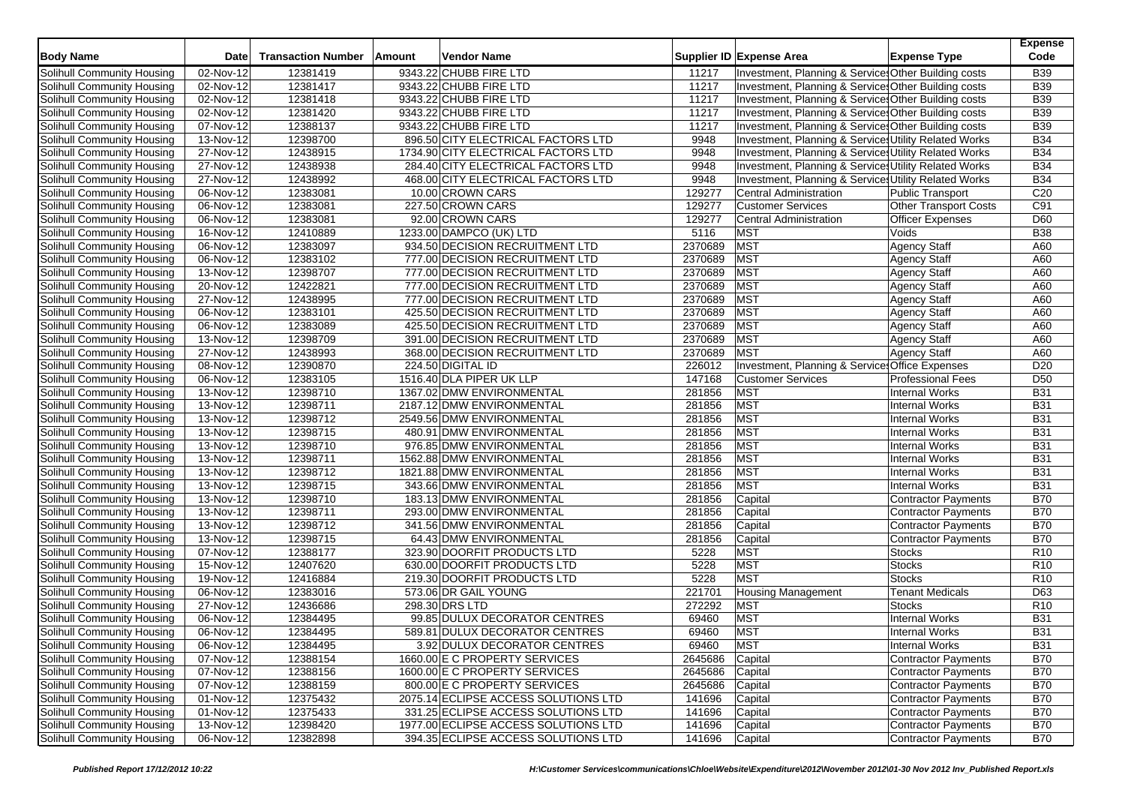| <b>Body Name</b>                  | <b>Date</b>             | <b>Transaction Number</b> | Amount | <b>Vendor Name</b>                   |         | Supplier ID Expense Area                              | <b>Expense Type</b>          | <b>Expense</b><br>Code |
|-----------------------------------|-------------------------|---------------------------|--------|--------------------------------------|---------|-------------------------------------------------------|------------------------------|------------------------|
| Solihull Community Housing        | 02-Nov-12               | 12381419                  |        | 9343.22 CHUBB FIRE LTD               | 11217   | Investment, Planning & Service Other Building costs   |                              | <b>B39</b>             |
| Solihull Community Housing        | 02-Nov-12               | 12381417                  |        | 9343.22 CHUBB FIRE LTD               | 11217   | Investment, Planning & Service Other Building costs   |                              | <b>B39</b>             |
| Solihull Community Housing        | 02-Nov-12               | 12381418                  |        | 9343.22 CHUBB FIRE LTD               | 11217   | Investment, Planning & Services Other Building costs  |                              | <b>B39</b>             |
| Solihull Community Housing        | 02-Nov-12               | 12381420                  |        | 9343.22 CHUBB FIRE LTD               | 11217   | Investment, Planning & Service: Other Building costs  |                              | <b>B39</b>             |
| Solihull Community Housing        | $\overline{07-N}$ ov-12 | 12388137                  |        | 9343.22 CHUBB FIRE LTD               | 11217   | Investment, Planning & Service Other Building costs   |                              | <b>B39</b>             |
| Solihull Community Housing        | 13-Nov-12               | 12398700                  |        | 896.50 CITY ELECTRICAL FACTORS LTD   | 9948    | Investment, Planning & Services Utility Related Works |                              | <b>B34</b>             |
| Solihull Community Housing        | $27-Nov-12$             | 12438915                  |        | 1734.90 CITY ELECTRICAL FACTORS LTD  | 9948    | Investment, Planning & Services Utility Related Works |                              | <b>B34</b>             |
| Solihull Community Housing        | 27-Nov-12               | 12438938                  |        | 284.40 CITY ELECTRICAL FACTORS LTD   | 9948    | Investment, Planning & Services Utility Related Works |                              | <b>B34</b>             |
| Solihull Community Housing        | $27-Nov-12$             | 12438992                  |        | 468.00 CITY ELECTRICAL FACTORS LTD   | 9948    | Investment, Planning & Services Utility Related Works |                              | <b>B34</b>             |
| Solihull Community Housing        | 06-Nov-12               | 12383081                  |        | 10.00 CROWN CARS                     | 129277  | <b>Central Administration</b>                         | Public Transport             | C <sub>20</sub>        |
| Solihull Community Housing        | 06-Nov-12               | 12383081                  |        | 227.50 CROWN CARS                    | 129277  | <b>Customer Services</b>                              | <b>Other Transport Costs</b> | C91                    |
| Solihull Community Housing        | $06-Nov-12$             | 12383081                  |        | 92.00 CROWN CARS                     | 129277  | Central Administration                                | <b>Officer Expenses</b>      | D60                    |
| Solihull Community Housing        | 16-Nov-12               | 12410889                  |        | 1233.00 DAMPCO (UK) LTD              | 5116    | <b>MST</b>                                            | Voids                        | <b>B38</b>             |
| Solihull Community Housing        | 06-Nov-12               | 12383097                  |        | 934.50 DECISION RECRUITMENT LTD      | 2370689 | <b>MST</b>                                            | <b>Agency Staff</b>          | A60                    |
| Solihull Community Housing        | 06-Nov-12               | 12383102                  |        | 777.00 DECISION RECRUITMENT LTD      | 2370689 | <b>MST</b>                                            | <b>Agency Staff</b>          | A60                    |
| Solihull Community Housing        | 13-Nov-12               | 12398707                  |        | 777.00 DECISION RECRUITMENT LTD      | 2370689 | <b>MST</b>                                            | <b>Agency Staff</b>          | A60                    |
| Solihull Community Housing        | $20-Nov-12$             | 12422821                  |        | 777.00 DECISION RECRUITMENT LTD      | 2370689 | <b>MST</b>                                            | <b>Agency Staff</b>          | A60                    |
| Solihull Community Housing        | $27-Nov-12$             | 12438995                  |        | 777.00 DECISION RECRUITMENT LTD      | 2370689 | <b>MST</b>                                            | <b>Agency Staff</b>          | A60                    |
| Solihull Community Housing        | 06-Nov-12               | 12383101                  |        | 425.50 DECISION RECRUITMENT LTD      | 2370689 | <b>MST</b>                                            | <b>Agency Staff</b>          | A60                    |
| Solihull Community Housing        | 06-Nov-12               | 12383089                  |        | 425.50 DECISION RECRUITMENT LTD      | 2370689 | <b>MST</b>                                            | <b>Agency Staff</b>          | A60                    |
| Solihull Community Housing        | 13-Nov-12               | 12398709                  |        | 391.00 DECISION RECRUITMENT LTD      | 2370689 | <b>MST</b>                                            | <b>Agency Staff</b>          | A60                    |
| <b>Solihull Community Housing</b> | 27-Nov-12               | 12438993                  |        | 368.00 DECISION RECRUITMENT LTD      | 2370689 | <b>MST</b>                                            | <b>Agency Staff</b>          | A60                    |
| Solihull Community Housing        | 08-Nov-12               | 12390870                  |        | 224.50 DIGITAL ID                    | 226012  | Investment, Planning & Services Office Expenses       |                              | D <sub>20</sub>        |
| Solihull Community Housing        | $\overline{06}$ -Nov-12 | 12383105                  |        | 1516.40 DLA PIPER UK LLP             | 147168  | <b>Customer Services</b>                              | <b>Professional Fees</b>     | D <sub>50</sub>        |
| Solihull Community Housing        | 13-Nov-12               | 12398710                  |        | 1367.02 DMW ENVIRONMENTAL            | 281856  | <b>MST</b>                                            | Internal Works               | <b>B31</b>             |
| Solihull Community Housing        | 13-Nov-12               | 12398711                  |        | 2187.12 DMW ENVIRONMENTAL            | 281856  | <b>MST</b>                                            | <b>Internal Works</b>        | <b>B31</b>             |
| Solihull Community Housing        | 13-Nov-12               | 12398712                  |        | 2549.56 DMW ENVIRONMENTAL            | 281856  | <b>MST</b>                                            | <b>Internal Works</b>        | <b>B31</b>             |
| Solihull Community Housing        | 13-Nov-12               | 12398715                  |        | 480.91 DMW ENVIRONMENTAL             | 281856  | <b>MST</b>                                            | <b>Internal Works</b>        | <b>B31</b>             |
| Solihull Community Housing        | 13-Nov-12               | 12398710                  |        | 976.85 DMW ENVIRONMENTAL             | 281856  | <b>MST</b>                                            | <b>Internal Works</b>        | <b>B31</b>             |
| Solihull Community Housing        | 13-Nov-12               | 12398711                  |        | 1562.88 DMW ENVIRONMENTAL            | 281856  | <b>MST</b>                                            | <b>Internal Works</b>        | <b>B31</b>             |
| Solihull Community Housing        | 13-Nov-12               | 12398712                  |        | 1821.88 DMW ENVIRONMENTAL            | 281856  | <b>MST</b>                                            | <b>Internal Works</b>        | <b>B31</b>             |
| Solihull Community Housing        | 13-Nov-12               | 12398715                  |        | 343.66 DMW ENVIRONMENTAL             | 281856  | <b>MST</b>                                            | <b>Internal Works</b>        | <b>B31</b>             |
| Solihull Community Housing        | 13-Nov-12               | 12398710                  |        | 183.13 DMW ENVIRONMENTAL             | 281856  | Capital                                               | Contractor Payments          | <b>B70</b>             |
| Solihull Community Housing        | 13-Nov-12               | 12398711                  |        | 293.00 DMW ENVIRONMENTAL             | 281856  | Capital                                               | <b>Contractor Payments</b>   | <b>B70</b>             |
| Solihull Community Housing        | 13-Nov-12               | 12398712                  |        | 341.56 DMW ENVIRONMENTAL             | 281856  | Capital                                               | <b>Contractor Payments</b>   | <b>B70</b>             |
| Solihull Community Housing        | 13-Nov-12               | 12398715                  |        | 64.43 DMW ENVIRONMENTAL              | 281856  | Capital                                               | <b>Contractor Payments</b>   | <b>B70</b>             |
| Solihull Community Housing        | $\overline{07-Nov-12}$  | 12388177                  |        | 323.90 DOORFIT PRODUCTS LTD          | 5228    | <b>MST</b>                                            | <b>Stocks</b>                | R <sub>10</sub>        |
| Solihull Community Housing        | 15-Nov-12               | 12407620                  |        | 630.00 DOORFIT PRODUCTS LTD          | 5228    | <b>MST</b>                                            | Stocks                       | R <sub>10</sub>        |
| Solihull Community Housing        | 19-Nov-12               | 12416884                  |        | 219.30 DOORFIT PRODUCTS LTD          | 5228    | <b>MST</b>                                            | <b>Stocks</b>                | R <sub>10</sub>        |
| Solihull Community Housing        | $\overline{06}$ -Nov-12 | 12383016                  |        | 573.06 DR GAIL YOUNG                 | 221701  | <b>Housing Management</b>                             | <b>Tenant Medicals</b>       | D63                    |
| Solihull Community Housing        | 27-Nov-12               | 12436686                  |        | 298.30 DRS LTD                       | 272292  | <b>MST</b>                                            | <b>Stocks</b>                | R <sub>10</sub>        |
| Solihull Community Housing        | 06-Nov-12               | 12384495                  |        | 99.85 DULUX DECORATOR CENTRES        | 69460   | <b>MST</b>                                            | <b>Internal Works</b>        | <b>B31</b>             |
| Solihull Community Housing        | 06-Nov-12               | 12384495                  |        | 589.81 DULUX DECORATOR CENTRES       | 69460   | <b>MST</b>                                            | Internal Works               | <b>B31</b>             |
| Solihull Community Housing        | 06-Nov-12               | 12384495                  |        | 3.92 DULUX DECORATOR CENTRES         | 69460   | MST                                                   | Internal Works               | <b>B31</b>             |
| Solihull Community Housing        | 07-Nov-12               | 12388154                  |        | 1660.00 E C PROPERTY SERVICES        | 2645686 | Capital                                               | Contractor Payments          | <b>B70</b>             |
| Solihull Community Housing        | 07-Nov-12               | 12388156                  |        | 1600.00 E C PROPERTY SERVICES        | 2645686 | Capital                                               | <b>Contractor Payments</b>   | <b>B70</b>             |
| Solihull Community Housing        | 07-Nov-12               | 12388159                  |        | 800.00 E C PROPERTY SERVICES         | 2645686 | Capital                                               | Contractor Payments          | <b>B70</b>             |
| Solihull Community Housing        | 01-Nov-12               | 12375432                  |        | 2075.14 ECLIPSE ACCESS SOLUTIONS LTD | 141696  | Capital                                               | <b>Contractor Payments</b>   | <b>B70</b>             |
| Solihull Community Housing        | 01-Nov-12               | 12375433                  |        | 331.25 ECLIPSE ACCESS SOLUTIONS LTD  | 141696  | Capital                                               | Contractor Payments          | <b>B70</b>             |
| Solihull Community Housing        | 13-Nov-12               | 12398420                  |        | 1977.00 ECLIPSE ACCESS SOLUTIONS LTD | 141696  | Capital                                               | Contractor Payments          | <b>B70</b>             |
| Solihull Community Housing        | 06-Nov-12               | 12382898                  |        | 394.35 ECLIPSE ACCESS SOLUTIONS LTD  | 141696  | Capital                                               | <b>Contractor Payments</b>   | <b>B70</b>             |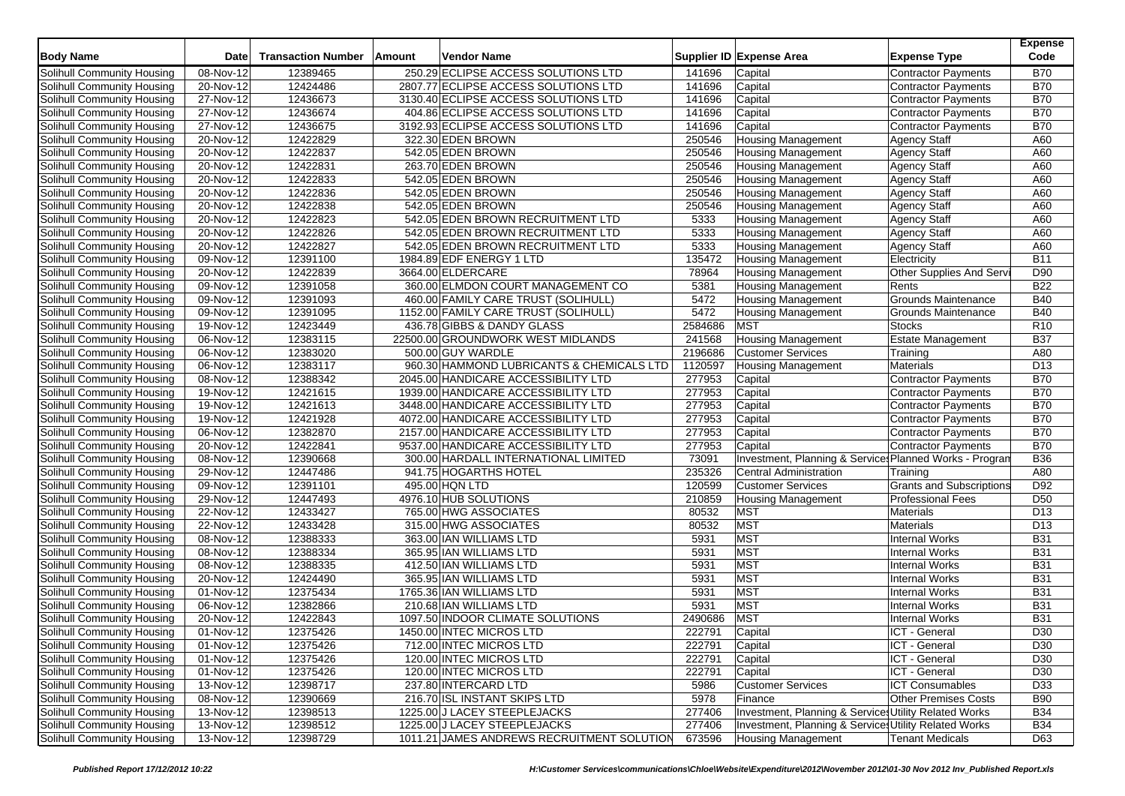| <b>Body Name</b>           | Date                    | <b>Transaction Number</b> | Amount | <b>Vendor Name</b>                         |         | Supplier ID Expense Area                               | <b>Expense Type</b>             | <b>Expense</b><br>Code |
|----------------------------|-------------------------|---------------------------|--------|--------------------------------------------|---------|--------------------------------------------------------|---------------------------------|------------------------|
| Solihull Community Housing | 08-Nov-12               | 12389465                  |        | 250.29 ECLIPSE ACCESS SOLUTIONS LTD        | 141696  | Capital                                                | <b>Contractor Payments</b>      | <b>B70</b>             |
| Solihull Community Housing | $20-Nov-12$             | 12424486                  |        | 2807.77 ECLIPSE ACCESS SOLUTIONS LTD       | 141696  | Capital                                                | <b>Contractor Payments</b>      | <b>B70</b>             |
| Solihull Community Housing | 27-Nov-12               | 12436673                  |        | 3130.40 ECLIPSE ACCESS SOLUTIONS LTD       | 141696  | Capital                                                | <b>Contractor Payments</b>      | <b>B70</b>             |
| Solihull Community Housing | $\overline{27}$ -Nov-12 | 12436674                  |        | 404.86 ECLIPSE ACCESS SOLUTIONS LTD        | 141696  | Capital                                                | <b>Contractor Payments</b>      | <b>B70</b>             |
| Solihull Community Housing | 27-Nov-12               | 12436675                  |        | 3192.93 ECLIPSE ACCESS SOLUTIONS LTD       | 141696  | Capital                                                | <b>Contractor Payments</b>      | <b>B70</b>             |
| Solihull Community Housing | 20-Nov-12               | 12422829                  |        | 322.30 EDEN BROWN                          | 250546  | <b>Housing Management</b>                              | <b>Agency Staff</b>             | A60                    |
| Solihull Community Housing | 20-Nov-12               | 12422837                  |        | 542.05 EDEN BROWN                          | 250546  | Housing Management                                     | <b>Agency Staff</b>             | A60                    |
| Solihull Community Housing | 20-Nov-12               | 12422831                  |        | 263.70 EDEN BROWN                          | 250546  | <b>Housing Management</b>                              | <b>Agency Staff</b>             | A60                    |
| Solihull Community Housing | $20-Nov-12$             | 12422833                  |        | 542.05 EDEN BROWN                          | 250546  | <b>Housing Management</b>                              | Agency Staff                    | A60                    |
| Solihull Community Housing | 20-Nov-12               | 12422836                  |        | 542.05 EDEN BROWN                          | 250546  | <b>Housing Management</b>                              | <b>Agency Staff</b>             | A60                    |
| Solihull Community Housing | 20-Nov-12               | 12422838                  |        | 542.05 EDEN BROWN                          | 250546  | <b>Housing Management</b>                              | <b>Agency Staff</b>             | A60                    |
|                            | $20-Nov-12$             | 12422823                  |        | 542.05 EDEN BROWN RECRUITMENT LTD          | 5333    |                                                        | Agency Staff                    | A60                    |
| Solihull Community Housing |                         | 12422826                  |        |                                            | 5333    | <b>Housing Management</b><br><b>Housing Management</b> |                                 |                        |
| Solihull Community Housing | 20-Nov-12               |                           |        | 542.05 EDEN BROWN RECRUITMENT LTD          |         |                                                        | <b>Agency Staff</b>             | A60                    |
| Solihull Community Housing | $\overline{20}$ -Nov-12 | 12422827                  |        | 542.05 EDEN BROWN RECRUITMENT LTD          | 5333    | <b>Housing Management</b>                              | <b>Agency Staff</b>             | A60                    |
| Solihull Community Housing | 09-Nov-12               | 12391100                  |        | 1984.89 EDF ENERGY 1 LTD                   | 135472  | <b>Housing Management</b>                              | Electricity                     | <b>B11</b>             |
| Solihull Community Housing | 20-Nov-12               | 12422839                  |        | 3664.00 ELDERCARE                          | 78964   | <b>Housing Management</b>                              | Other Supplies And Serv         | D90                    |
| Solihull Community Housing | $\overline{09-N}$ ov-12 | 12391058                  |        | 360.00 ELMDON COURT MANAGEMENT CO          | 5381    | <b>Housing Management</b>                              | Rents                           | <b>B22</b>             |
| Solihull Community Housing | $\overline{09-N}$ ov-12 | 12391093                  |        | 460.00 FAMILY CARE TRUST (SOLIHULL)        | 5472    | <b>Housing Management</b>                              | <b>Grounds Maintenance</b>      | <b>B40</b>             |
| Solihull Community Housing | 09-Nov-12               | 12391095                  |        | 1152.00 FAMILY CARE TRUST (SOLIHULL)       | 5472    | <b>Housing Management</b>                              | Grounds Maintenance             | <b>B40</b>             |
| Solihull Community Housing | 19-Nov-12               | 12423449                  |        | 436.78 GIBBS & DANDY GLASS                 | 2584686 | <b>MST</b>                                             | <b>Stocks</b>                   | R <sub>10</sub>        |
| Solihull Community Housing | 06-Nov-12               | 12383115                  |        | 22500.00 GROUNDWORK WEST MIDLANDS          | 241568  | <b>Housing Management</b>                              | <b>Estate Management</b>        | <b>B37</b>             |
| Solihull Community Housing | 06-Nov-12               | 12383020                  |        | 500.00 GUY WARDLE                          | 2196686 | <b>Customer Services</b>                               | Training                        | A80                    |
| Solihull Community Housing | 06-Nov-12               | 12383117                  |        | 960.30 HAMMOND LUBRICANTS & CHEMICALS LTD  | 1120597 | <b>Housing Management</b>                              | Materials                       | D <sub>13</sub>        |
| Solihull Community Housing | $08-Nov-12$             | 12388342                  |        | 2045.00 HANDICARE ACCESSIBILITY LTD        | 277953  | Capital                                                | <b>Contractor Payments</b>      | <b>B70</b>             |
| Solihull Community Housing | 19-Nov-12               | 12421615                  |        | 1939.00 HANDICARE ACCESSIBILITY LTD        | 277953  | Capital                                                | <b>Contractor Payments</b>      | <b>B70</b>             |
| Solihull Community Housing | 19-Nov-12               | 12421613                  |        | 3448.00 HANDICARE ACCESSIBILITY LTD        | 277953  | Capital                                                | <b>Contractor Payments</b>      | <b>B70</b>             |
| Solihull Community Housing | 19-Nov-12               | 12421928                  |        | 4072.00 HANDICARE ACCESSIBILITY LTD        | 277953  | Capital                                                | <b>Contractor Payments</b>      | <b>B70</b>             |
| Solihull Community Housing | 06-Nov-12               | 12382870                  |        | 2157.00 HANDICARE ACCESSIBILITY LTD        | 277953  | Capital                                                | <b>Contractor Payments</b>      | <b>B70</b>             |
| Solihull Community Housing | 20-Nov-12               | 12422841                  |        | 9537.00 HANDICARE ACCESSIBILITY LTD        | 277953  | Capital                                                | Contractor Payments             | <b>B70</b>             |
| Solihull Community Housing | 08-Nov-12               | 12390668                  |        | 300.00 HARDALL INTERNATIONAL LIMITED       | 73091   | Investment, Planning & Service Planned Works - Progran |                                 | <b>B36</b>             |
| Solihull Community Housing | $29-Nov-12$             | 12447486                  |        | 941.75 HOGARTHS HOTEL                      | 235326  | <b>Central Administration</b>                          | Training                        | A80                    |
| Solihull Community Housing | 09-Nov-12               | 12391101                  |        | 495.00 HQN LTD                             | 120599  | <b>Customer Services</b>                               | <b>Grants and Subscriptions</b> | D92                    |
| Solihull Community Housing | $29-Nov-12$             | 12447493                  |        | 4976.10 HUB SOLUTIONS                      | 210859  | <b>Housing Management</b>                              | <b>Professional Fees</b>        | D <sub>50</sub>        |
| Solihull Community Housing | 22-Nov-12               | 12433427                  |        | 765.00 HWG ASSOCIATES                      | 80532   | <b>MST</b>                                             | Materials                       | D <sub>13</sub>        |
| Solihull Community Housing | 22-Nov-12               | 12433428                  |        | 315.00 HWG ASSOCIATES                      | 80532   | <b>MST</b>                                             | <b>Materials</b>                | D <sub>13</sub>        |
| Solihull Community Housing | $08-Nov-12$             | 12388333                  |        | 363.00 IAN WILLIAMS LTD                    | 5931    | <b>MST</b>                                             | <b>Internal Works</b>           | <b>B31</b>             |
| Solihull Community Housing | 08-Nov-12               | 12388334                  |        | 365.95 IAN WILLIAMS LTD                    | 5931    | MST                                                    | <b>Internal Works</b>           | <b>B31</b>             |
| Solihull Community Housing | 08-Nov-12               | 12388335                  |        | 412.50 IAN WILLIAMS LTD                    | 5931    | MST                                                    | <b>Internal Works</b>           | <b>B31</b>             |
| Solihull Community Housing | 20-Nov-12               | 12424490                  |        | 365.95 IAN WILLIAMS LTD                    | 5931    | <b>MST</b>                                             | <b>Internal Works</b>           | <b>B31</b>             |
| Solihull Community Housing | 01-Nov-12               | 12375434                  |        | 1765.36 IAN WILLIAMS LTD                   | 5931    | <b>MST</b>                                             | <b>Internal Works</b>           | <b>B31</b>             |
| Solihull Community Housing | 06-Nov-12               | 12382866                  |        | 210.68 IAN WILLIAMS LTD                    | 5931    | MST                                                    | <b>Internal Works</b>           | <b>B31</b>             |
| Solihull Community Housing | 20-Nov-12               | 12422843                  |        | 1097.50 INDOOR CLIMATE SOLUTIONS           | 2490686 | <b>MST</b>                                             | Internal Works                  | <b>B31</b>             |
| Solihull Community Housing | 01-Nov-12               | 12375426                  |        | 1450.00 INTEC MICROS LTD                   | 222791  | Capital                                                | ICT - General                   | D30                    |
| Solihull Community Housing | 01-Nov-12               | 12375426                  |        | 712.00 INTEC MICROS LTD                    | 222791  | Capital                                                | ICT - General                   | D30                    |
| Solihull Community Housing | 01-Nov-12               | 12375426                  |        | 120.00 INTEC MICROS LTD                    | 222791  | Capital                                                | ICT - General                   | D30                    |
| Solihull Community Housing | 01-Nov-12               | 12375426                  |        | 120.00 INTEC MICROS LTD                    | 222791  | Capital                                                | ICT - General                   | D <sub>30</sub>        |
| Solihull Community Housing | 13-Nov-12               | 12398717                  |        | 237.80 INTERCARD LTD                       | 5986    | <b>Customer Services</b>                               | <b>ICT Consumables</b>          | D33                    |
| Solihull Community Housing | 08-Nov-12               | 12390669                  |        | 216.70 ISL INSTANT SKIPS LTD               | 5978    | Finance                                                | <b>Other Premises Costs</b>     | <b>B90</b>             |
| Solihull Community Housing | $13-Nov-12$             | 12398513                  |        | 1225.00 J LACEY STEEPLEJACKS               | 277406  | Investment, Planning & Services Utility Related Works  |                                 | <b>B34</b>             |
| Solihull Community Housing | 13-Nov-12               | 12398512                  |        | 1225.00 J LACEY STEEPLEJACKS               | 277406  | Investment, Planning & Services Utility Related Works  |                                 | <b>B34</b>             |
| Solihull Community Housing | 13-Nov-12               | 12398729                  |        | 1011.21 JAMES ANDREWS RECRUITMENT SOLUTION | 673596  | Housing Management                                     | <b>Tenant Medicals</b>          | D63                    |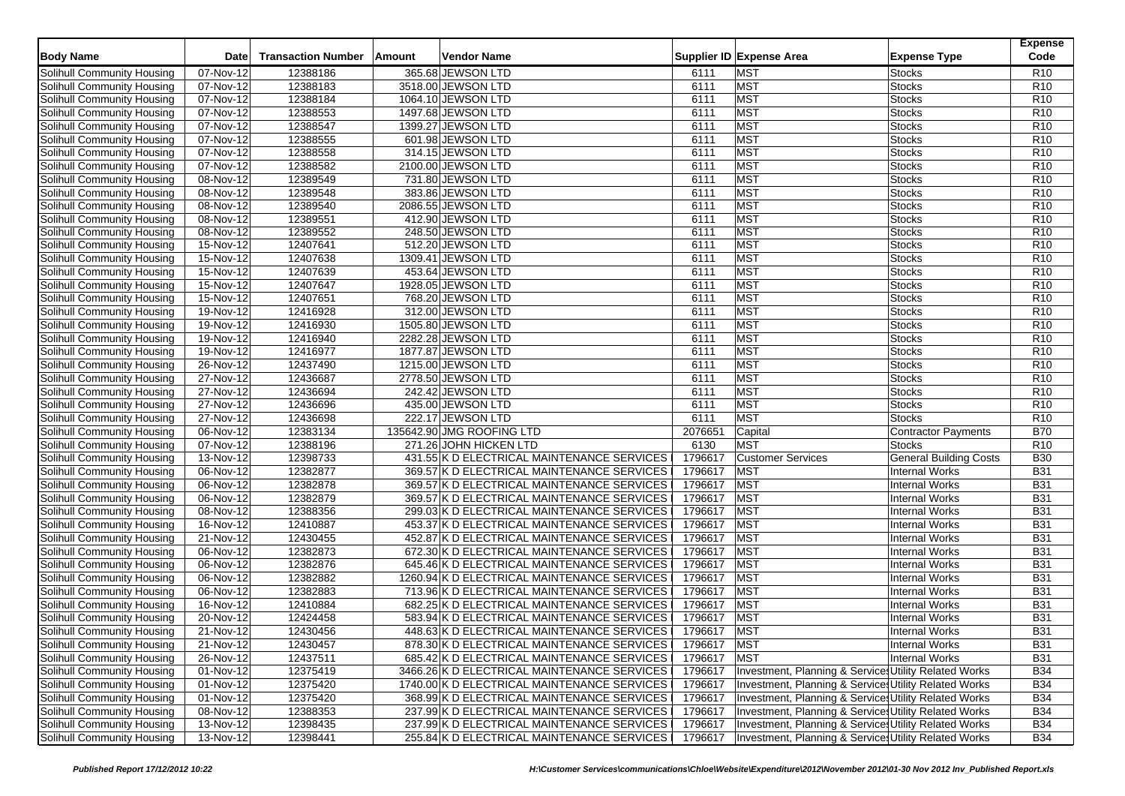| <b>Body Name</b>           | <b>Date</b>             | <b>Transaction Number</b> | <b>Amount</b> | Vendor Name                                   |         | Supplier ID Expense Area                              | <b>Expense Type</b>                                   | <b>Expense</b><br>Code |
|----------------------------|-------------------------|---------------------------|---------------|-----------------------------------------------|---------|-------------------------------------------------------|-------------------------------------------------------|------------------------|
| Solihull Community Housing | 07-Nov-12               | 12388186                  |               | 365.68 JEWSON LTD                             | 6111    | <b>MST</b>                                            | <b>Stocks</b>                                         | R <sub>10</sub>        |
| Solihull Community Housing | 07-Nov-12               | 12388183                  |               | 3518.00 JEWSON LTD                            | 6111    | <b>MST</b>                                            | <b>Stocks</b>                                         | R <sub>10</sub>        |
| Solihull Community Housing | 07-Nov-12               | 12388184                  |               | 1064.10 JEWSON LTD                            | 6111    | <b>MST</b>                                            | <b>Stocks</b>                                         | R <sub>10</sub>        |
| Solihull Community Housing | 07-Nov-12               | 12388553                  |               | 1497.68 JEWSON LTD                            | 6111    | <b>MST</b>                                            | <b>Stocks</b>                                         | R <sub>10</sub>        |
| Solihull Community Housing | $\overline{07-N}$ ov-12 | 12388547                  |               | 1399.27 JEWSON LTD                            | 6111    | <b>MST</b>                                            | <b>Stocks</b>                                         | R <sub>10</sub>        |
| Solihull Community Housing | 07-Nov-12               | 12388555                  |               | 601.98 JEWSON LTD                             | 6111    | MST                                                   | <b>Stocks</b>                                         | R <sub>10</sub>        |
| Solihull Community Housing | 07-Nov-12               | 12388558                  |               | 314.15 JEWSON LTD                             | 6111    | MST                                                   | <b>Stocks</b>                                         | R <sub>10</sub>        |
| Solihull Community Housing | 07-Nov-12               | 12388582                  |               | 2100.00 JEWSON LTD                            | 6111    | <b>MST</b>                                            | <b>Stocks</b>                                         | R <sub>10</sub>        |
| Solihull Community Housing | $08-Nov-12$             | 12389549                  |               | 731.80 JEWSON LTD                             | 6111    | MST                                                   | <b>Stocks</b>                                         | R <sub>10</sub>        |
| Solihull Community Housing | 08-Nov-12               | 12389548                  |               | 383.86 JEWSON LTD                             | 6111    | <b>MST</b>                                            | <b>Stocks</b>                                         | R <sub>10</sub>        |
| Solihull Community Housing | 08-Nov-12               | 12389540                  |               | 2086.55 JEWSON LTD                            | 6111    | MST                                                   | <b>Stocks</b>                                         | R10                    |
| Solihull Community Housing | 08-Nov-12               | 12389551                  |               | 412.90 JEWSON LTD                             | 6111    | MST                                                   | <b>Stocks</b>                                         | R <sub>10</sub>        |
| Solihull Community Housing | 08-Nov-12               | 12389552                  |               | 248.50 JEWSON LTD                             | 6111    | <b>MST</b>                                            | <b>Stocks</b>                                         | R <sub>10</sub>        |
| Solihull Community Housing | 15-Nov-12               | 12407641                  |               | 512.20 JEWSON LTD                             | 6111    | MST                                                   | <b>Stocks</b>                                         | R <sub>10</sub>        |
| Solihull Community Housing | $15$ -Nov-12            | 12407638                  |               | 1309.41 JEWSON LTD                            | 6111    | MST                                                   | <b>Stocks</b>                                         | R <sub>10</sub>        |
| Solihull Community Housing | 15-Nov-12               | 12407639                  |               | 453.64 JEWSON LTD                             | 6111    | <b>MST</b>                                            | <b>Stocks</b>                                         | R <sub>10</sub>        |
| Solihull Community Housing | 15-Nov-12               | 12407647                  |               | 1928.05 JEWSON LTD                            | 6111    | MST                                                   | <b>Stocks</b>                                         | R <sub>10</sub>        |
| Solihull Community Housing | 15-Nov-12               | 12407651                  |               | 768.20 JEWSON LTD                             | 6111    | <b>MST</b>                                            | <b>Stocks</b>                                         | R10                    |
| Solihull Community Housing | 19-Nov-12               | 12416928                  |               | 312.00 JEWSON LTD                             | 6111    | MST                                                   | <b>Stocks</b>                                         | R <sub>10</sub>        |
| Solihull Community Housing | 19-Nov-12               | 12416930                  |               | 1505.80 JEWSON LTD                            | 6111    | <b>MST</b>                                            | <b>Stocks</b>                                         | R <sub>10</sub>        |
| Solihull Community Housing | 19-Nov-12               | 12416940                  |               | 2282.28 JEWSON LTD                            | 6111    | MST                                                   | <b>Stocks</b>                                         | R <sub>10</sub>        |
| Solihull Community Housing | 19-Nov-12               | 12416977                  |               | 1877.87 JEWSON LTD                            | 6111    | MST                                                   | <b>Stocks</b>                                         | R <sub>10</sub>        |
| Solihull Community Housing | 26-Nov-12               | 12437490                  |               | 1215.00 JEWSON LTD                            | 6111    | <b>MST</b>                                            | <b>Stocks</b>                                         | R <sub>10</sub>        |
| Solihull Community Housing | 27-Nov-12               | 12436687                  |               | 2778.50 JEWSON LTD                            | 6111    | MST                                                   | <b>Stocks</b>                                         | R <sub>10</sub>        |
| Solihull Community Housing | 27-Nov-12               | 12436694                  |               | 242.42 JEWSON LTD                             | 6111    | <b>MST</b>                                            | <b>Stocks</b>                                         | R <sub>10</sub>        |
| Solihull Community Housing | $27-Nov-12$             | 12436696                  |               | 435.00 JEWSON LTD                             | 6111    | <b>MST</b>                                            | <b>Stocks</b>                                         | R10                    |
| Solihull Community Housing | 27-Nov-12               | 12436698                  |               | 222.17 JEWSON LTD                             | 6111    | <b>MST</b>                                            | <b>Stocks</b>                                         | R <sub>10</sub>        |
| Solihull Community Housing | 06-Nov-12               | 12383134                  |               | 135642.90 JMG ROOFING LTD                     | 2076651 | Capital                                               | <b>Contractor Payments</b>                            | <b>B70</b>             |
| Solihull Community Housing | 07-Nov-12               | 12388196                  |               | 271.26 JOHN HICKEN LTD                        | 6130    | <b>MST</b>                                            | <b>Stocks</b>                                         | R <sub>10</sub>        |
| Solihull Community Housing | 13-Nov-12               | 12398733                  |               | 431.55 K D ELECTRICAL MAINTENANCE SERVICES    | 1796617 | <b>Customer Services</b>                              | <b>General Building Costs</b>                         | <b>B30</b>             |
| Solihull Community Housing | $\overline{06-N}$ ov-12 | 12382877                  |               | 369.57 K D ELECTRICAL MAINTENANCE SERVICES    | 1796617 | <b>MST</b>                                            | <b>Internal Works</b>                                 | <b>B31</b>             |
| Solihull Community Housing | 06-Nov-12               | 12382878                  |               | 369.57 K D ELECTRICAL MAINTENANCE SERVICES    | 1796617 | <b>MST</b>                                            | <b>Internal Works</b>                                 | <b>B31</b>             |
| Solihull Community Housing | $\overline{06}$ -Nov-12 | 12382879                  |               | 369.57 K D ELECTRICAL MAINTENANCE SERVICES    | 1796617 | MST                                                   | <b>Internal Works</b>                                 | <b>B31</b>             |
| Solihull Community Housing | 08-Nov-12               | 12388356                  |               | 299.03 K D ELECTRICAL MAINTENANCE SERVICES    | 1796617 | <b>MST</b>                                            | <b>Internal Works</b>                                 | <b>B31</b>             |
| Solihull Community Housing | $16-Nov-12$             | 12410887                  |               | 453.37 K D ELECTRICAL MAINTENANCE SERVICES    | 1796617 | MST                                                   | Internal Works                                        | <b>B31</b>             |
| Solihull Community Housing | 21-Nov-12               | 12430455                  |               | 452.87 K D ELECTRICAL MAINTENANCE SERVICES    | 1796617 | <b>MST</b>                                            | <b>Internal Works</b>                                 | <b>B31</b>             |
| Solihull Community Housing | 06-Nov-12               | 12382873                  |               | 672.30 K D ELECTRICAL MAINTENANCE SERVICES    | 1796617 | <b>MST</b>                                            | <b>Internal Works</b>                                 | <b>B31</b>             |
| Solihull Community Housing | 06-Nov-12               | 12382876                  |               | 645.46 K D ELECTRICAL MAINTENANCE SERVICES    | 1796617 | <b>MST</b>                                            | Internal Works                                        | <b>B31</b>             |
| Solihull Community Housing | 06-Nov-12               | 12382882                  |               | 1260.94 K D ELECTRICAL MAINTENANCE SERVICES   | 1796617 | <b>MST</b>                                            | <b>Internal Works</b>                                 | <b>B31</b>             |
| Solihull Community Housing | 06-Nov-12               | 12382883                  |               | 713.96 K D ELECTRICAL MAINTENANCE SERVICES    | 1796617 | <b>MST</b>                                            | <b>Internal Works</b>                                 | <b>B31</b>             |
| Solihull Community Housing | $16-Nov-12$             | 12410884                  |               | 682.25 K D ELECTRICAL MAINTENANCE SERVICES    | 1796617 | <b>MST</b>                                            | <b>Internal Works</b>                                 | <b>B31</b>             |
| Solihull Community Housing | 20-Nov-12               | 12424458                  |               | 583.94 K D ELECTRICAL MAINTENANCE SERVICES    | 1796617 | MST                                                   | <b>Internal Works</b>                                 | <b>B31</b>             |
| Solihull Community Housing | 21-Nov-12               | 12430456                  |               | 448.63 K D ELECTRICAL MAINTENANCE SERVICES    | 1796617 | <b>MST</b>                                            | <b>Internal Works</b>                                 | <b>B31</b>             |
| Solihull Community Housing | 21-Nov-12               | 12430457                  |               | 878.30 K D ELECTRICAL MAINTENANCE SERVICES    | 1796617 | <b>MST</b>                                            | <b>Internal Works</b>                                 | <b>B31</b>             |
| Solihull Community Housing | 26-Nov-12               | 12437511                  |               | 685.42 K D ELECTRICAL MAINTENANCE SERVICES I  | 1796617 | <b>MST</b>                                            | <b>Internal Works</b>                                 | <b>B31</b>             |
| Solihull Community Housing | 01-Nov-12               | 12375419                  |               | 3466.26 K D ELECTRICAL MAINTENANCE SERVICES I | 1796617 | Investment, Planning & Services Utility Related Works |                                                       | <b>B34</b>             |
| Solihull Community Housing | 01-Nov-12               | 12375420                  |               | 1740.00 K D ELECTRICAL MAINTENANCE SERVICES I | 1796617 | Investment, Planning & Services Utility Related Works |                                                       | <b>B34</b>             |
| Solihull Community Housing | 01-Nov-12               | 12375420                  |               | 368.99 K D ELECTRICAL MAINTENANCE SERVICES    | 1796617 |                                                       | Investment, Planning & Services Utility Related Works | <b>B34</b>             |
| Solihull Community Housing | 08-Nov-12               | 12388353                  |               | 237.99 K D ELECTRICAL MAINTENANCE SERVICES    | 1796617 |                                                       | Investment, Planning & Services Utility Related Works | <b>B34</b>             |
| Solihull Community Housing | 13-Nov-12               | 12398435                  |               | 237.99 K D ELECTRICAL MAINTENANCE SERVICES    | 1796617 |                                                       | Investment, Planning & Services Utility Related Works | <b>B34</b>             |
| Solihull Community Housing | 13-Nov-12               | 12398441                  |               | 255.84 K D ELECTRICAL MAINTENANCE SERVICES    | 1796617 |                                                       | Investment, Planning & Services Utility Related Works | <b>B34</b>             |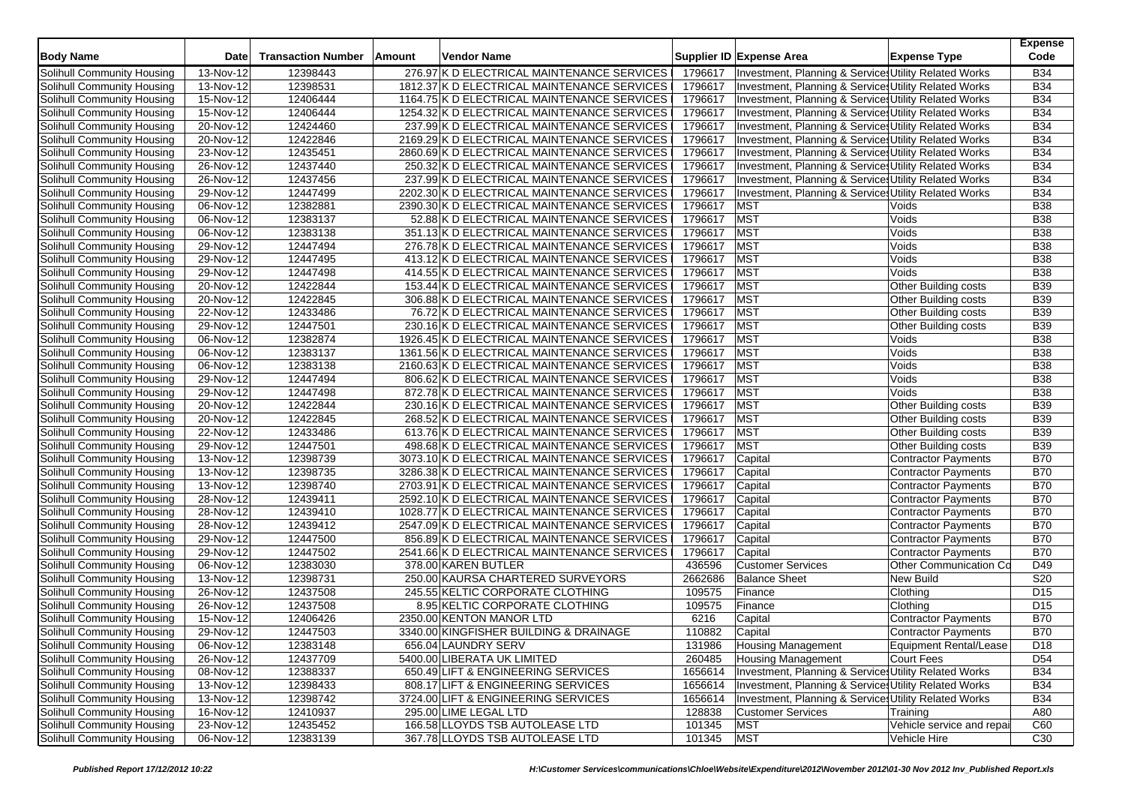| <b>Body Name</b>                  | <b>Date</b>             | <b>Transaction Number</b> | Amount | <b>Vendor Name</b>                          |            | Supplier ID Expense Area                              | <b>Expense Type</b>         | <b>Expense</b><br>Code |
|-----------------------------------|-------------------------|---------------------------|--------|---------------------------------------------|------------|-------------------------------------------------------|-----------------------------|------------------------|
| Solihull Community Housing        | 13-Nov-12               | 12398443                  |        | 276.97 K D ELECTRICAL MAINTENANCE SERVICES  | 1796617    | Investment, Planning & Services Utility Related Works |                             | <b>B34</b>             |
| Solihull Community Housing        | $13-Nov-12$             | 12398531                  |        | 1812.37 K D ELECTRICAL MAINTENANCE SERVICES | 1796617    | Investment, Planning & Services Utility Related Works |                             | <b>B34</b>             |
| Solihull Community Housing        | 15-Nov-12               | 12406444                  |        | 1164.75 K D ELECTRICAL MAINTENANCE SERVICES | 1796617    | Investment, Planning & Services Utility Related Works |                             | <b>B34</b>             |
| Solihull Community Housing        | 15-Nov-12               | 12406444                  |        | 1254.32 K D ELECTRICAL MAINTENANCE SERVICES | 1796617    | Investment, Planning & Services Utility Related Works |                             | <b>B34</b>             |
| Solihull Community Housing        | 20-Nov-12               | 12424460                  |        | 237.99 K D ELECTRICAL MAINTENANCE SERVICES  | 1796617    | Investment, Planning & Service Utility Related Works  |                             | <b>B34</b>             |
| Solihull Community Housing        | 20-Nov-12               | 12422846                  |        | 2169.29 K D ELECTRICAL MAINTENANCE SERVICES | 1796617    | Investment, Planning & Services Utility Related Works |                             | <b>B34</b>             |
| Solihull Community Housing        | 23-Nov-12               | 12435451                  |        | 2860.69 K D ELECTRICAL MAINTENANCE SERVICES | 1796617    | Investment, Planning & Services Utility Related Works |                             | <b>B34</b>             |
| Solihull Community Housing        | 26-Nov-12               | 12437440                  |        | 250.32 K D ELECTRICAL MAINTENANCE SERVICES  | 1796617    | Investment, Planning & Services Utility Related Works |                             | <b>B34</b>             |
| Solihull Community Housing        | $26-Nov-12$             | 12437456                  |        | 237.99 K D ELECTRICAL MAINTENANCE SERVICES  | 1796617    | Investment, Planning & Services Utility Related Works |                             | <b>B34</b>             |
| Solihull Community Housing        | 29-Nov-12               | 12447499                  |        | 2202.30 K D ELECTRICAL MAINTENANCE SERVICES | 1796617    | Investment, Planning & Services Utility Related Works |                             | <b>B34</b>             |
| Solihull Community Housing        | 06-Nov-12               | 12382881                  |        | 2390.30 K D ELECTRICAL MAINTENANCE SERVICES | 1796617    | <b>MST</b>                                            | Voids                       | <b>B38</b>             |
| Solihull Community Housing        | $\overline{06}$ -Nov-12 | 12383137                  |        | 52.88 K D ELECTRICAL MAINTENANCE SERVICES   | 1796617    | <b>MST</b>                                            | Voids                       | <b>B38</b>             |
| Solihull Community Housing        | 06-Nov-12               | 12383138                  |        | 351.13 K D ELECTRICAL MAINTENANCE SERVICES  | 1796617    | MST                                                   | Voids                       | <b>B38</b>             |
| Solihull Community Housing        | $29-Nov-12$             | 12447494                  |        | 276.78 K D ELECTRICAL MAINTENANCE SERVICES  | 1796617    | MST                                                   | Voids                       | <b>B38</b>             |
| Solihull Community Housing        | 29-Nov-12               | 12447495                  |        | 413.12 K D ELECTRICAL MAINTENANCE SERVICES  | 1796617    | <b>MST</b>                                            | Voids                       | <b>B38</b>             |
| Solihull Community Housing        | 29-Nov-12               | 12447498                  |        | 414.55 K D ELECTRICAL MAINTENANCE SERVICES  | 1796617    | MST                                                   | Voids                       | <b>B</b> 38            |
| Solihull Community Housing        | 20-Nov-12               | 12422844                  |        | 153.44 K D ELECTRICAL MAINTENANCE SERVICES  | 1796617    | MST                                                   | Other Building costs        | <b>B39</b>             |
| Solihull Community Housing        | 20-Nov-12               | 12422845                  |        | 306.88 K D ELECTRICAL MAINTENANCE SERVICES  | 1796617    | <b>MST</b>                                            | <b>Other Building costs</b> | <b>B39</b>             |
| Solihull Community Housing        | 22-Nov-12               | 12433486                  |        | 76.72 K D ELECTRICAL MAINTENANCE SERVICES   | 1796617    | <b>MST</b>                                            | <b>Other Building costs</b> | <b>B39</b>             |
| Solihull Community Housing        | 29-Nov-12               | 12447501                  |        | 230.16 K D ELECTRICAL MAINTENANCE SERVICES  | 1796617    | <b>MST</b>                                            | <b>Other Building costs</b> | <b>B39</b>             |
| Solihull Community Housing        | 06-Nov-12               | 12382874                  |        | 1926.45 K D ELECTRICAL MAINTENANCE SERVICES | 1796617    | <b>MST</b>                                            | Voids                       | <b>B38</b>             |
| Solihull Community Housing        | 06-Nov-12               | 12383137                  |        | 1361.56 K D ELECTRICAL MAINTENANCE SERVICES | 1796617    | <b>MST</b>                                            | Voids                       | <b>B38</b>             |
| Solihull Community Housing        | 06-Nov-12               | 12383138                  |        | 2160.63 K D ELECTRICAL MAINTENANCE SERVICES | 1796617    | MST                                                   | Voids                       | <b>B38</b>             |
| Solihull Community Housing        | 29-Nov-12               | 12447494                  |        | 806.62 K D ELECTRICAL MAINTENANCE SERVICES  | 1796617    | <b>MST</b>                                            | Voids                       | <b>B38</b>             |
| Solihull Community Housing        | 29-Nov-12               | 12447498                  |        | 872.78 K D ELECTRICAL MAINTENANCE SERVICES  | 1796617    | <b>MST</b>                                            | Voids                       | <b>B</b> 38            |
| Solihull Community Housing        | 20-Nov-12               | 12422844                  |        | 230.16 K D ELECTRICAL MAINTENANCE SERVICES  | 1796617    | MST                                                   | Other Building costs        | <b>B39</b>             |
| Solihull Community Housing        | 20-Nov-12               | 12422845                  |        | 268.52 K D ELECTRICAL MAINTENANCE SERVICES  | 1796617    | MST                                                   | <b>Other Building costs</b> | <b>B39</b>             |
| Solihull Community Housing        | 22-Nov-12               | 12433486                  |        | 613.76 K D ELECTRICAL MAINTENANCE SERVICES  | 1796617    | <b>MST</b>                                            | Other Building costs        | <b>B39</b>             |
| Solihull Community Housing        | 29-Nov-12               | 12447501                  |        | 498.68 K D ELECTRICAL MAINTENANCE SERVICES  | 1796617    | <b>MST</b>                                            | <b>Other Building costs</b> | <b>B39</b>             |
| Solihull Community Housing        | 13-Nov-12               | 12398739                  |        | 3073.10 K D ELECTRICAL MAINTENANCE SERVICES | 1796617    | Capital                                               | <b>Contractor Payments</b>  | <b>B70</b>             |
| Solihull Community Housing        | 13-Nov-12               | 12398735                  |        | 3286.38 K D ELECTRICAL MAINTENANCE SERVICES | 1796617    | Capital                                               | <b>Contractor Payments</b>  | <b>B70</b>             |
| Solihull Community Housing        | 13-Nov-12               | 12398740                  |        | 2703.91 K D ELECTRICAL MAINTENANCE SERVICES | 1796617    | Capital                                               | <b>Contractor Payments</b>  | <b>B70</b>             |
| Solihull Community Housing        | $28-Nov-12$             | 12439411                  |        | 2592.10 K D ELECTRICAL MAINTENANCE SERVICES | 1796617    | Capital                                               | <b>Contractor Payments</b>  | <b>B70</b>             |
| Solihull Community Housing        | 28-Nov-12               | 12439410                  |        | 1028.77 K D ELECTRICAL MAINTENANCE SERVICES | 1796617    | Capital                                               | <b>Contractor Payments</b>  | <b>B70</b>             |
| Solihull Community Housing        | 28-Nov-12               | 12439412                  |        | 2547.09 K D ELECTRICAL MAINTENANCE SERVICES | 1796617    | Capital                                               | <b>Contractor Payments</b>  | <b>B70</b>             |
| Solihull Community Housing        | 29-Nov-12               | 12447500                  |        | 856.89 K D ELECTRICAL MAINTENANCE SERVICES  | 1796617    | Capital                                               | <b>Contractor Payments</b>  | <b>B70</b>             |
| Solihull Community Housing        | 29-Nov-12               | 12447502                  |        | 2541.66 K D ELECTRICAL MAINTENANCE SERVICES | 1796617    | Capital                                               | <b>Contractor Payments</b>  | <b>B70</b>             |
| Solihull Community Housing        | 06-Nov-12               | 12383030                  |        | 378.00 KAREN BUTLER                         | 436596     | <b>Customer Services</b>                              | Other Communication Co      | D49                    |
| Solihull Community Housing        | 13-Nov-12               | 12398731                  |        | 250.00 KAURSA CHARTERED SURVEYORS           | 2662686    | <b>Balance Sheet</b>                                  | New Build                   | S20                    |
| Solihull Community Housing        | 26-Nov-12               | 12437508                  |        | 245.55 KELTIC CORPORATE CLOTHING            | 109575     | Finance                                               | Clothing                    | D <sub>15</sub>        |
| Solihull Community Housing        | 26-Nov-12               | 12437508                  |        | 8.95 KELTIC CORPORATE CLOTHING              | 109575     | Finance                                               | Clothing                    | D <sub>15</sub>        |
| Solihull Community Housing        | 15-Nov-12               | 12406426                  |        | 2350.00 KENTON MANOR LTD                    | 6216       | Capital                                               | <b>Contractor Payments</b>  | <b>B70</b>             |
| Solihull Community Housing        | 29-Nov-12               | 12447503                  |        | 3340.00 KINGFISHER BUILDING & DRAINAGE      | 110882     | Capital                                               | <b>Contractor Payments</b>  | <b>B70</b>             |
| Solihull Community Housing        | 06-Nov-12               | 12383148                  |        | 656.04 LAUNDRY SERV                         | 131986     | <b>Housing Management</b>                             | Equipment Rental/Lease      | D18                    |
| Solihull Community Housing        | 26-Nov-12               | 12437709                  |        | 5400.00 LIBERATA UK LIMITED                 | 260485     | <b>Housing Management</b>                             | Court Fees                  | D <sub>54</sub>        |
| Solihull Community Housing        | 08-Nov-12               | 12388337                  |        | 650.49 LIFT & ENGINEERING SERVICES          | 1656614    | Investment, Planning & Services Utility Related Works |                             | <b>B34</b>             |
| Solihull Community Housing        | 13-Nov-12               | 12398433                  |        | 808.17 LIFT & ENGINEERING SERVICES          | 1656614    | Investment, Planning & Services Utility Related Works |                             | <b>B34</b>             |
| Solihull Community Housing        | 13-Nov-12               | 12398742                  |        | 3724.00 LIFT & ENGINEERING SERVICES         | 1656614    | Investment, Planning & Services Utility Related Works |                             | <b>B34</b>             |
| Solihull Community Housing        | 16-Nov-12               | 12410937                  |        | 295.00 LIME LEGAL LTD                       | 128838     | <b>Customer Services</b>                              | Training                    | A80                    |
| <b>Solihull Community Housing</b> | 23-Nov-12               | 12435452                  |        | 166.58 LLOYDS TSB AUTOLEASE LTD             | 101345     | <b>MST</b>                                            | Vehicle service and repai   | C60                    |
| Solihull Community Housing        | 06-Nov-12               | 12383139                  |        | 367.78 LLOYDS TSB AUTOLEASE LTD             | 101345 MST |                                                       | Vehicle Hire                | C30                    |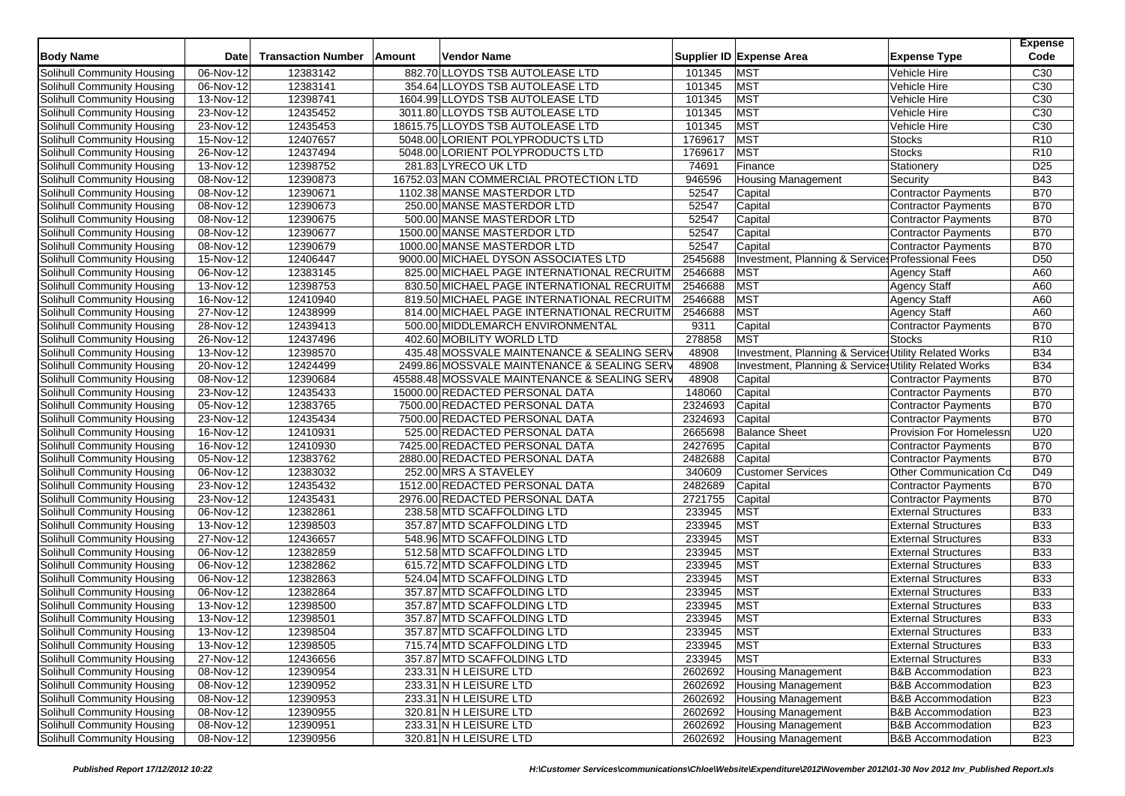| <b>Body Name</b>                  | <b>Date</b> | <b>Transaction Number</b> | Amount | <b>Vendor Name</b>                           |         | Supplier ID Expense Area                              | <b>Expense Type</b>          | <b>Expense</b><br>Code |
|-----------------------------------|-------------|---------------------------|--------|----------------------------------------------|---------|-------------------------------------------------------|------------------------------|------------------------|
| Solihull Community Housing        | 06-Nov-12   | 12383142                  |        | 882.70 LLOYDS TSB AUTOLEASE LTD              | 101345  | <b>MST</b>                                            | Vehicle Hire                 | C <sub>30</sub>        |
| Solihull Community Housing        | 06-Nov-12   | 12383141                  |        | 354.64 LLOYDS TSB AUTOLEASE LTD              | 101345  | <b>MST</b>                                            | Vehicle Hire                 | C30                    |
| Solihull Community Housing        | $13-Nov-12$ | 12398741                  |        | 1604.99 LLOYDS TSB AUTOLEASE LTD             | 101345  | <b>MST</b>                                            | Vehicle Hire                 | C30                    |
| Solihull Community Housing        | $23-Nov-12$ | 12435452                  |        | 3011.80 LLOYDS TSB AUTOLEASE LTD             | 101345  | <b>MST</b>                                            | Vehicle Hire                 | C30                    |
| Solihull Community Housing        | 23-Nov-12   | 12435453                  |        | 18615.75 LLOYDS TSB AUTOLEASE LTD            | 101345  | <b>MST</b>                                            | Vehicle Hire                 | C30                    |
| Solihull Community Housing        | 15-Nov-12   | 12407657                  |        | 5048.00 LORIENT POLYPRODUCTS LTD             | 1769617 | <b>MST</b>                                            | <b>Stocks</b>                | R10                    |
| Solihull Community Housing        | 26-Nov-12   | 12437494                  |        | 5048.00 LORIENT POLYPRODUCTS LTD             | 1769617 | <b>MST</b>                                            | <b>Stocks</b>                | R <sub>10</sub>        |
| Solihull Community Housing        | 13-Nov-12   | 12398752                  |        | 281.83 LYRECO UK LTD                         | 74691   | Finance                                               | Stationery                   | D25                    |
| Solihull Community Housing        | 08-Nov-12   | 12390873                  |        | 16752.03 MAN COMMERCIAL PROTECTION LTD       | 946596  | <b>Housing Management</b>                             | Security                     | <b>B43</b>             |
| Solihull Community Housing        | 08-Nov-12   | 12390671                  |        | 1102.38 MANSE MASTERDOR LTD                  | 52547   | Capital                                               | <b>Contractor Payments</b>   | <b>B70</b>             |
| Solihull Community Housing        | 08-Nov-12   | 12390673                  |        | 250.00 MANSE MASTERDOR LTD                   | 52547   | Capital                                               | <b>Contractor Payments</b>   | <b>B70</b>             |
| Solihull Community Housing        | $08-Nov-12$ | 12390675                  |        | 500.00 MANSE MASTERDOR LTD                   | 52547   | Capital                                               | <b>Contractor Payments</b>   | <b>B70</b>             |
| Solihull Community Housing        | 08-Nov-12   | 12390677                  |        | 1500.00 MANSE MASTERDOR LTD                  | 52547   | Capital                                               | <b>Contractor Payments</b>   | <b>B70</b>             |
| Solihull Community Housing        | 08-Nov-12   | 12390679                  |        | 1000.00 MANSE MASTERDOR LTD                  | 52547   | Capital                                               | Contractor Payments          | <b>B70</b>             |
| Solihull Community Housing        | $15-Nov-12$ | 12406447                  |        | 9000.00 MICHAEL DYSON ASSOCIATES LTD         | 2545688 | Investment, Planning & Service Professional Fees      |                              | D <sub>50</sub>        |
| Solihull Community Housing        | 06-Nov-12   | 12383145                  |        | 825.00 MICHAEL PAGE INTERNATIONAL RECRUITM   | 2546688 | <b>MST</b>                                            | <b>Agency Staff</b>          | A60                    |
| Solihull Community Housing        | $13-Nov-12$ | 12398753                  |        | 830.50 MICHAEL PAGE INTERNATIONAL RECRUITM   | 2546688 | <b>MST</b>                                            | Agency Staff                 | A60                    |
| Solihull Community Housing        | 16-Nov-12   | 12410940                  |        | 819.50 MICHAEL PAGE INTERNATIONAL RECRUITM   | 2546688 | <b>MST</b>                                            | <b>Agency Staff</b>          | A60                    |
| Solihull Community Housing        | 27-Nov-12   | 12438999                  |        | 814.00 MICHAEL PAGE INTERNATIONAL RECRUITM   | 2546688 | <b>MST</b>                                            | <b>Agency Staff</b>          | A60                    |
| Solihull Community Housing        | 28-Nov-12   | 12439413                  |        | 500.00 MIDDLEMARCH ENVIRONMENTAL             | 9311    | Capital                                               | <b>Contractor Payments</b>   | <b>B70</b>             |
| Solihull Community Housing        | 26-Nov-12   | 12437496                  |        | 402.60 MOBILITY WORLD LTD                    | 278858  | <b>MST</b>                                            | <b>Stocks</b>                | R <sub>10</sub>        |
| <b>Solihull Community Housing</b> | 13-Nov-12   | 12398570                  |        | 435.48 MOSSVALE MAINTENANCE & SEALING SERV   | 48908   | Investment, Planning & Services Utility Related Works |                              | <b>B34</b>             |
| Solihull Community Housing        | 20-Nov-12   | 12424499                  |        | 2499.86 MOSSVALE MAINTENANCE & SEALING SERV  | 48908   | Investment, Planning & Services Utility Related Works |                              | <b>B34</b>             |
| Solihull Community Housing        | 08-Nov-12   | 12390684                  |        | 45588.48 MOSSVALE MAINTENANCE & SEALING SERV | 48908   | Capital                                               | Contractor Payments          | <b>B70</b>             |
| Solihull Community Housing        | 23-Nov-12   | 12435433                  |        | 15000.00 REDACTED PERSONAL DATA              | 148060  | Capital                                               | <b>Contractor Payments</b>   | <b>B70</b>             |
| Solihull Community Housing        | 05-Nov-12   | 12383765                  |        | 7500.00 REDACTED PERSONAL DATA               | 2324693 | Capital                                               | Contractor Payments          | <b>B70</b>             |
| Solihull Community Housing        | 23-Nov-12   | 12435434                  |        | 7500.00 REDACTED PERSONAL DATA               | 2324693 | Capital                                               | Contractor Payments          | <b>B70</b>             |
| Solihull Community Housing        | 16-Nov-12   | 12410931                  |        | 525.00 REDACTED PERSONAL DATA                | 2665698 | <b>Balance Sheet</b>                                  | Provision For Homelessn      | U20                    |
| Solihull Community Housing        | 16-Nov-12   | 12410930                  |        | 7425.00 REDACTED PERSONAL DATA               | 2427695 | Capital                                               | <b>Contractor Payments</b>   | <b>B70</b>             |
| Solihull Community Housing        | 05-Nov-12   | 12383762                  |        | 2880.00 REDACTED PERSONAL DATA               | 2482688 | Capital                                               | <b>Contractor Payments</b>   | <b>B70</b>             |
| Solihull Community Housing        | 06-Nov-12   | 12383032                  |        | 252.00 MRS A STAVELEY                        | 340609  | <b>Customer Services</b>                              | Other Communication Co       | D49                    |
| Solihull Community Housing        | 23-Nov-12   | 12435432                  |        | 1512.00 REDACTED PERSONAL DATA               | 2482689 | Capital                                               | Contractor Payments          | <b>B70</b>             |
| Solihull Community Housing        | 23-Nov-12   | 12435431                  |        | 2976.00 REDACTED PERSONAL DATA               | 2721755 | Capital                                               | <b>Contractor Payments</b>   | <b>B70</b>             |
| Solihull Community Housing        | 06-Nov-12   | 12382861                  |        | 238.58 MTD SCAFFOLDING LTD                   | 233945  | <b>MST</b>                                            | <b>External Structures</b>   | <b>B33</b>             |
| Solihull Community Housing        | 13-Nov-12   | 12398503                  |        | 357.87 MTD SCAFFOLDING LTD                   | 233945  | <b>MST</b>                                            | <b>External Structures</b>   | <b>B33</b>             |
| Solihull Community Housing        | 27-Nov-12   | 12436657                  |        | 548.96 MTD SCAFFOLDING LTD                   | 233945  | <b>MST</b>                                            | <b>External Structures</b>   | <b>B33</b>             |
| Solihull Community Housing        | 06-Nov-12   | 12382859                  |        | 512.58 MTD SCAFFOLDING LTD                   | 233945  | <b>MST</b>                                            | <b>External Structures</b>   | <b>B33</b>             |
| Solihull Community Housing        | 06-Nov-12   | 12382862                  |        | 615.72 MTD SCAFFOLDING LTD                   | 233945  | <b>MST</b>                                            | <b>External Structures</b>   | <b>B33</b>             |
| Solihull Community Housing        | 06-Nov-12   | 12382863                  |        | 524.04 MTD SCAFFOLDING LTD                   | 233945  | <b>MST</b>                                            | <b>External Structures</b>   | <b>B33</b>             |
| Solihull Community Housing        | 06-Nov-12   | 12382864                  |        | 357.87 MTD SCAFFOLDING LTD                   | 233945  | <b>MST</b>                                            | <b>External Structures</b>   | <b>B33</b>             |
| Solihull Community Housing        | 13-Nov-12   | 12398500                  |        | 357.87 MTD SCAFFOLDING LTD                   | 233945  | <b>MST</b>                                            | <b>External Structures</b>   | <b>B33</b>             |
| Solihull Community Housing        | 13-Nov-12   | 12398501                  |        | 357.87 MTD SCAFFOLDING LTD                   | 233945  | <b>MST</b>                                            | <b>External Structures</b>   | <b>B33</b>             |
| Solihull Community Housing        | 13-Nov-12   | 12398504                  |        | 357.87 MTD SCAFFOLDING LTD                   | 233945  | <b>MST</b>                                            | <b>External Structures</b>   | <b>B33</b>             |
| Solihull Community Housing        | 13-Nov-12   | 12398505                  |        | 715.74 MTD SCAFFOLDING LTD                   | 233945  | <b>MST</b>                                            | <b>External Structures</b>   | <b>B33</b>             |
| Solihull Community Housing        | 27-Nov-12   | 12436656                  |        | 357.87 MTD SCAFFOLDING LTD                   | 233945  | <b>MST</b>                                            | <b>External Structures</b>   | <b>B33</b>             |
| Solihull Community Housing        | 08-Nov-12   | 12390954                  |        | 233.31 N H LEISURE LTD                       | 2602692 | <b>Housing Management</b>                             | <b>B&amp;B Accommodation</b> | <b>B23</b>             |
| Solihull Community Housing        | 08-Nov-12   | 12390952                  |        | 233.31 N H LEISURE LTD                       | 2602692 | <b>Housing Management</b>                             | <b>B&amp;B Accommodation</b> | <b>B23</b>             |
| Solihull Community Housing        | 08-Nov-12   | 12390953                  |        | 233.31 N H LEISURE LTD                       | 2602692 | <b>Housing Management</b>                             | <b>B&amp;B Accommodation</b> | <b>B23</b>             |
| Solihull Community Housing        | 08-Nov-12   | 12390955                  |        | 320.81 N H LEISURE LTD                       | 2602692 | <b>Housing Management</b>                             | <b>B&amp;B Accommodation</b> | <b>B23</b>             |
| Solihull Community Housing        | 08-Nov-12   | 12390951                  |        | 233.31 N H LEISURE LTD                       | 2602692 | <b>Housing Management</b>                             | <b>B&amp;B Accommodation</b> | <b>B23</b>             |
| Solihull Community Housing        | 08-Nov-12   | 12390956                  |        | 320.81 N H LEISURE LTD                       | 2602692 | Housing Management                                    | <b>B&amp;B Accommodation</b> | <b>B23</b>             |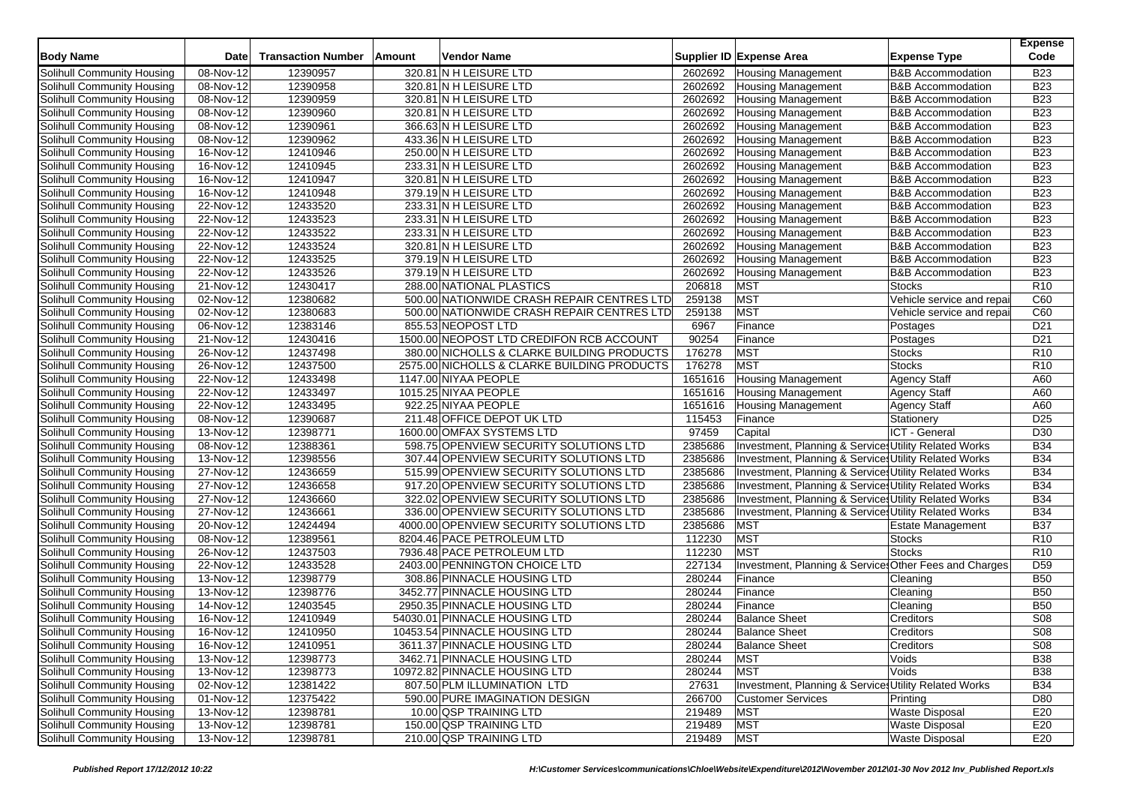| <b>Body Name</b>                                         | <b>Date</b>             | <b>Transaction Number</b> | Amount | Vendor Name                                 |         | Supplier ID Expense Area                               | <b>Expense Type</b>          | <b>Expense</b><br>Code |
|----------------------------------------------------------|-------------------------|---------------------------|--------|---------------------------------------------|---------|--------------------------------------------------------|------------------------------|------------------------|
| Solihull Community Housing                               | 08-Nov-12               | 12390957                  |        | 320.81 N H LEISURE LTD                      | 2602692 | <b>Housing Management</b>                              | <b>B&amp;B Accommodation</b> | <b>B23</b>             |
| Solihull Community Housing                               | $\overline{08-N}$ ov-12 | 12390958                  |        | 320.81 N H LEISURE LTD                      | 2602692 | <b>Housing Management</b>                              | <b>B&amp;B Accommodation</b> | <b>B23</b>             |
| Solihull Community Housing                               | 08-Nov-12               | 12390959                  |        | 320.81 N H LEISURE LTD                      | 2602692 | <b>Housing Management</b>                              | <b>B&amp;B Accommodation</b> | <b>B23</b>             |
| Solihull Community Housing                               | 08-Nov-12               | 12390960                  |        | 320.81 N H LEISURE LTD                      | 2602692 | Housing Management                                     | <b>B&amp;B</b> Accommodation | <b>B23</b>             |
| Solihull Community Housing                               | 08-Nov-12               | 12390961                  |        | 366.63 N H LEISURE LTD                      | 2602692 | <b>Housing Management</b>                              | <b>B&amp;B Accommodation</b> | <b>B23</b>             |
| Solihull Community Housing                               | 08-Nov-12               | 12390962                  |        | 433.36 N H LEISURE LTD                      | 2602692 | <b>Housing Management</b>                              | <b>B&amp;B Accommodation</b> | <b>B23</b>             |
| Solihull Community Housing                               | 16-Nov-12               | 12410946                  |        | 250.00 N H LEISURE LTD                      | 2602692 | <b>Housing Management</b>                              | <b>B&amp;B Accommodation</b> | <b>B23</b>             |
| Solihull Community Housing                               | 16-Nov-12               | 12410945                  |        | 233.31 N H LEISURE LTD                      | 2602692 | <b>Housing Management</b>                              | <b>B&amp;B Accommodation</b> | <b>B23</b>             |
| Solihull Community Housing                               | $16$ -Nov-12            | 12410947                  |        | 320.81 N H LEISURE LTD                      | 2602692 | <b>Housing Management</b>                              | <b>B&amp;B Accommodation</b> | <b>B23</b>             |
| Solihull Community Housing                               | 16-Nov-12               | 12410948                  |        | 379.19 N H LEISURE LTD                      | 2602692 | <b>Housing Management</b>                              | <b>B&amp;B Accommodation</b> | <b>B23</b>             |
| Solihull Community Housing                               | 22-Nov-12               | 12433520                  |        | 233.31 N H LEISURE LTD                      | 2602692 | <b>Housing Management</b>                              | <b>B&amp;B Accommodation</b> | <b>B23</b>             |
| Solihull Community Housing                               | $22-Nov-12$             | 12433523                  |        | 233.31 N H LEISURE LTD                      | 2602692 | <b>Housing Management</b>                              | <b>B&amp;B Accommodation</b> | <b>B23</b>             |
| Solihull Community Housing                               | 22-Nov-12               | 12433522                  |        | 233.31 N H LEISURE LTD                      | 2602692 | <b>Housing Management</b>                              | <b>B&amp;B Accommodation</b> | <b>B23</b>             |
| Solihull Community Housing                               | 22-Nov-12               | 12433524                  |        | 320.81 N H LEISURE LTD                      | 2602692 | <b>Housing Management</b>                              | <b>B&amp;B Accommodation</b> | <b>B23</b>             |
| Solihull Community Housing                               | 22-Nov-12               | 12433525                  |        | 379.19 N H LEISURE LTD                      | 2602692 | <b>Housing Management</b>                              | <b>B&amp;B Accommodation</b> | <b>B23</b>             |
| Solihull Community Housing                               | 22-Nov-12               | 12433526                  |        | 379.19 N H LEISURE LTD                      | 2602692 | <b>Housing Management</b>                              | <b>B&amp;B</b> Accommodation | <b>B23</b>             |
| Solihull Community Housing                               | 21-Nov-12               | 12430417                  |        | 288.00 NATIONAL PLASTICS                    | 206818  | <b>MST</b>                                             | <b>Stocks</b>                | R <sub>10</sub>        |
| Solihull Community Housing                               | 02-Nov-12               | 12380682                  |        | 500.00 NATIONWIDE CRASH REPAIR CENTRES LTD  | 259138  | <b>MST</b>                                             | Vehicle service and repai    | C60                    |
| Solihull Community Housing                               | 02-Nov-12               | 12380683                  |        | 500.00 NATIONWIDE CRASH REPAIR CENTRES LTD  | 259138  | <b>MST</b>                                             | Vehicle service and repai    | C60                    |
| Solihull Community Housing                               | 06-Nov-12               | 12383146                  |        | 855.53 NEOPOST LTD                          | 6967    | Finance                                                | Postages                     | D <sub>21</sub>        |
| Solihull Community Housing                               | $21-Nov-12$             | 12430416                  |        | 1500.00 NEOPOST LTD CREDIFON RCB ACCOUNT    | 90254   | Finance                                                | Postages                     | D <sub>21</sub>        |
| Solihull Community Housing                               | 26-Nov-12               | 12437498                  |        | 380.00 NICHOLLS & CLARKE BUILDING PRODUCTS  | 176278  | <b>MST</b>                                             | <b>Stocks</b>                | R <sub>10</sub>        |
| Solihull Community Housing                               | 26-Nov-12               | 12437500                  |        | 2575.00 NICHOLLS & CLARKE BUILDING PRODUCTS | 176278  | <b>MST</b>                                             | <b>Stocks</b>                | R10                    |
| Solihull Community Housing                               | $22-Nov-12$             | 12433498                  |        | 1147.00 NIYAA PEOPLE                        | 1651616 | <b>Housing Management</b>                              | <b>Agency Staff</b>          | A60                    |
|                                                          | 22-Nov-12               | 12433497                  |        | 1015.25 NIYAA PEOPLE                        | 1651616 |                                                        | <b>Agency Staff</b>          | A60                    |
| Solihull Community Housing                               |                         |                           |        | 922.25 NIYAA PEOPLE                         | 1651616 | <b>Housing Management</b><br><b>Housing Management</b> |                              | A60                    |
| Solihull Community Housing<br>Solihull Community Housing | 22-Nov-12               | 12433495<br>12390687      |        |                                             |         |                                                        | <b>Agency Staff</b>          | D <sub>25</sub>        |
|                                                          | 08-Nov-12               |                           |        | 211.48 OFFICE DEPOT UK LTD                  | 115453  | Finance                                                | Stationery                   |                        |
| Solihull Community Housing                               | 13-Nov-12               | 12398771                  |        | 1600.00 OMFAX SYSTEMS LTD                   | 97459   | Capital                                                | ICT - General                | D <sub>30</sub>        |
| Solihull Community Housing                               | 08-Nov-12               | 12388361                  |        | 598.75 OPENVIEW SECURITY SOLUTIONS LTD      | 2385686 | Investment, Planning & Services Utility Related Works  |                              | <b>B34</b>             |
| Solihull Community Housing                               | 13-Nov-12               | 12398556                  |        | 307.44 OPENVIEW SECURITY SOLUTIONS LTD      | 2385686 | Investment, Planning & Services Utility Related Works  |                              | <b>B34</b>             |
| Solihull Community Housing                               | 27-Nov-12               | 12436659                  |        | 515.99 OPENVIEW SECURITY SOLUTIONS LTD      | 2385686 | Investment, Planning & Services Utility Related Works  |                              | <b>B34</b>             |
| Solihull Community Housing                               | 27-Nov-12               | 12436658                  |        | 917.20 OPENVIEW SECURITY SOLUTIONS LTD      | 2385686 | Investment, Planning & Services Utility Related Works  |                              | <b>B34</b>             |
| Solihull Community Housing                               | 27-Nov-12               | 12436660                  |        | 322.02 OPENVIEW SECURITY SOLUTIONS LTD      | 2385686 | Investment, Planning & Services Utility Related Works  |                              | <b>B34</b>             |
| Solihull Community Housing                               | 27-Nov-12               | 12436661                  |        | 336.00 OPENVIEW SECURITY SOLUTIONS LTD      | 2385686 | Investment, Planning & Services Utility Related Works  |                              | <b>B34</b>             |
| Solihull Community Housing                               | 20-Nov-12               | 12424494                  |        | 4000.00 OPENVIEW SECURITY SOLUTIONS LTD     | 2385686 | MST                                                    | <b>Estate Management</b>     | <b>B37</b>             |
| Solihull Community Housing                               | 08-Nov-12               | 12389561                  |        | 8204.46 PACE PETROLEUM LTD                  | 112230  | <b>MST</b>                                             | <b>Stocks</b>                | R <sub>10</sub>        |
| Solihull Community Housing                               | 26-Nov-12               | 12437503                  |        | 7936.48 PACE PETROLEUM LTD                  | 112230  | <b>MST</b>                                             | <b>Stocks</b>                | R <sub>10</sub>        |
| Solihull Community Housing                               | 22-Nov-12               | 12433528                  |        | 2403.00 PENNINGTON CHOICE LTD               | 227134  | Investment, Planning & Services Other Fees and Charges |                              | D <sub>59</sub>        |
| Solihull Community Housing                               | 13-Nov-12               | 12398779                  |        | 308.86 PINNACLE HOUSING LTD                 | 280244  | Finance                                                | Cleaning                     | <b>B50</b>             |
| Solihull Community Housing                               | 13-Nov-12               | 12398776                  |        | 3452.77 PINNACLE HOUSING LTD                | 280244  | Finance                                                | Cleaning                     | <b>B50</b>             |
| Solihull Community Housing                               | 14-Nov-12               | 12403545                  |        | 2950.35 PINNACLE HOUSING LTD                | 280244  | Finance                                                | Cleaning                     | <b>B50</b>             |
| Solihull Community Housing                               | 16-Nov-12               | 12410949                  |        | 54030.01 PINNACLE HOUSING LTD               | 280244  | <b>Balance Sheet</b>                                   | Creditors                    | S <sub>08</sub>        |
| Solihull Community Housing                               | 16-Nov-12               | 12410950                  |        | 10453.54 PINNACLE HOUSING LTD               | 280244  | <b>Balance Sheet</b>                                   | Creditors                    | S08                    |
| Solihull Community Housing                               | 16-Nov-12               | 12410951                  |        | 3611.37 PINNACLE HOUSING LTD                | 280244  | <b>Balance Sheet</b>                                   | Creditors                    | S08                    |
| Solihull Community Housing                               | 13-Nov-12               | 12398773                  |        | 3462.71 PINNACLE HOUSING LTD                | 280244  | <b>MST</b>                                             | Voids                        | <b>B38</b>             |
| Solihull Community Housing                               | 13-Nov-12               | 12398773                  |        | 10972.82 PINNACLE HOUSING LTD               | 280244  | <b>MST</b>                                             | Voids                        | <b>B38</b>             |
| Solihull Community Housing                               | 02-Nov-12               | 12381422                  |        | 807.50 PLM ILLUMINATION LTD                 | 27631   | Investment, Planning & Services Utility Related Works  |                              | <b>B34</b>             |
| Solihull Community Housing                               | 01-Nov-12               | 12375422                  |        | 590.00 PURE IMAGINATION DESIGN              | 266700  | <b>Customer Services</b>                               | Printing                     | D80                    |
| Solihull Community Housing                               | $13-Nov-12$             | 12398781                  |        | 10.00 QSP TRAINING LTD                      | 219489  | <b>MST</b>                                             | <b>Waste Disposal</b>        | E20                    |
| Solihull Community Housing                               | 13-Nov-12               | 12398781                  |        | 150.00 QSP TRAINING LTD                     | 219489  | <b>MST</b>                                             | <b>Waste Disposal</b>        | E20                    |
| Solihull Community Housing                               | 13-Nov-12               | 12398781                  |        | 210.00 QSP TRAINING LTD                     | 219489  | <b>MST</b>                                             | <b>Waste Disposal</b>        | E20                    |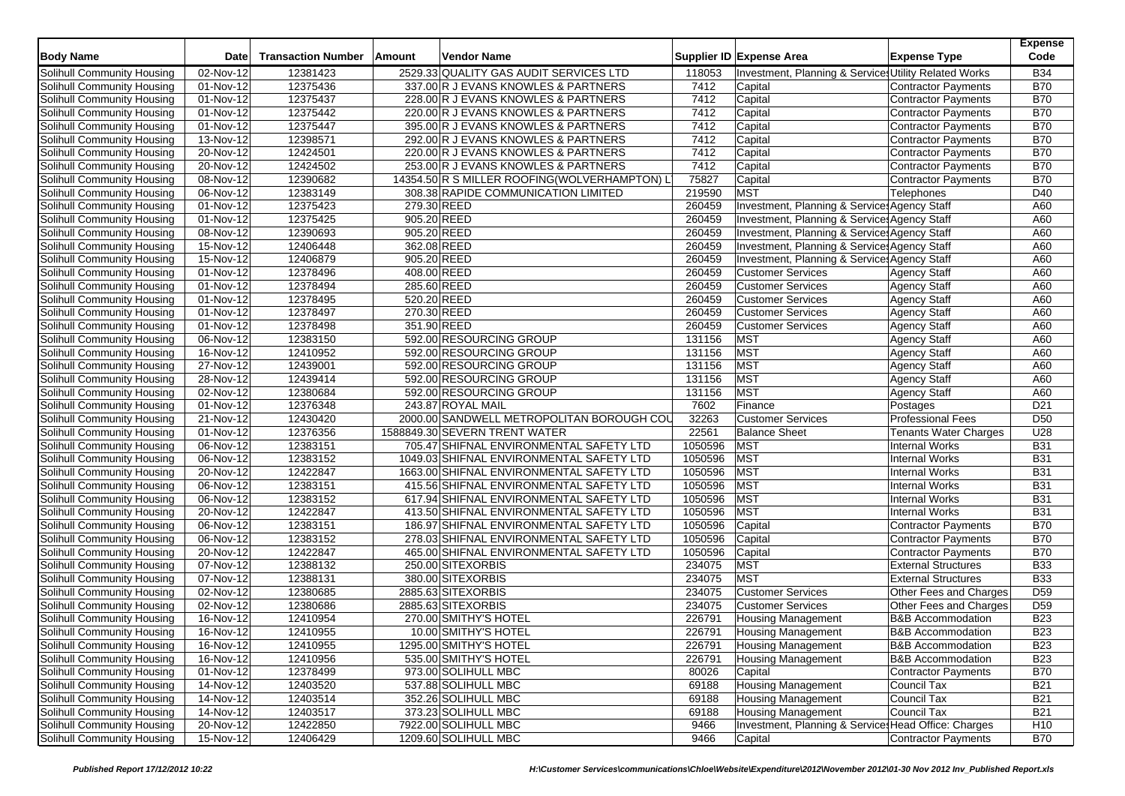| <b>Body Name</b>                  | <b>Date</b>             | <b>Transaction Number</b> | Amount      | Vendor Name                            |                                               |         | Supplier ID Expense Area                              | <b>Expense Type</b>          | <b>Expense</b><br>Code |
|-----------------------------------|-------------------------|---------------------------|-------------|----------------------------------------|-----------------------------------------------|---------|-------------------------------------------------------|------------------------------|------------------------|
| Solihull Community Housing        | 02-Nov-12               | 12381423                  |             | 2529.33 QUALITY GAS AUDIT SERVICES LTD |                                               | 118053  | Investment, Planning & Services Utility Related Works |                              | <b>B34</b>             |
| Solihull Community Housing        | 01-Nov-12               | 12375436                  |             | 337.00 R J EVANS KNOWLES & PARTNERS    |                                               | 7412    | Capital                                               | <b>Contractor Payments</b>   | <b>B70</b>             |
| Solihull Community Housing        | 01-Nov-12               | 12375437                  |             | 228.00 R J EVANS KNOWLES & PARTNERS    |                                               | 7412    | Capital                                               | Contractor Payments          | <b>B70</b>             |
| Solihull Community Housing        | 01-Nov-12               | 12375442                  |             | 220.00 R J EVANS KNOWLES & PARTNERS    |                                               | 7412    | Capital                                               | Contractor Payments          | <b>B70</b>             |
| Solihull Community Housing        | $\overline{01}$ -Nov-12 | 12375447                  |             | 395.00 R J EVANS KNOWLES & PARTNERS    |                                               | 7412    | Capital                                               | <b>Contractor Payments</b>   | <b>B70</b>             |
| Solihull Community Housing        | $13-Nov-12$             | 12398571                  |             | 292.00 R J EVANS KNOWLES & PARTNERS    |                                               | 7412    | Capital                                               | Contractor Payments          | <b>B70</b>             |
| Solihull Community Housing        | 20-Nov-12               | 12424501                  |             | 220.00 R J EVANS KNOWLES & PARTNERS    |                                               | 7412    | Capital                                               | <b>Contractor Payments</b>   | <b>B70</b>             |
| Solihull Community Housing        | 20-Nov-12               | 12424502                  |             | 253.00 R J EVANS KNOWLES & PARTNERS    |                                               | 7412    | Capital                                               | <b>Contractor Payments</b>   | <b>B70</b>             |
| Solihull Community Housing        | 08-Nov-12               | 12390682                  |             |                                        | 14354.50 R S MILLER ROOFING (WOLVERHAMPTON) L | 75827   | Capital                                               | <b>Contractor Payments</b>   | <b>B70</b>             |
| Solihull Community Housing        | 06-Nov-12               | 12383149                  |             | 308.38 RAPIDE COMMUNICATION LIMITED    |                                               | 219590  | <b>MST</b>                                            | Telephones                   | D40                    |
| Solihull Community Housing        | $\overline{01-N}$ ov-12 | 12375423                  | 279.30 REED |                                        |                                               | 260459  | Investment, Planning & Services Agency Staff          |                              | A60                    |
| Solihull Community Housing        | 01-Nov-12               | 12375425                  |             | 905.20 REED                            |                                               | 260459  | Investment, Planning & Services Agency Staff          |                              | A60                    |
| Solihull Community Housing        | 08-Nov-12               | 12390693                  |             | 905.20 REED                            |                                               | 260459  | Investment, Planning & Services Agency Staff          |                              | A60                    |
| Solihull Community Housing        | 15-Nov-12               | 12406448                  |             | 362.08 REED                            |                                               | 260459  | Investment, Planning & Services Agency Staff          |                              | A60                    |
| Solihull Community Housing        | 15-Nov-12               | 12406879                  |             | 905.20 REED                            |                                               | 260459  | Investment, Planning & Service, Agency Staff          |                              | A60                    |
| Solihull Community Housing        | 01-Nov-12               | 12378496                  |             | 408.00 REED                            |                                               | 260459  | <b>Customer Services</b>                              | <b>Agency Staff</b>          | A60                    |
| Solihull Community Housing        | $\overline{01}$ -Nov-12 | 12378494                  | 285.60 REED |                                        |                                               | 260459  | <b>Customer Services</b>                              | <b>Agency Staff</b>          | A60                    |
| Solihull Community Housing        | 01-Nov-12               | 12378495                  | 520.20 REED |                                        |                                               | 260459  | <b>Customer Services</b>                              | <b>Agency Staff</b>          | A60                    |
| Solihull Community Housing        | 01-Nov-12               | 12378497                  |             | 270.30 REED                            |                                               | 260459  | <b>Customer Services</b>                              | Agency Staff                 | A60                    |
| Solihull Community Housing        | 01-Nov-12               | 12378498                  |             | 351.90 REED                            |                                               | 260459  | <b>Customer Services</b>                              | <b>Agency Staff</b>          | A60                    |
| Solihull Community Housing        | 06-Nov-12               | 12383150                  |             | 592.00 RESOURCING GROUP                |                                               | 131156  | <b>MST</b>                                            | <b>Agency Staff</b>          | A60                    |
| <b>Solihull Community Housing</b> | 16-Nov-12               | 12410952                  |             | 592.00 RESOURCING GROUP                |                                               | 131156  | <b>MST</b>                                            | <b>Agency Staff</b>          | A60                    |
| Solihull Community Housing        | 27-Nov-12               | 12439001                  |             | 592.00 RESOURCING GROUP                |                                               | 131156  | <b>MST</b>                                            | Agency Staff                 | A60                    |
| Solihull Community Housing        | 28-Nov-12               | 12439414                  |             | 592.00 RESOURCING GROUP                |                                               | 131156  | <b>MST</b>                                            | Agency Staff                 | A60                    |
| Solihull Community Housing        | 02-Nov-12               | 12380684                  |             | 592.00 RESOURCING GROUP                |                                               | 131156  | <b>MST</b>                                            | <b>Agency Staff</b>          | A60                    |
| Solihull Community Housing        | 01-Nov-12               | 12376348                  |             | 243.87 ROYAL MAIL                      |                                               | 7602    | Finance                                               | Postages                     | D <sub>21</sub>        |
| Solihull Community Housing        | $21-Nov-12$             | 12430420                  |             |                                        | 2000.00 SANDWELL METROPOLITAN BOROUGH COU     | 32263   | <b>Customer Services</b>                              | <b>Professional Fees</b>     | D <sub>50</sub>        |
| Solihull Community Housing        | 01-Nov-12               | 12376356                  |             | 1588849.30 SEVERN TRENT WATER          |                                               | 22561   | <b>Balance Sheet</b>                                  | <b>Tenants Water Charges</b> | U <sub>28</sub>        |
| Solihull Community Housing        | 06-Nov-12               | 12383151                  |             |                                        | 705.47 SHIFNAL ENVIRONMENTAL SAFETY LTD       | 1050596 | <b>MST</b>                                            | <b>Internal Works</b>        | <b>B31</b>             |
| Solihull Community Housing        | 06-Nov-12               | 12383152                  |             |                                        | 1049.03 SHIFNAL ENVIRONMENTAL SAFETY LTD      | 1050596 | <b>MST</b>                                            | Internal Works               | <b>B31</b>             |
| Solihull Community Housing        | $20$ -Nov-12            | 12422847                  |             |                                        | 1663.00 SHIFNAL ENVIRONMENTAL SAFETY LTD      | 1050596 | <b>MST</b>                                            | <b>Internal Works</b>        | <b>B31</b>             |
| Solihull Community Housing        | 06-Nov-12               | 12383151                  |             |                                        | 415.56 SHIFNAL ENVIRONMENTAL SAFETY LTD       | 1050596 | <b>MST</b>                                            | <b>Internal Works</b>        | <b>B31</b>             |
| Solihull Community Housing        | $06-Nov-12$             | 12383152                  |             |                                        | 617.94 SHIFNAL ENVIRONMENTAL SAFETY LTD       | 1050596 | <b>MST</b>                                            | <b>Internal Works</b>        | <b>B31</b>             |
| Solihull Community Housing        | 20-Nov-12               | 12422847                  |             |                                        | 413.50 SHIFNAL ENVIRONMENTAL SAFETY LTD       | 1050596 | <b>MST</b>                                            | <b>Internal Works</b>        | <b>B31</b>             |
| Solihull Community Housing        | 06-Nov-12               | 12383151                  |             |                                        | 186.97 SHIFNAL ENVIRONMENTAL SAFETY LTD       | 1050596 | Capital                                               | <b>Contractor Payments</b>   | <b>B70</b>             |
| Solihull Community Housing        | $06-Nov-12$             | 12383152                  |             |                                        | 278.03 SHIFNAL ENVIRONMENTAL SAFETY LTD       | 1050596 | Capital                                               | <b>Contractor Payments</b>   | <b>B70</b>             |
| Solihull Community Housing        | 20-Nov-12               | 12422847                  |             |                                        | 465.00 SHIFNAL ENVIRONMENTAL SAFETY LTD       | 1050596 | Capital                                               | <b>Contractor Payments</b>   | <b>B70</b>             |
| Solihull Community Housing        | 07-Nov-12               | 12388132                  |             | 250.00 SITEXORBIS                      |                                               | 234075  | MST                                                   | <b>External Structures</b>   | <b>B33</b>             |
| Solihull Community Housing        | 07-Nov-12               | 12388131                  |             | 380.00 SITEXORBIS                      |                                               | 234075  | <b>MST</b>                                            | <b>External Structures</b>   | <b>B33</b>             |
| Solihull Community Housing        | 02-Nov-12               | 12380685                  |             | 2885.63 SITEXORBIS                     |                                               | 234075  | <b>Customer Services</b>                              | Other Fees and Charges       | D <sub>59</sub>        |
| Solihull Community Housing        | 02-Nov-12               | 12380686                  |             | 2885.63 SITEXORBIS                     |                                               | 234075  | <b>Customer Services</b>                              | Other Fees and Charges       | D <sub>59</sub>        |
| Solihull Community Housing        | 16-Nov-12               | 12410954                  |             | 270.00 SMITHY'S HOTEL                  |                                               | 226791  | <b>Housing Management</b>                             | <b>B&amp;B Accommodation</b> | <b>B23</b>             |
| Solihull Community Housing        | 16-Nov-12               | 12410955                  |             | 10.00 SMITHY'S HOTEL                   |                                               | 226791  | <b>Housing Management</b>                             | <b>B&amp;B Accommodation</b> | <b>B23</b>             |
| Solihull Community Housing        | 16-Nov-12               | 12410955                  |             | 1295.00 SMITHY'S HOTEL                 |                                               | 226791  | <b>Housing Management</b>                             | <b>B&amp;B Accommodation</b> | <b>B23</b>             |
| Solihull Community Housing        | 16-Nov-12               | 12410956                  |             | 535.00 SMITHY'S HOTEL                  |                                               | 226791  | <b>Housing Management</b>                             | <b>B&amp;B Accommodation</b> | <b>B23</b>             |
| Solihull Community Housing        | 01-Nov-12               | 12378499                  |             | 973.00 SOLIHULL MBC                    |                                               | 80026   | Capital                                               | Contractor Payments          | <b>B70</b>             |
| Solihull Community Housing        | 14-Nov-12               | 12403520                  |             | 537.88 SOLIHULL MBC                    |                                               | 69188   | <b>Housing Management</b>                             | Council Tax                  | <b>B21</b>             |
| Solihull Community Housing        | 14-Nov-12               | 12403514                  |             | 352.26 SOLIHULL MBC                    |                                               | 69188   | <b>Housing Management</b>                             | Council Tax                  | <b>B21</b>             |
| Solihull Community Housing        | 14-Nov-12               | 12403517                  |             | 373.23 SOLIHULL MBC                    |                                               | 69188   | <b>Housing Management</b>                             | Council Tax                  | <b>B21</b>             |
| <b>Solihull Community Housing</b> | 20-Nov-12               | 12422850                  |             | 7922.00 SOLIHULL MBC                   |                                               | 9466    | Investment, Planning & Service: Head Office: Charges  |                              | H10                    |
| Solihull Community Housing        | 15-Nov-12               | 12406429                  |             | 1209.60 SOLIHULL MBC                   |                                               | 9466    | Capital                                               | Contractor Payments          | <b>B70</b>             |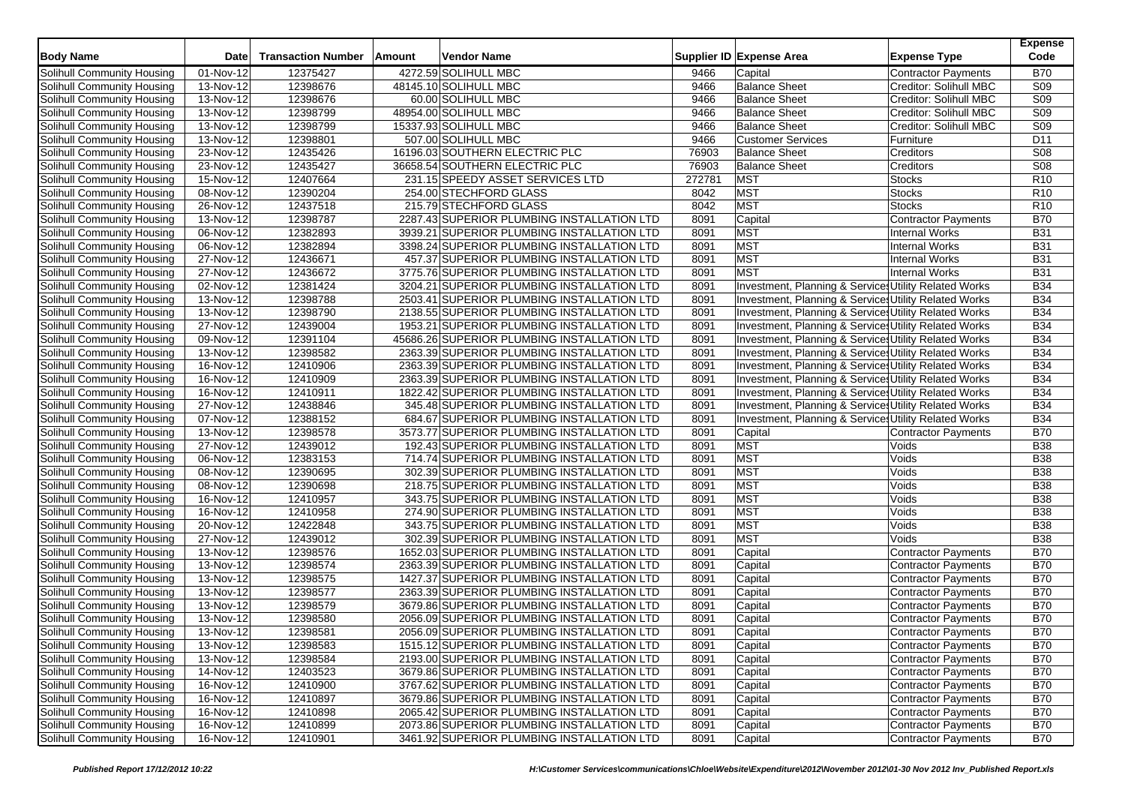| <b>Body Name</b>                  | <b>Date</b>             | <b>Transaction Number</b> | Amount | Vendor Name                                 |        | Supplier ID Expense Area | <b>Expense Type</b>                                   | <b>Expense</b><br>Code |
|-----------------------------------|-------------------------|---------------------------|--------|---------------------------------------------|--------|--------------------------|-------------------------------------------------------|------------------------|
| Solihull Community Housing        | 01-Nov-12               | 12375427                  |        | 4272.59 SOLIHULL MBC                        | 9466   | Capital                  | <b>Contractor Payments</b>                            | <b>B70</b>             |
| Solihull Community Housing        | $13-Nov-12$             | 12398676                  |        | 48145.10 SOLIHULL MBC                       | 9466   | <b>Balance Sheet</b>     | Creditor: Solihull MBC                                | S <sub>09</sub>        |
| Solihull Community Housing        | 13-Nov-12               | 12398676                  |        | 60.00 SOLIHULL MBC                          | 9466   | <b>Balance Sheet</b>     | Creditor: Solihull MBC                                | S <sub>09</sub>        |
| Solihull Community Housing        | $\overline{13}$ -Nov-12 | 12398799                  |        | 48954.00 SOLIHULL MBC                       | 9466   | <b>Balance Sheet</b>     | Creditor: Solihull MBC                                | S09                    |
| Solihull Community Housing        | 13-Nov-12               | 12398799                  |        | 15337.93 SOLIHULL MBC                       | 9466   | <b>Balance Sheet</b>     | Creditor: Solihull MBC                                | S09                    |
| Solihull Community Housing        | 13-Nov-12               | 12398801                  |        | 507.00 SOLIHULL MBC                         | 9466   | <b>Customer Services</b> | Furniture                                             | D11                    |
| Solihull Community Housing        | 23-Nov-12               | 12435426                  |        | 16196.03 SOUTHERN ELECTRIC PLC              | 76903  | <b>Balance Sheet</b>     | Creditors                                             | S <sub>08</sub>        |
| Solihull Community Housing        | 23-Nov-12               | 12435427                  |        | 36658.54 SOUTHERN ELECTRIC PLC              | 76903  | <b>Balance Sheet</b>     | Creditors                                             | S08                    |
| Solihull Community Housing        | $15$ -Nov-12            | 12407664                  |        | 231.15 SPEEDY ASSET SERVICES LTD            | 272781 | MST                      | <b>Stocks</b>                                         | R <sub>10</sub>        |
| Solihull Community Housing        | 08-Nov-12               | 12390204                  |        | 254.00 STECHFORD GLASS                      | 8042   | <b>MST</b>               | <b>Stocks</b>                                         | R <sub>10</sub>        |
| Solihull Community Housing        | 26-Nov-12               | 12437518                  |        | 215.79 STECHFORD GLASS                      | 8042   | <b>MST</b>               | <b>Stocks</b>                                         | R <sub>10</sub>        |
| Solihull Community Housing        | $13-Nov-12$             | 12398787                  |        | 2287.43 SUPERIOR PLUMBING INSTALLATION LTD  | 8091   | Capital                  | <b>Contractor Payments</b>                            | <b>B70</b>             |
| Solihull Community Housing        | 06-Nov-12               | 12382893                  |        | 3939.21 SUPERIOR PLUMBING INSTALLATION LTD  | 8091   | <b>MST</b>               | Internal Works                                        | <b>B31</b>             |
| Solihull Community Housing        | $\overline{06-N}$ ov-12 | 12382894                  |        | 3398.24 SUPERIOR PLUMBING INSTALLATION LTD  | 8091   | <b>MST</b>               | <b>Internal Works</b>                                 | <b>B31</b>             |
| Solihull Community Housing        | 27-Nov-12               | 12436671                  |        | 457.37 SUPERIOR PLUMBING INSTALLATION LTD   | 8091   | <b>MST</b>               | <b>Internal Works</b>                                 | <b>B31</b>             |
| Solihull Community Housing        | $\overline{27}$ -Nov-12 | 12436672                  |        | 3775.76 SUPERIOR PLUMBING INSTALLATION LTD  | 8091   | <b>MST</b>               | <b>Internal Works</b>                                 | <b>B31</b>             |
| Solihull Community Housing        | $\overline{02-N}$ ov-12 | 12381424                  |        | 3204.21 SUPERIOR PLUMBING INSTALLATION LTD  | 8091   |                          | Investment, Planning & Services Utility Related Works | <b>B34</b>             |
| Solihull Community Housing        | 13-Nov-12               | 12398788                  |        | 2503.41 SUPERIOR PLUMBING INSTALLATION LTD  | 8091   |                          | Investment, Planning & Services Utility Related Works | <b>B34</b>             |
| Solihull Community Housing        | 13-Nov-12               | 12398790                  |        | 2138.55 SUPERIOR PLUMBING INSTALLATION LTD  | 8091   |                          | Investment, Planning & Services Utility Related Works | <b>B34</b>             |
| Solihull Community Housing        | 27-Nov-12               | 12439004                  |        | 1953.21 SUPERIOR PLUMBING INSTALLATION LTD  | 8091   |                          | Investment, Planning & Services Utility Related Works | <b>B34</b>             |
| Solihull Community Housing        | 09-Nov-12               | 12391104                  |        | 45686.26 SUPERIOR PLUMBING INSTALLATION LTD | 8091   |                          | Investment, Planning & Service, Utility Related Works | <b>B34</b>             |
| Solihull Community Housing        | 13-Nov-12               | 12398582                  |        | 2363.39 SUPERIOR PLUMBING INSTALLATION LTD  | 8091   |                          | Investment, Planning & Services Utility Related Works | <b>B34</b>             |
| Solihull Community Housing        | 16-Nov-12               | 12410906                  |        | 2363.39 SUPERIOR PLUMBING INSTALLATION LTD  | 8091   |                          | Investment, Planning & Services Utility Related Works | <b>B34</b>             |
| Solihull Community Housing        | $16-Nov-12$             | 12410909                  |        | 2363.39 SUPERIOR PLUMBING INSTALLATION LTD  | 8091   |                          | Investment, Planning & Service, Utility Related Works | <b>B34</b>             |
| Solihull Community Housing        | 16-Nov-12               | 12410911                  |        | 1822.42 SUPERIOR PLUMBING INSTALLATION LTD  | 8091   |                          | Investment, Planning & Services Utility Related Works | <b>B34</b>             |
| Solihull Community Housing        | 27-Nov-12               | 12438846                  |        | 345.48 SUPERIOR PLUMBING INSTALLATION LTD   | 8091   |                          | Investment, Planning & Services Utility Related Works | <b>B34</b>             |
| Solihull Community Housing        | 07-Nov-12               | 12388152                  |        | 684.67 SUPERIOR PLUMBING INSTALLATION LTD   | 8091   |                          | Investment, Planning & Services Utility Related Works | <b>B34</b>             |
| Solihull Community Housing        | 13-Nov-12               | 12398578                  |        | 3573.77 SUPERIOR PLUMBING INSTALLATION LTD  | 8091   | Capital                  | <b>Contractor Payments</b>                            | <b>B70</b>             |
| Solihull Community Housing        | 27-Nov-12               | 12439012                  |        | 192.43 SUPERIOR PLUMBING INSTALLATION LTD   | 8091   | <b>MST</b>               | Voids                                                 | <b>B38</b>             |
| Solihull Community Housing        | 06-Nov-12               | 12383153                  |        | 714.74 SUPERIOR PLUMBING INSTALLATION LTD   | 8091   | <b>MST</b>               | Voids                                                 | <b>B38</b>             |
| Solihull Community Housing        | $\overline{08-N}$ ov-12 | 12390695                  |        | 302.39 SUPERIOR PLUMBING INSTALLATION LTD   | 8091   | MST                      | Voids                                                 | <b>B38</b>             |
| Solihull Community Housing        | 08-Nov-12               | 12390698                  |        | 218.75 SUPERIOR PLUMBING INSTALLATION LTD   | 8091   | MST                      | Voids                                                 | <b>B38</b>             |
| Solihull Community Housing        | 16-Nov-12               | 12410957                  |        | 343.75 SUPERIOR PLUMBING INSTALLATION LTD   | 8091   | <b>MST</b>               | Voids                                                 | <b>B38</b>             |
| Solihull Community Housing        | 16-Nov-12               | 12410958                  |        | 274.90 SUPERIOR PLUMBING INSTALLATION LTD   | 8091   | MST                      | Voids                                                 | <b>B38</b>             |
| Solihull Community Housing        | 20-Nov-12               | 12422848                  |        | 343.75 SUPERIOR PLUMBING INSTALLATION LTD   | 8091   | MST                      | Voids                                                 | <b>B38</b>             |
| Solihull Community Housing        | 27-Nov-12               | 12439012                  |        | 302.39 SUPERIOR PLUMBING INSTALLATION LTD   | 8091   | <b>MST</b>               | Voids                                                 | <b>B38</b>             |
| Solihull Community Housing        | 13-Nov-12               | 12398576                  |        | 1652.03 SUPERIOR PLUMBING INSTALLATION LTD  | 8091   | Capital                  | <b>Contractor Payments</b>                            | <b>B70</b>             |
| Solihull Community Housing        | 13-Nov-12               | 12398574                  |        | 2363.39 SUPERIOR PLUMBING INSTALLATION LTD  | 8091   | Capital                  | <b>Contractor Payments</b>                            | <b>B70</b>             |
| Solihull Community Housing        | 13-Nov-12               | 12398575                  |        | 1427.37 SUPERIOR PLUMBING INSTALLATION LTD  | 8091   | Capital                  | <b>Contractor Payments</b>                            | <b>B70</b>             |
| Solihull Community Housing        | 13-Nov-12               | 12398577                  |        | 2363.39 SUPERIOR PLUMBING INSTALLATION LTD  | 8091   | Capital                  | <b>Contractor Payments</b>                            | <b>B70</b>             |
| Solihull Community Housing        | 13-Nov-12               | 12398579                  |        | 3679.86 SUPERIOR PLUMBING INSTALLATION LTD  | 8091   | Capital                  | <b>Contractor Payments</b>                            | <b>B70</b>             |
| Solihull Community Housing        | 13-Nov-12               | 12398580                  |        | 2056.09 SUPERIOR PLUMBING INSTALLATION LTD  | 8091   | Capital                  | <b>Contractor Payments</b>                            | <b>B70</b>             |
| Solihull Community Housing        | 13-Nov-12               | 12398581                  |        | 2056.09 SUPERIOR PLUMBING INSTALLATION LTD  | 8091   | Capital                  | <b>Contractor Payments</b>                            | <b>B70</b>             |
| Solihull Community Housing        | 13-Nov-12               | 12398583                  |        | 1515.12 SUPERIOR PLUMBING INSTALLATION LTD  | 8091   | Capital                  | <b>Contractor Payments</b>                            | <b>B70</b>             |
| Solihull Community Housing        | 13-Nov-12               | 12398584                  |        | 2193.00 SUPERIOR PLUMBING INSTALLATION LTD  | 8091   | Capital                  | <b>Contractor Payments</b>                            | <b>B70</b>             |
| Solihull Community Housing        | 14-Nov-12               | 12403523                  |        | 3679.86 SUPERIOR PLUMBING INSTALLATION LTD  | 8091   |                          | <b>Contractor Payments</b>                            | <b>B70</b>             |
| Solihull Community Housing        | 16-Nov-12               | 12410900                  |        | 3767.62 SUPERIOR PLUMBING INSTALLATION LTD  | 8091   | Capital<br>Capital       | <b>Contractor Payments</b>                            | <b>B70</b>             |
| Solihull Community Housing        | 16-Nov-12               | 12410897                  |        | 3679.86 SUPERIOR PLUMBING INSTALLATION LTD  | 8091   | Capital                  | Contractor Payments                                   | <b>B70</b>             |
| Solihull Community Housing        | 16-Nov-12               | 12410898                  |        | 2065.42 SUPERIOR PLUMBING INSTALLATION LTD  | 8091   | Capital                  | <b>Contractor Payments</b>                            | <b>B70</b>             |
| <b>Solihull Community Housing</b> | 16-Nov-12               | 12410899                  |        | 2073.86 SUPERIOR PLUMBING INSTALLATION LTD  | 8091   | Capital                  | Contractor Payments                                   | <b>B70</b>             |
|                                   |                         |                           |        |                                             |        |                          |                                                       |                        |
| Solihull Community Housing        | 16-Nov-12               | 12410901                  |        | 3461.92 SUPERIOR PLUMBING INSTALLATION LTD  | 8091   | Capital                  | Contractor Payments                                   | <b>B70</b>             |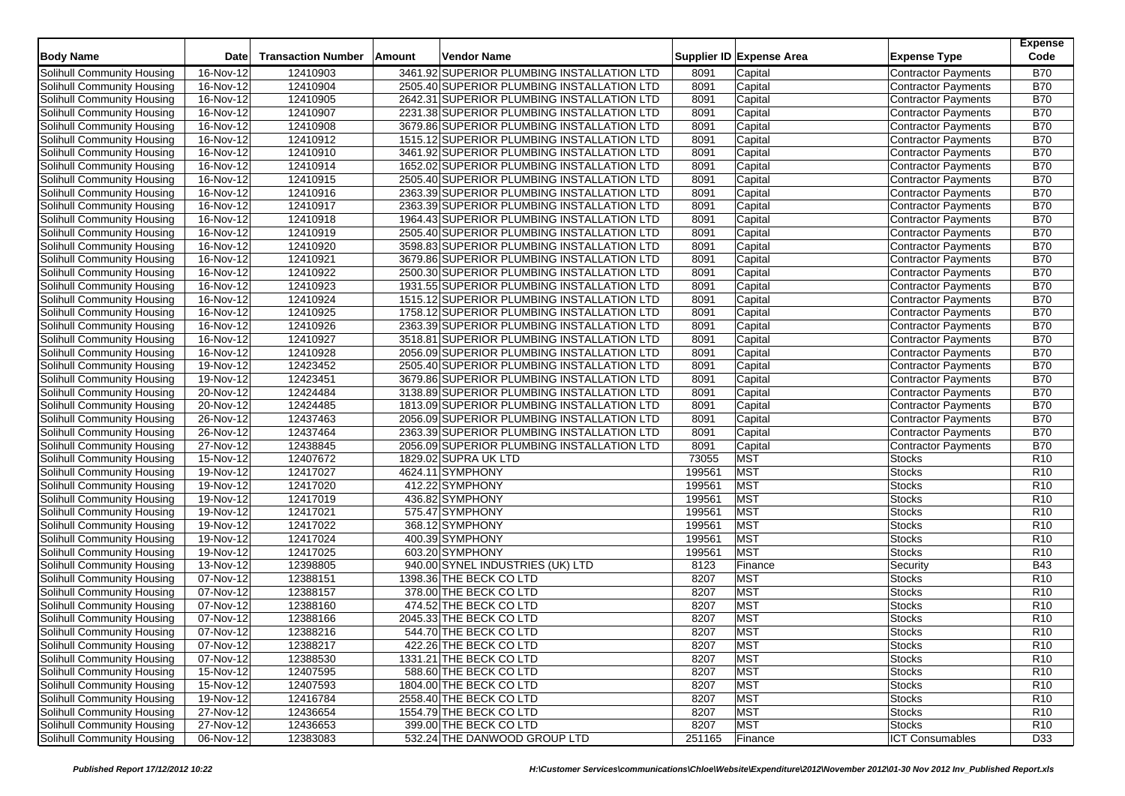| <b>Body Name</b>                  | <b>Date</b>             | <b>Transaction Number</b> | Amount | <b>Vendor Name</b>                         |        | Supplier ID Expense Area | <b>Expense Type</b>        | <b>Expense</b><br>Code |
|-----------------------------------|-------------------------|---------------------------|--------|--------------------------------------------|--------|--------------------------|----------------------------|------------------------|
| Solihull Community Housing        | 16-Nov-12               | 12410903                  |        | 3461.92 SUPERIOR PLUMBING INSTALLATION LTD | 8091   | Capital                  | Contractor Payments        | <b>B70</b>             |
| Solihull Community Housing        | 16-Nov-12               | 12410904                  |        | 2505.40 SUPERIOR PLUMBING INSTALLATION LTD | 8091   | Capital                  | <b>Contractor Payments</b> | <b>B70</b>             |
| Solihull Community Housing        | 16-Nov-12               | 12410905                  |        | 2642.31 SUPERIOR PLUMBING INSTALLATION LTD | 8091   | Capital                  | Contractor Payments        | <b>B70</b>             |
| Solihull Community Housing        | $16-Nov-12$             | 12410907                  |        | 2231.38 SUPERIOR PLUMBING INSTALLATION LTD | 8091   | Capital                  | Contractor Payments        | <b>B70</b>             |
| Solihull Community Housing        | 16-Nov-12               | 12410908                  |        | 3679.86 SUPERIOR PLUMBING INSTALLATION LTD | 8091   | Capital                  | <b>Contractor Payments</b> | <b>B70</b>             |
| Solihull Community Housing        | 16-Nov-12               | 12410912                  |        | 1515.12 SUPERIOR PLUMBING INSTALLATION LTD | 8091   | Capital                  | <b>Contractor Payments</b> | <b>B70</b>             |
| Solihull Community Housing        | 16-Nov-12               | 12410910                  |        | 3461.92 SUPERIOR PLUMBING INSTALLATION LTD | 8091   | Capital                  | <b>Contractor Payments</b> | <b>B70</b>             |
| Solihull Community Housing        | 16-Nov-12               | 12410914                  |        | 1652.02 SUPERIOR PLUMBING INSTALLATION LTD | 8091   | Capital                  | <b>Contractor Payments</b> | <b>B70</b>             |
| Solihull Community Housing        | 16-Nov-12               | 12410915                  |        | 2505.40 SUPERIOR PLUMBING INSTALLATION LTD | 8091   | Capital                  | <b>Contractor Payments</b> | <b>B70</b>             |
| Solihull Community Housing        | 16-Nov-12               | 12410916                  |        | 2363.39 SUPERIOR PLUMBING INSTALLATION LTD | 8091   | Capital                  | <b>Contractor Payments</b> | <b>B70</b>             |
| Solihull Community Housing        | 16-Nov-12               | 12410917                  |        | 2363.39 SUPERIOR PLUMBING INSTALLATION LTD | 8091   | Capital                  | <b>Contractor Payments</b> | <b>B70</b>             |
| Solihull Community Housing        | 16-Nov-12               | 12410918                  |        | 1964.43 SUPERIOR PLUMBING INSTALLATION LTD | 8091   | Capital                  | <b>Contractor Payments</b> | <b>B70</b>             |
| Solihull Community Housing        | 16-Nov-12               | 12410919                  |        | 2505.40 SUPERIOR PLUMBING INSTALLATION LTD | 8091   | Capital                  | <b>Contractor Payments</b> | <b>B70</b>             |
| Solihull Community Housing        | 16-Nov-12               | 12410920                  |        | 3598.83 SUPERIOR PLUMBING INSTALLATION LTD | 8091   | Capital                  | <b>Contractor Payments</b> | <b>B70</b>             |
| Solihull Community Housing        | 16-Nov-12               | 12410921                  |        | 3679.86 SUPERIOR PLUMBING INSTALLATION LTD | 8091   | Capital                  | Contractor Payments        | <b>B70</b>             |
| Solihull Community Housing        | 16-Nov-12               | 12410922                  |        | 2500.30 SUPERIOR PLUMBING INSTALLATION LTD | 8091   | Capital                  | Contractor Payments        | <b>B70</b>             |
| Solihull Community Housing        | 16-Nov-12               | 12410923                  |        | 1931.55 SUPERIOR PLUMBING INSTALLATION LTD | 8091   | Capital                  | <b>Contractor Payments</b> | <b>B70</b>             |
| Solihull Community Housing        | 16-Nov-12               | 12410924                  |        | 1515.12 SUPERIOR PLUMBING INSTALLATION LTD | 8091   | Capital                  | Contractor Payments        | <b>B70</b>             |
| Solihull Community Housing        | 16-Nov-12               | 12410925                  |        | 1758.12 SUPERIOR PLUMBING INSTALLATION LTD | 8091   | Capital                  | Contractor Payments        | <b>B70</b>             |
| Solihull Community Housing        | 16-Nov-12               | 12410926                  |        | 2363.39 SUPERIOR PLUMBING INSTALLATION LTD | 8091   | Capital                  | Contractor Payments        | <b>B70</b>             |
| Solihull Community Housing        | 16-Nov-12               | 12410927                  |        | 3518.81 SUPERIOR PLUMBING INSTALLATION LTD | 8091   | Capital                  | <b>Contractor Payments</b> | <b>B70</b>             |
| <b>Solihull Community Housing</b> | 16-Nov-12               | 12410928                  |        | 2056.09 SUPERIOR PLUMBING INSTALLATION LTD | 8091   | Capital                  | Contractor Payments        | <b>B70</b>             |
| Solihull Community Housing        | 19-Nov-12               | 12423452                  |        | 2505.40 SUPERIOR PLUMBING INSTALLATION LTD | 8091   | Capital                  | Contractor Payments        | <b>B70</b>             |
| Solihull Community Housing        | $19-Nov-12$             | 12423451                  |        | 3679.86 SUPERIOR PLUMBING INSTALLATION LTD | 8091   | Capital                  | <b>Contractor Payments</b> | <b>B70</b>             |
| Solihull Community Housing        | 20-Nov-12               | 12424484                  |        | 3138.89 SUPERIOR PLUMBING INSTALLATION LTD | 8091   | Capital                  | Contractor Payments        | <b>B70</b>             |
| Solihull Community Housing        | 20-Nov-12               | 12424485                  |        | 1813.09 SUPERIOR PLUMBING INSTALLATION LTD | 8091   | Capital                  | Contractor Payments        | <b>B70</b>             |
| Solihull Community Housing        | 26-Nov-12               | 12437463                  |        | 2056.09 SUPERIOR PLUMBING INSTALLATION LTD | 8091   | Capital                  | Contractor Payments        | <b>B70</b>             |
| Solihull Community Housing        | $\overline{26}$ -Nov-12 | 12437464                  |        | 2363.39 SUPERIOR PLUMBING INSTALLATION LTD | 8091   | Capital                  | Contractor Payments        | <b>B70</b>             |
| Solihull Community Housing        | 27-Nov-12               | 12438845                  |        | 2056.09 SUPERIOR PLUMBING INSTALLATION LTD | 8091   | Capital                  | Contractor Payments        | <b>B70</b>             |
| Solihull Community Housing        | 15-Nov-12               | 12407672                  |        | 1829.02 SUPRA UK LTD                       | 73055  | <b>MST</b>               | <b>Stocks</b>              | R <sub>10</sub>        |
| Solihull Community Housing        | $19-Nov-12$             | 12417027                  |        | 4624.11 SYMPHONY                           | 199561 | <b>MST</b>               | Stocks                     | R10                    |
| Solihull Community Housing        | 19-Nov-12               | 12417020                  |        | 412.22 SYMPHONY                            | 199561 | <b>MST</b>               | <b>Stocks</b>              | R <sub>10</sub>        |
| Solihull Community Housing        | 19-Nov-12               | 12417019                  |        | 436.82 SYMPHONY                            | 199561 | <b>MST</b>               | <b>Stocks</b>              | R <sub>10</sub>        |
| Solihull Community Housing        | 19-Nov-12               | 12417021                  |        | 575.47 SYMPHONY                            | 199561 | <b>MST</b>               | <b>Stocks</b>              | R10                    |
| Solihull Community Housing        | 19-Nov-12               | 12417022                  |        | 368.12 SYMPHONY                            | 199561 | <b>MST</b>               | <b>Stocks</b>              | R <sub>10</sub>        |
| Solihull Community Housing        | 19-Nov-12               | 12417024                  |        | 400.39 SYMPHONY                            | 199561 | <b>MST</b>               | <b>Stocks</b>              | R <sub>10</sub>        |
| Solihull Community Housing        | $19-Nov-12$             | 12417025                  |        | 603.20 SYMPHONY                            | 199561 | <b>MST</b>               | Stocks                     | R <sub>10</sub>        |
| Solihull Community Housing        | $13-Nov-12$             | 12398805                  |        | 940.00 SYNEL INDUSTRIES (UK) LTD           | 8123   | Finance                  | Security                   | <b>B43</b>             |
| Solihull Community Housing        | 07-Nov-12               | 12388151                  |        | 1398.36 THE BECK CO LTD                    | 8207   | <b>MST</b>               | <b>Stocks</b>              | R <sub>10</sub>        |
| Solihull Community Housing        | $\overline{07-N}$ ov-12 | 12388157                  |        | 378.00 THE BECK CO LTD                     | 8207   | <b>MST</b>               | <b>Stocks</b>              | R <sub>10</sub>        |
| Solihull Community Housing        | 07-Nov-12               | 12388160                  |        | 474.52 THE BECK CO LTD                     | 8207   | <b>MST</b>               | <b>Stocks</b>              | R <sub>10</sub>        |
| Solihull Community Housing        | $\overline{07-Nov-12}$  | 12388166                  |        | 2045.33 THE BECK CO LTD                    | 8207   | <b>MST</b>               | <b>Stocks</b>              | R <sub>10</sub>        |
| Solihull Community Housing        | 07-Nov-12               | 12388216                  |        | 544.70 THE BECK CO LTD                     | 8207   | <b>MST</b>               | <b>Stocks</b>              | R <sub>10</sub>        |
| Solihull Community Housing        | 07-Nov-12               | 12388217                  |        | 422.26 THE BECK CO LTD                     | 8207   | <b>MST</b>               | <b>Stocks</b>              | R <sub>10</sub>        |
| Solihull Community Housing        | $\overline{07-N}$ ov-12 | 12388530                  |        | 1331.21 THE BECK CO LTD                    | 8207   | <b>MST</b>               | <b>Stocks</b>              | R <sub>10</sub>        |
| Solihull Community Housing        | 15-Nov-12               | 12407595                  |        | 588.60 THE BECK CO LTD                     | 8207   | <b>MST</b>               | <b>Stocks</b>              | R <sub>10</sub>        |
| Solihull Community Housing        | 15-Nov-12               | 12407593                  |        | 1804.00 THE BECK CO LTD                    | 8207   | <b>MST</b>               | <b>Stocks</b>              | R <sub>10</sub>        |
| Solihull Community Housing        | 19-Nov-12               | 12416784                  |        | 2558.40 THE BECK CO LTD                    | 8207   | <b>MST</b>               | <b>Stocks</b>              | R <sub>10</sub>        |
| Solihull Community Housing        | $27-Nov-12$             | 12436654                  |        | 1554.79 THE BECK CO LTD                    | 8207   | <b>MST</b>               | <b>Stocks</b>              | R <sub>10</sub>        |
| Solihull Community Housing        | 27-Nov-12               | 12436653                  |        | 399.00 THE BECK CO LTD                     | 8207   | <b>MST</b>               | <b>Stocks</b>              | R <sub>10</sub>        |
| Solihull Community Housing        | 06-Nov-12               | 12383083                  |        | 532.24 THE DANWOOD GROUP LTD               | 251165 | Finance                  | <b>ICT Consumables</b>     | D33                    |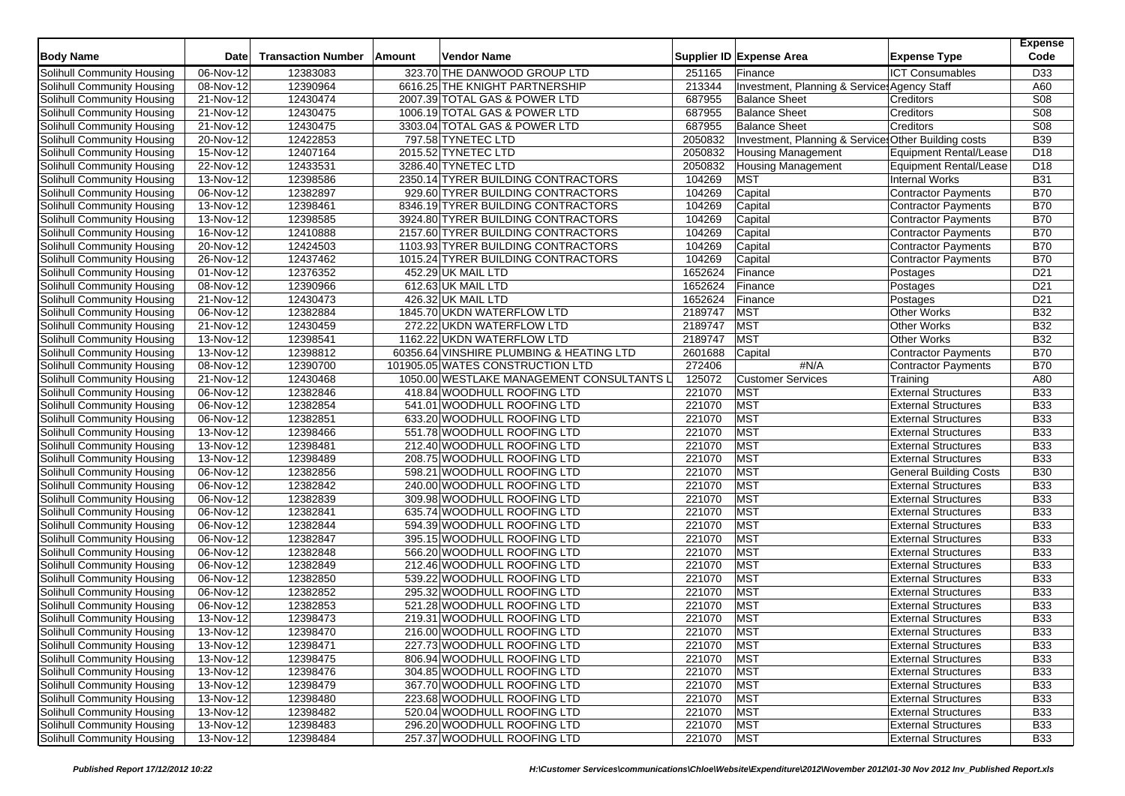| <b>Body Name</b>                  | <b>Date</b> | <b>Transaction Number</b> | Amount | <b>Vendor Name</b>                        |         | Supplier ID Expense Area                             | <b>Expense Type</b>           | <b>Expense</b><br>Code |
|-----------------------------------|-------------|---------------------------|--------|-------------------------------------------|---------|------------------------------------------------------|-------------------------------|------------------------|
| Solihull Community Housing        | 06-Nov-12   | 12383083                  |        | 323.70 THE DANWOOD GROUP LTD              | 251165  | Finance                                              | <b>ICT Consumables</b>        | D33                    |
| Solihull Community Housing        | $08-Nov-12$ | 12390964                  |        | 6616.25 THE KNIGHT PARTNERSHIP            | 213344  | Investment, Planning & Service Agency Staff          |                               | A60                    |
| Solihull Community Housing        | 21-Nov-12   | 12430474                  |        | 2007.39 TOTAL GAS & POWER LTD             | 687955  | <b>Balance Sheet</b>                                 | Creditors                     | <b>S08</b>             |
| Solihull Community Housing        | $21-Nov-12$ | 12430475                  |        | 1006.19 TOTAL GAS & POWER LTD             | 687955  | <b>Balance Sheet</b>                                 | Creditors                     | <b>S08</b>             |
| Solihull Community Housing        | 21-Nov-12   | 12430475                  |        | 3303.04 TOTAL GAS & POWER LTD             | 687955  | <b>Balance Sheet</b>                                 | Creditors                     | <b>S08</b>             |
| Solihull Community Housing        | 20-Nov-12   | 12422853                  |        | 797.58 TYNETEC LTD                        | 2050832 | Investment, Planning & Services Other Building costs |                               | <b>B39</b>             |
| Solihull Community Housing        | 15-Nov-12   | 12407164                  |        | 2015.52 TYNETEC LTD                       | 2050832 | <b>Housing Management</b>                            | Equipment Rental/Lease        | D <sub>18</sub>        |
| Solihull Community Housing        | 22-Nov-12   | 12433531                  |        | 3286.40 TYNETEC LTD                       | 2050832 | <b>Housing Management</b>                            | <b>Equipment Rental/Lease</b> | D18                    |
| Solihull Community Housing        | 13-Nov-12   | 12398586                  |        | 2350.14 TYRER BUILDING CONTRACTORS        | 104269  | <b>MST</b>                                           | <b>Internal Works</b>         | <b>B31</b>             |
| Solihull Community Housing        | 06-Nov-12   | 12382897                  |        | 929.60 TYRER BUILDING CONTRACTORS         | 104269  | Capital                                              | <b>Contractor Payments</b>    | <b>B70</b>             |
| Solihull Community Housing        | 13-Nov-12   | 12398461                  |        | 8346.19 TYRER BUILDING CONTRACTORS        | 104269  | Capital                                              | <b>Contractor Payments</b>    | <b>B70</b>             |
| Solihull Community Housing        | 13-Nov-12   | 12398585                  |        | 3924.80 TYRER BUILDING CONTRACTORS        | 104269  | Capital                                              | <b>Contractor Payments</b>    | <b>B70</b>             |
| Solihull Community Housing        | $16-Nov-12$ | 12410888                  |        | 2157.60 TYRER BUILDING CONTRACTORS        | 104269  | Capital                                              | <b>Contractor Payments</b>    | <b>B70</b>             |
| Solihull Community Housing        | 20-Nov-12   | 12424503                  |        | 1103.93 TYRER BUILDING CONTRACTORS        | 104269  | Capital                                              | <b>Contractor Payments</b>    | <b>B70</b>             |
| Solihull Community Housing        | 26-Nov-12   | 12437462                  |        | 1015.24 TYRER BUILDING CONTRACTORS        | 104269  | Capital                                              | <b>Contractor Payments</b>    | <b>B70</b>             |
| Solihull Community Housing        | 01-Nov-12   | 12376352                  |        | 452.29 UK MAIL LTD                        | 1652624 | Finance                                              | Postages                      | D <sub>21</sub>        |
| <b>Solihull Community Housing</b> | $08-Nov-12$ | 12390966                  |        | 612.63 UK MAIL LTD                        | 1652624 | Finance                                              | Postages                      | D <sub>21</sub>        |
| Solihull Community Housing        | 21-Nov-12   | 12430473                  |        | 426.32 UK MAIL LTD                        | 1652624 | Finance                                              | Postages                      | D <sub>21</sub>        |
| Solihull Community Housing        | 06-Nov-12   | 12382884                  |        | 1845.70 UKDN WATERFLOW LTD                | 2189747 | <b>MST</b>                                           | Other Works                   | <b>B32</b>             |
| Solihull Community Housing        | 21-Nov-12   | 12430459                  |        | 272.22 UKDN WATERFLOW LTD                 | 2189747 | <b>MST</b>                                           | Other Works                   | <b>B32</b>             |
| Solihull Community Housing        | $13-Nov-12$ | 12398541                  |        | 1162.22 UKDN WATERFLOW LTD                | 2189747 | <b>MST</b>                                           | <b>Other Works</b>            | <b>B32</b>             |
| <b>Solihull Community Housing</b> | 13-Nov-12   | 12398812                  |        | 60356.64 VINSHIRE PLUMBING & HEATING LTD  | 2601688 | Capital                                              | Contractor Payments           | <b>B70</b>             |
| Solihull Community Housing        | 08-Nov-12   | 12390700                  |        | 101905.05 WATES CONSTRUCTION LTD          | 272406  | #N/A                                                 | Contractor Payments           | <b>B70</b>             |
| Solihull Community Housing        | 21-Nov-12   | 12430468                  |        | 1050.00 WESTLAKE MANAGEMENT CONSULTANTS L | 125072  | <b>Customer Services</b>                             | Training                      | A80                    |
| Solihull Community Housing        | 06-Nov-12   | 12382846                  |        | 418.84 WOODHULL ROOFING LTD               | 221070  | <b>MST</b>                                           | <b>External Structures</b>    | <b>B33</b>             |
| Solihull Community Housing        | 06-Nov-12   | 12382854                  |        | 541.01 WOODHULL ROOFING LTD               | 221070  | <b>MST</b>                                           | <b>External Structures</b>    | <b>B33</b>             |
| Solihull Community Housing        | 06-Nov-12   | 12382851                  |        | 633.20 WOODHULL ROOFING LTD               | 221070  | <b>MST</b>                                           | <b>External Structures</b>    | <b>B33</b>             |
| Solihull Community Housing        | 13-Nov-12   | 12398466                  |        | 551.78 WOODHULL ROOFING LTD               | 221070  | <b>MST</b>                                           | <b>External Structures</b>    | <b>B33</b>             |
| Solihull Community Housing        | 13-Nov-12   | 12398481                  |        | 212.40 WOODHULL ROOFING LTD               | 221070  | <b>MST</b>                                           | <b>External Structures</b>    | <b>B33</b>             |
| Solihull Community Housing        | 13-Nov-12   | 12398489                  |        | 208.75 WOODHULL ROOFING LTD               | 221070  | <b>MST</b>                                           | <b>External Structures</b>    | <b>B33</b>             |
| Solihull Community Housing        | 06-Nov-12   | 12382856                  |        | 598.21 WOODHULL ROOFING LTD               | 221070  | <b>MST</b>                                           | <b>General Building Costs</b> | <b>B30</b>             |
| Solihull Community Housing        | 06-Nov-12   | 12382842                  |        | 240.00 WOODHULL ROOFING LTD               | 221070  | <b>MST</b>                                           | <b>External Structures</b>    | <b>B33</b>             |
| Solihull Community Housing        | 06-Nov-12   | 12382839                  |        | 309.98 WOODHULL ROOFING LTD               | 221070  | <b>MST</b>                                           | <b>External Structures</b>    | <b>B33</b>             |
| Solihull Community Housing        | 06-Nov-12   | 12382841                  |        | 635.74 WOODHULL ROOFING LTD               | 221070  | <b>MST</b>                                           | <b>External Structures</b>    | <b>B33</b>             |
| Solihull Community Housing        | 06-Nov-12   | 12382844                  |        | 594.39 WOODHULL ROOFING LTD               | 221070  | <b>MST</b>                                           | <b>External Structures</b>    | <b>B33</b>             |
| Solihull Community Housing        | 06-Nov-12   | 12382847                  |        | 395.15 WOODHULL ROOFING LTD               | 221070  | <b>MST</b>                                           | <b>External Structures</b>    | <b>B33</b>             |
| Solihull Community Housing        | 06-Nov-12   | 12382848                  |        | 566.20 WOODHULL ROOFING LTD               | 221070  | <b>MST</b>                                           | <b>External Structures</b>    | <b>B33</b>             |
| Solihull Community Housing        | 06-Nov-12   | 12382849                  |        | 212.46 WOODHULL ROOFING LTD               | 221070  | <b>MST</b>                                           | <b>External Structures</b>    | <b>B33</b>             |
| Solihull Community Housing        | 06-Nov-12   | 12382850                  |        | 539.22 WOODHULL ROOFING LTD               | 221070  | <b>MST</b>                                           | <b>External Structures</b>    | <b>B33</b>             |
| Solihull Community Housing        | 06-Nov-12   | 12382852                  |        | 295.32 WOODHULL ROOFING LTD               | 221070  | <b>MST</b>                                           | <b>External Structures</b>    | <b>B33</b>             |
| Solihull Community Housing        | 06-Nov-12   | 12382853                  |        | 521.28 WOODHULL ROOFING LTD               | 221070  | <b>MST</b>                                           | <b>External Structures</b>    | <b>B33</b>             |
| Solihull Community Housing        | 13-Nov-12   | 12398473                  |        | 219.31 WOODHULL ROOFING LTD               | 221070  | <b>MST</b>                                           | <b>External Structures</b>    | <b>B33</b>             |
| Solihull Community Housing        | 13-Nov-12   | 12398470                  |        | 216.00 WOODHULL ROOFING LTD               | 221070  | <b>MST</b>                                           | <b>External Structures</b>    | <b>B33</b>             |
| Solihull Community Housing        | 13-Nov-12   | 12398471                  |        | 227.73 WOODHULL ROOFING LTD               | 221070  | <b>MST</b>                                           | <b>External Structures</b>    | <b>B33</b>             |
| Solihull Community Housing        | 13-Nov-12   | 12398475                  |        | 806.94 WOODHULL ROOFING LTD               | 221070  | <b>MST</b>                                           | <b>External Structures</b>    | <b>B33</b>             |
| Solihull Community Housing        | 13-Nov-12   | 12398476                  |        | 304.85 WOODHULL ROOFING LTD               | 221070  | <b>MST</b>                                           | <b>External Structures</b>    | <b>B33</b>             |
| Solihull Community Housing        | 13-Nov-12   | 12398479                  |        | 367.70 WOODHULL ROOFING LTD               | 221070  | <b>MST</b>                                           | <b>External Structures</b>    | <b>B33</b>             |
| Solihull Community Housing        | 13-Nov-12   | 12398480                  |        | 223.68 WOODHULL ROOFING LTD               | 221070  | <b>MST</b>                                           | <b>External Structures</b>    | <b>B33</b>             |
| Solihull Community Housing        | 13-Nov-12   | 12398482                  |        | 520.04 WOODHULL ROOFING LTD               | 221070  | <b>MST</b>                                           | <b>External Structures</b>    | <b>B33</b>             |
| <b>Solihull Community Housing</b> | 13-Nov-12   | 12398483                  |        | 296.20 WOODHULL ROOFING LTD               | 221070  | <b>MST</b>                                           | <b>External Structures</b>    | <b>B33</b>             |
| Solihull Community Housing        | 13-Nov-12   | 12398484                  |        | 257.37 WOODHULL ROOFING LTD               | 221070  | <b>MST</b>                                           | <b>External Structures</b>    | <b>B33</b>             |
|                                   |             |                           |        |                                           |         |                                                      |                               |                        |